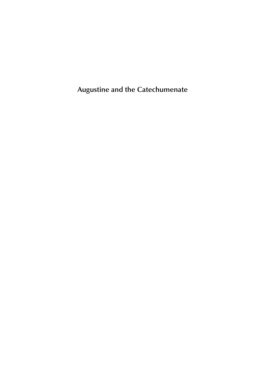**Augustine and the Catechumenate**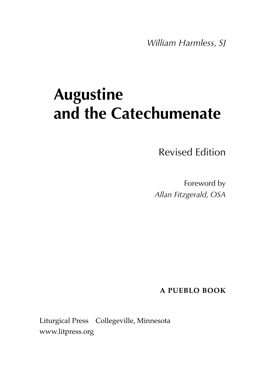*William Harmless, SJ*

# **Augustine and the Catechumenate**

Revised Edition

Foreword by *Allan Fitzgerald, OSA*

**A Pueblo Book**

Liturgical Press Collegeville, Minnesota www.litpress.org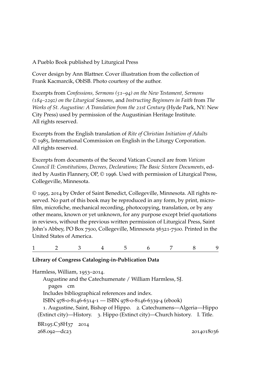A Pueblo Book published by Liturgical Press

Cover design by Ann Blattner. Cover illustration from the collection of Frank Kacmarcik, OblSB. Photo courtesy of the author.

Excerpts from *Confessions, Sermons (51–94) on the New Testament, Sermons (184–229z) on the Liturgical Seasons*, and *Instructing Beginners in Faith* from *The Works of St. Augustine: A Translation from the 21st Century* (Hyde Park, NY: New City Press) used by permission of the Augustinian Heritage Institute. All rights reserved.

Excerpts from the English translation of *Rite of Christian Initiation of Adults* © 1985, International Commission on English in the Liturgy Corporation. All rights reserved.

Excerpts from documents of the Second Vatican Council are from *Vatican Council II: Constitutions, Decrees, Declarations; The Basic Sixteen Documents*, edited by Austin Flannery, OP, © 1996. Used with permission of Liturgical Press, Collegeville, Minnesota.

© 1995, 2014 by Order of Saint Benedict, Collegeville, Minnesota. All rights reserved. No part of this book may be reproduced in any form, by print, microfilm, microfiche, mechanical recording, photocopying, translation, or by any other means, known or yet unknown, for any purpose except brief quotations in reviews, without the previous written permission of Liturgical Press, Saint John's Abbey, PO Box 7500, Collegeville, Minnesota 56321-7500. Printed in the United States of America.

123456789

#### **Library of Congress Cataloging-in-Publication Data**

Harmless, William, 1953–2014. Augustine and the Catechumenate / William Harmless, SJ. pages cm Includes bibliographical references and index. ISBN 978-0-8146-6314-1 — ISBN 978-0-8146-6339-4 (ebook) 1. Augustine, Saint, Bishop of Hippo. 2. Catechumens—Algeria—Hippo (Extinct city)—History. 3. Hippo (Extinct city)—Church history. I. Title. BR195.C38H37 2014 268.092—dc23 2014018036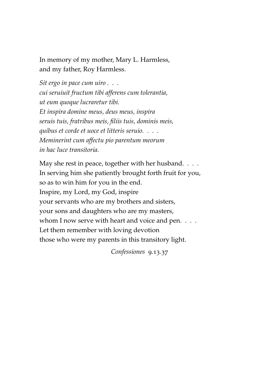In memory of my mother, Mary L. Harmless, and my father, Roy Harmless.

*Sit ergo in pace cum uiro . . . cui seruiuit fructum tibi afferens cum tolerantia, ut eum quoque lucraretur tibi. Et inspira domine meus, deus meus, inspira seruis tuis, fratribus meis, filiis tuis, dominis meis, quibus et corde et uoce et litteris seruio. . . . Meminerint cum affectu pio parentum meorum in hac luce transitoria.*

May she rest in peace, together with her husband. . . . In serving him she patiently brought forth fruit for you, so as to win him for you in the end. Inspire, my Lord, my God, inspire your servants who are my brothers and sisters, your sons and daughters who are my masters, whom I now serve with heart and voice and pen. . . . Let them remember with loving devotion those who were my parents in this transitory light.

*Confessiones* 9.13.37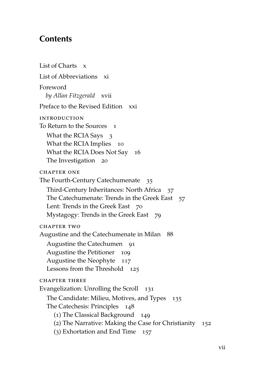### **Contents**

List of Charts  $\mathbf x$ List of Abbreviations xi Foreword *by Allan Fitzgerald* xvii Preface to the Revised Edition xxi introduction To Return to the Sources 1 What the RCIA Says  $3$ What the RCIA Implies 10 What the RCIA Does Not Say 16 The Investigation 20 **CHAPTER ONE** The Fourth-Century Catechumenate 35 Third-Century Inheritances: North Africa 37 The Catechumenate: Trends in the Greek East  $57$ Lent: Trends in the Greek East 70 Mystagogy: Trends in the Greek East 79 chapter two Augustine and the Catechumenate in Milan 88 Augustine the Catechumen 91 Augustine the Petitioner 109 Augustine the Neophyte 117 Lessons from the Threshold 125 chapter three Evangelization: Unrolling the Scroll 131 The Candidate: Milieu, Motives, and Types 135 The Catechesis: Principles 148 (1) The Classical Background 149 (2) The Narrative: Making the Case for Christianity 152 (3) Exhortation and End Time 157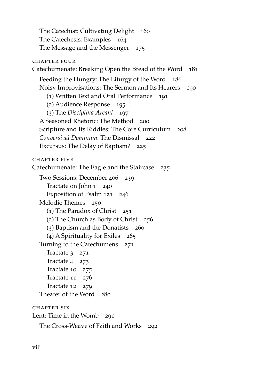The Catechist: Cultivating Delight 160 The Catechesis: Examples 164 The Message and the Messenger 175 chapter four Catechumenate: Breaking Open the Bread of the Word 181 Feeding the Hungry: The Liturgy of the Word 186 Noisy Improvisations: The Sermon and Its Hearers 190 (1) Written Text and Oral Performance 191 (2) Audience Response 195 (3) The *Disciplina Arcani* 197 A Seasoned Rhetoric: The Method 200 Scripture and Its Riddles: The Core Curriculum 208 *Conversi ad Dominum*: The Dismissal 222 Excursus: The Delay of Baptism? 225 chapter five Catechumenate: The Eagle and the Staircase 235 Two Sessions: December 406 239 Tractate on John 1 240 Exposition of Psalm 121 246 Melodic Themes 250 (1) The Paradox of Christ 251 (2) The Church as Body of Christ 256 (3) Baptism and the Donatists 260 (4) A Spirituality for Exiles  $265$ Turning to the Catechumens 271 Tractate 3 271 Tractate 4 273 Tractate 10 275 Tractate 11 276 Tractate 12 279 Theater of the Word 280 **CHAPTER SIX** Lent: Time in the Womb 291 The Cross-Weave of Faith and Works 292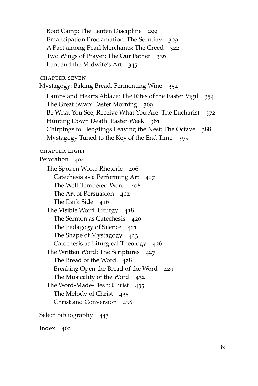Boot Camp: The Lenten Discipline 299 Emancipation Proclamation: The Scrutiny 309 A Pact among Pearl Merchants: The Creed 322 Two Wings of Prayer: The Our Father 336 Lent and the Midwife's Art 345

#### chapter seven

Mystagogy: Baking Bread, Fermenting Wine 352 Lamps and Hearts Ablaze: The Rites of the Easter Vigil 354 The Great Swap: Easter Morning 369 Be What You See, Receive What You Are: The Eucharist 372 Hunting Down Death: Easter Week 381 Chirpings to Fledglings Leaving the Nest: The Octave 388 Mystagogy Tuned to the Key of the End Time 395

### chapter eight

Peroration 404 The Spoken Word: Rhetoric 406 Catechesis as a Performing Art 407 The Well-Tempered Word 408 The Art of Persuasion 412 The Dark Side 416 The Visible Word: Liturgy 418 The Sermon as Catechesis 420 The Pedagogy of Silence 421 The Shape of Mystagogy 423 Catechesis as Liturgical Theology 426 The Written Word: The Scriptures 427 The Bread of the Word 428 Breaking Open the Bread of the Word 429 The Musicality of the Word 432 The Word-Made-Flesh: Christ 435 The Melody of Christ 435 Christ and Conversion 438 Select Bibliography 443

Index 462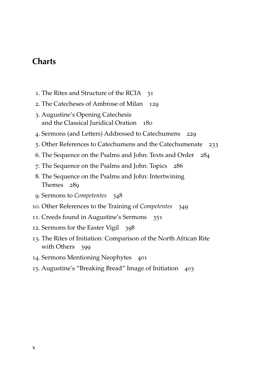### **Charts**

- 1. The Rites and Structure of the RCIA 31
- 2. The Catecheses of Ambrose of Milan 129
- 3. Augustine's Opening Catechesis and the Classical Juridical Oration 180
- 4. Sermons (and Letters) Addressed to Catechumens 229
- 5. Other References to Catechumens and the Catechumenate 233
- 6. The Sequence on the Psalms and John: Texts and Order 284
- 7. The Sequence on the Psalms and John: Topics 286
- 8. The Sequence on the Psalms and John: Intertwining Themes 289
- 9. Sermons to *Competentes* 348
- 10. Other References to the Training of *Competentes* 349
- 11. Creeds found in Augustine's Sermons 351
- 12. Sermons for the Easter Vigil 398
- 13. The Rites of Initiation: Comparison of the North African Rite with Others 399
- 14. Sermons Mentioning Neophytes 401
- 15. Augustine's "Breaking Bread" Image of Initiation 403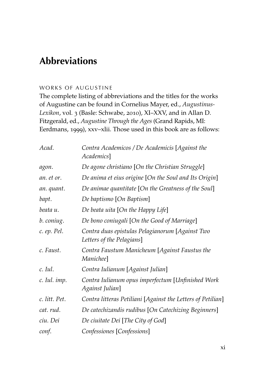## **Abbreviations**

### WORKS OF AUGUSTINE

The complete listing of abbreviations and the titles for the works of Augustine can be found in Cornelius Mayer, ed., *Augustinus-Lexikon*, vol. 3 (Basle: Schwabe, 2010), XI–XXV, and in Allan D. Fitzgerald, ed., *Augustine Through the Ages* (Grand Rapids, MI: Eerdmans, 1999), xxv–xlii. Those used in this book are as follows:

| Acad.         | Contra Academicos / De Academicis [Against the<br>Academics]                 |
|---------------|------------------------------------------------------------------------------|
| agon.         | De agone christiano [On the Christian Struggle]                              |
| an. et or.    | De anima et eius origine [On the Soul and Its Origin]                        |
| an. quant.    | De animae quantitate [On the Greatness of the Soul]                          |
| bapt.         | De baptismo [On Baptism]                                                     |
| beata u.      | De beata uita [On the Happy Life]                                            |
| b. coniug.    | De bono coniugali [On the Good of Marriage]                                  |
| c. ep. Pel.   | Contra duas epistulas Pelagianorum [Against Two<br>Letters of the Pelagians] |
| c. Faust.     | Contra Faustum Manicheum [Against Faustus the<br>Manichee]                   |
| c. Iul.       | Contra Iulianum [Against Julian]                                             |
| c. Iul. imp.  | Contra Iulianum opus imperfectum [Unfinished Work<br>Against Julian]         |
| c. litt. Pet. | Contra litteras Petiliani [Against the Letters of Petilian]                  |
| cat. rud.     | De catechizandis rudibus [On Catechizing Beginners]                          |
| ciu. Dei      | De ciuitate Dei [The City of God]                                            |
| conf.         | Confessiones [Confessions]                                                   |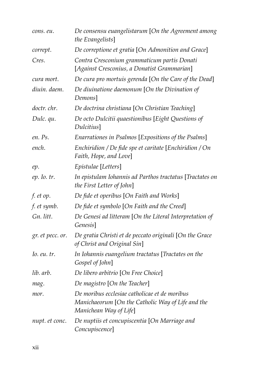| cons. eu.        | De consensu euangelistarum [On the Agreement among<br>the Evangelists]                                                       |
|------------------|------------------------------------------------------------------------------------------------------------------------------|
| corrept.         | De correptione et gratia [On Admonition and Grace]                                                                           |
| Cres.            | Contra Cresconium grammaticum partis Donati<br>[Against Cresconius, a Donatist Grammarian]                                   |
| cura mort.       | De cura pro mortuis gerenda [On the Care of the Dead]                                                                        |
| diuin. daem.     | De diuinatione daemonum [On the Divination of<br>Demons]                                                                     |
| doctr. chr.      | De doctrina christiana [On Christian Teaching]                                                                               |
| Dulc. qu.        | De octo Dulcitii quaestionibus [Eight Questions of<br>Dulcitius]                                                             |
| en. Ps.          | Enarrationes in Psalmos [Expositions of the Psalms]                                                                          |
| ench.            | Enchiridion / De fide spe et caritate [Enchiridion / On<br>Faith, Hope, and Love]                                            |
| ep.              | Epistulae [Letters]                                                                                                          |
| ep. Io. tr.      | In epistulam Iohannis ad Parthos tractatus [Tractates on<br>the First Letter of John]                                        |
| f. et op.        | De fide et operibus [On Faith and Works]                                                                                     |
| f. et symb.      | De fide et symbolo [On Faith and the Creed]                                                                                  |
| Gn. litt.        | De Genesi ad litteram [On the Literal Interpretation of<br>Genesis]                                                          |
| gr. et pecc. or. | De gratia Christi et de peccato originali [On the Grace<br>of Christ and Original Sin]                                       |
| Io. eu. tr.      | In Iohannis euangelium tractatus [Tractates on the<br>Gospel of John]                                                        |
| lib. arb.        | De libero arbitrio [On Free Choice]                                                                                          |
| mag.             | De magistro [On the Teacher]                                                                                                 |
| mor.             | De moribus ecclesiae catholicae et de moribus<br>Manichaeorum [On the Catholic Way of Life and the<br>Manichean Way of Life] |
| nupt. et conc.   | De nuptiis et concupiscentia [On Marriage and<br>Concupiscence]                                                              |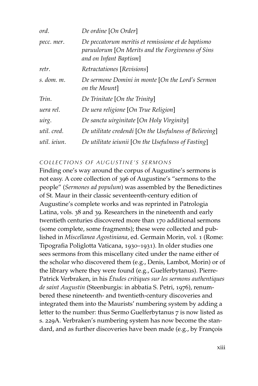| ord.         | De ordine [On Order]                                                                                                              |
|--------------|-----------------------------------------------------------------------------------------------------------------------------------|
| pecc. mer.   | De peccatorum meritis et remissione et de baptismo<br>paruulorum [On Merits and the Forgiveness of Sins<br>and on Infant Baptism] |
| retr.        | Retractationes [Revisions]                                                                                                        |
| s. dom. m.   | De sermone Domini in monte [On the Lord's Sermon<br>on the Mount]                                                                 |
| Trin.        | De Trinitate [On the Trinity]                                                                                                     |
| uera rel.    | De uera religione [On True Religion]                                                                                              |
| uirg.        | De sancta uirginitate [On Holy Virginity]                                                                                         |
| util. cred.  | De utilitate credendi [On the Usefulness of Believing]                                                                            |
| util. ieiun. | De utilitate ieiunii [On the Usefulness of Fasting]                                                                               |
|              |                                                                                                                                   |

### *Co llect i o ns of Augustine' s Serm o ns*

Finding one's way around the corpus of Augustine's sermons is not easy. A core collection of 396 of Augustine's "sermons to the people" (*Sermones ad populum*) was assembled by the Benedictines of St. Maur in their classic seventeenth-century edition of Augustine's complete works and was reprinted in Patrologia Latina, vols. 38 and 39. Researchers in the nineteenth and early twentieth centuries discovered more than 170 additional sermons (some complete, some fragments); these were collected and published in *Miscellanea Agostiniana*, ed. Germain Morin, vol. 1 (Rome: Tipografia Poliglotta Vaticana, 1930–1931). In older studies one sees sermons from this miscellany cited under the name either of the scholar who discovered them (e.g., Denis, Lambot, Morin) or of the library where they were found (e.g., Guelferbytanus). Pierre-Patrick Verbraken, in his *Études critiques sur les sermons authentiques de saint Augustin* (Steenburgis: in abbatia S. Petri, 1976), renumbered these nineteenth- and twentieth-century discoveries and integrated them into the Maurists' numbering system by adding a letter to the number: thus Sermo Guelferbytanus 7 is now listed as s. 229A. Verbraken's numbering system has now become the standard, and as further discoveries have been made (e.g., by François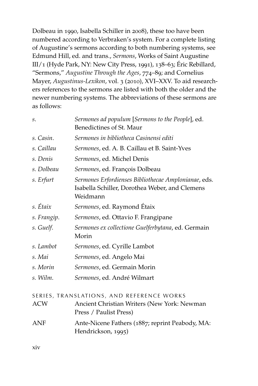Dolbeau in 1990, Isabella Schiller in 2008), these too have been numbered according to Verbraken's system. For a complete listing of Augustine's sermons according to both numbering systems, see Edmund Hill, ed. and trans., *Sermons*, Works of Saint Augustine III/1 (Hyde Park, NY: New City Press, 1991), 138–63; Éric Rebillard, "Sermons," *Augustine Through the Ages*, 774–89; and Cornelius Mayer, *Augustinus-Lexikon*, vol. 3 (2010), XVI–XXV. To aid researchers references to the sermons are listed with both the older and the newer numbering systems. The abbreviations of these sermons are as follows:

| S.          | Sermones ad populum [Sermons to the People], ed.<br>Benedictines of St. Maur                                       |
|-------------|--------------------------------------------------------------------------------------------------------------------|
| s. Casin.   | Sermones in bibliotheca Casinensi editi                                                                            |
| s. Caillau  | Sermones, ed. A. B. Caillau et B. Saint-Yves                                                                       |
| s. Denis    | Sermones, ed. Michel Denis                                                                                         |
| s. Dolbeau  | Sermones, ed. François Dolbeau                                                                                     |
| s. Erfurt   | Sermones Erfordienses Bibliothecae Amplonianae, eds.<br>Isabella Schiller, Dorothea Weber, and Clemens<br>Weidmann |
| s. Étaix    | Sermones, ed. Raymond Étaix                                                                                        |
| s. Frangip. | Sermones, ed. Ottavio F. Frangipane                                                                                |
| s. Guelf.   | Sermones ex collectione Guelferbytana, ed. Germain<br>Morin                                                        |
| s. Lambot   | Sermones, ed. Cyrille Lambot                                                                                       |
| s. Mai      | Sermones, ed. Angelo Mai                                                                                           |
| s. Morin    | Sermones, ed. Germain Morin                                                                                        |
| s. Wilm.    | Sermones, ed. André Wilmart                                                                                        |
|             | SERIES, TRANSLATIONS, AND REFERENCE WORKS                                                                          |
| <b>ACW</b>  | Ancient Christian Writers (New York: Newman<br>Press / Paulist Press)                                              |
| <b>ANF</b>  | Ante-Nicene Fathers (1887; reprint Peabody, MA:<br>Hendrickson, 1995)                                              |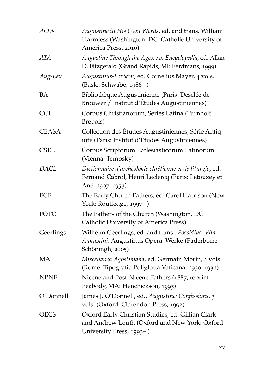| <b>AOW</b>   | Augustine in His Own Words, ed. and trans. William<br>Harmless (Washington, DC: Catholic University of<br>America Press, 2010)      |
|--------------|-------------------------------------------------------------------------------------------------------------------------------------|
| ATA          | Augustine Through the Ages: An Encyclopedia, ed. Allan<br>D. Fitzgerald (Grand Rapids, MI: Eerdmans, 1999)                          |
| Aug-Lex      | Augustinus-Lexikon, ed. Cornelius Mayer, 4 vols.<br>(Basle: Schwabe, 1986–)                                                         |
| BA           | Bibliothèque Augustinienne (Paris: Desclée de<br>Brouwer / Institut d'Études Augustiniennes)                                        |
| <b>CCL</b>   | Corpus Christianorum, Series Latina (Turnholt:<br>Brepols)                                                                          |
| <b>CEASA</b> | Collection des Études Augustiniennes, Série Antiq-<br>uité (Paris: Institut d'Études Augustiniennes)                                |
| <b>CSEL</b>  | Corpus Scriptorum Ecclesiasticorum Latinorum<br>(Vienna: Tempsky)                                                                   |
| <b>DACL</b>  | Dictionnaire d'archéologie chrétienne et de liturgie, ed.<br>Fernand Cabrol, Henri Leclercq (Paris: Letouzey et<br>Ané, 1907-1953). |
| ECF          | The Early Church Fathers, ed. Carol Harrison (New<br>York: Routledge, 1997-)                                                        |
| <b>FOTC</b>  | The Fathers of the Church (Washington, DC:<br>Catholic University of America Press)                                                 |
| Geerlings    | Wilhelm Geerlings, ed. and trans., Possidius: Vita<br>Augustini, Augustinus Opera-Werke (Paderborn:<br>Schöningh, 2005)             |
| MA           | Miscellanea Agostiniana, ed. Germain Morin, 2 vols.<br>(Rome: Tipografia Poliglotta Vaticana, 1930-1931)                            |
| NPNF         | Nicene and Post-Nicene Fathers (1887; reprint<br>Peabody, MA: Hendrickson, 1995)                                                    |
| O'Donnell    | James J. O'Donnell, ed., Augustine: Confessions, 3<br>vols. (Oxford: Clarendon Press, 1992).                                        |
| OECS         | Oxford Early Christian Studies, ed. Gillian Clark<br>and Andrew Louth (Oxford and New York: Oxford<br>University Press, 1993-)      |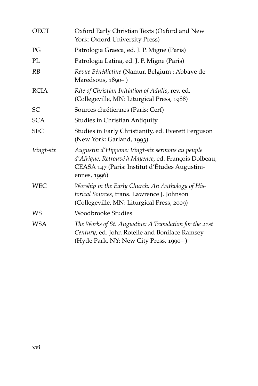| <b>OECT</b> | Oxford Early Christian Texts (Oxford and New<br>York: Oxford University Press)                                                                                            |
|-------------|---------------------------------------------------------------------------------------------------------------------------------------------------------------------------|
| PG          | Patrologia Graeca, ed. J. P. Migne (Paris)                                                                                                                                |
| PL          | Patrologia Latina, ed. J. P. Migne (Paris)                                                                                                                                |
| RB          | Revue Bénédictine (Namur, Belgium : Abbaye de<br>Maredsous, 1890-)                                                                                                        |
| <b>RCIA</b> | Rite of Christian Initiation of Adults, rev. ed.<br>(Collegeville, MN: Liturgical Press, 1988)                                                                            |
| SC          | Sources chrétiennes (Paris: Cerf)                                                                                                                                         |
| <b>SCA</b>  | Studies in Christian Antiquity                                                                                                                                            |
| <b>SEC</b>  | Studies in Early Christianity, ed. Everett Ferguson<br>(New York: Garland, 1993).                                                                                         |
| Vingt-six   | Augustin d'Hippone: Vingt-six sermons au peuple<br>d'Afrique, Retrouvé à Mayence, ed. François Dolbeau,<br>CEASA 147 (Paris: Institut d'Études Augustini-<br>ennes, 1996) |
| WEC         | Worship in the Early Church: An Anthology of His-<br>torical Sources, trans. Lawrence J. Johnson<br>(Collegeville, MN: Liturgical Press, 2009)                            |
| WS          | Woodbrooke Studies                                                                                                                                                        |
| <b>WSA</b>  | The Works of St. Augustine: A Translation for the 21st<br>Century, ed. John Rotelle and Boniface Ramsey<br>(Hyde Park, NY: New City Press, 1990-)                         |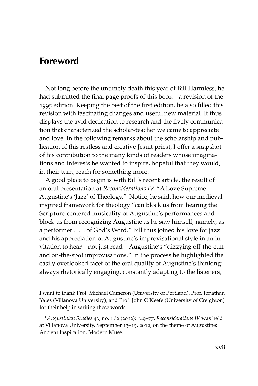### **Foreword**

Not long before the untimely death this year of Bill Harmless, he had submitted the final page proofs of this book—a revision of the 1995 edition. Keeping the best of the first edition, he also filled this revision with fascinating changes and useful new material. It thus displays the avid dedication to research and the lively communication that characterized the scholar-teacher we came to appreciate and love. In the following remarks about the scholarship and publication of this restless and creative Jesuit priest, I offer a snapshot of his contribution to the many kinds of readers whose imaginations and interests he wanted to inspire, hopeful that they would, in their turn, reach for something more.

A good place to begin is with Bill's recent article, the result of an oral presentation at *Reconsiderations IV*: "A Love Supreme: Augustine's 'Jazz' of Theology."1 Notice, he said, how our medievalinspired framework for theology "can block us from hearing the Scripture-centered musicality of Augustine's performances and block us from recognizing Augustine as he saw himself, namely, as a performer . . . of God's Word." Bill thus joined his love for jazz and his appreciation of Augustine's improvisational style in an invitation to hear—not just read—Augustine's "dizzying off-the-cuff and on-the-spot improvisations." In the process he highlighted the easily overlooked facet of the oral quality of Augustine's thinking: always rhetorically engaging, constantly adapting to the listeners,

I want to thank Prof. Michael Cameron (University of Portland), Prof. Jonathan Yates (Villanova University), and Prof. John O'Keefe (University of Creighton) for their help in writing these words.

<sup>1</sup>*Augustinian Studies* 43, no. 1/2 (2012): 149–77. *Reconsiderations IV* was held at Villanova University, September 13–15, 2012, on the theme of Augustine: Ancient Inspiration, Modern Muse.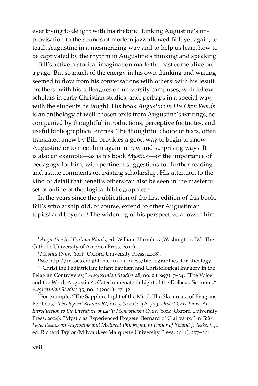ever trying to delight with his rhetoric. Linking Augustine's improvisation to the sounds of modern jazz allowed Bill, yet again, to teach Augustine in a mesmerizing way and to help us learn how to be captivated by the rhythm in Augustine's thinking and speaking.

Bill's active historical imagination made the past come alive on a page. But so much of the energy in his own thinking and writing seemed to flow from his conversations with others: with his Jesuit brothers, with his colleagues on university campuses, with fellow scholars in early Christian studies, and, perhaps in a special way, with the students he taught. His book *Augustine in His Own Words*<sup>2</sup> is an anthology of well-chosen texts from Augustine's writings, accompanied by thoughtful introductions, perceptive footnotes, and useful bibliographical entries. The thoughtful choice of texts, often translated anew by Bill, provides a good way to begin to know Augustine or to meet him again in new and surprising ways. It is also an example—as is his book *Mystics*<sup>3</sup> —of the importance of pedagogy for him, with pertinent suggestions for further reading and astute comments on existing scholarship. His attention to the kind of detail that benefits others can also be seen in the masterful set of online of theological bibliographies.<sup>4</sup>

In the years since the publication of the first edition of this book, Bill's scholarship did, of course, extend to other Augustinian topics<sup>5</sup> and beyond.<sup>6</sup> The widening of his perspective allowed him

<sup>2</sup>*Augustine in His Own Words*, ed. William Harmless (Washington, DC: The Catholic University of America Press, 2010).

<sup>3</sup>*Mystics* (New York: Oxford University Press, 2008).

4 See http://moses.creighton.edu/harmless/bibliographies\_for\_theology.

5 "Christ the Pediatrician: Infant Baptism and Christological Imagery in the Pelagian Controversy," *Augustinian Studies* 28, no. 2 (1997): 7–34; "The Voice and the Word: Augustine's Catechumenate in Light of the Dolbeau Sermons," *Augustinian Studies* 35, no. 1 (2004): 17–42.

6 For example, "The Sapphire Light of the Mind: The Skemmata of Evagrius Ponticus," *Theological Studies* 62, no. 3 (2001): 498–529; *Desert Christians: An Introduction to the Literature of Early Monasticism* (New York: Oxford University Press, 2004); "Mystic as Experienced Exegete: Bernard of Clairvaux," in *Tolle Lege: Essays on Augustine and Medieval Philosophy in Honor of Roland J. Teske, S.J.*, ed. Richard Taylor (Milwaukee: Marquette University Press, 2011), 277–301.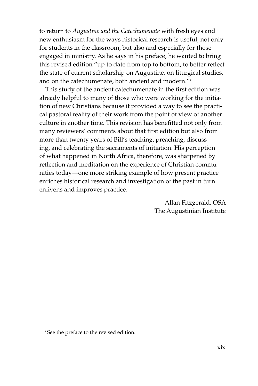to return to *Augustine and the Catechumenate* with fresh eyes and new enthusiasm for the ways historical research is useful, not only for students in the classroom, but also and especially for those engaged in ministry. As he says in his preface, he wanted to bring this revised edition "up to date from top to bottom, to better reflect the state of current scholarship on Augustine, on liturgical studies, and on the catechumenate, both ancient and modern."7

This study of the ancient catechumenate in the first edition was already helpful to many of those who were working for the initiation of new Christians because it provided a way to see the practical pastoral reality of their work from the point of view of another culture in another time. This revision has benefitted not only from many reviewers' comments about that first edition but also from more than twenty years of Bill's teaching, preaching, discussing, and celebrating the sacraments of initiation. His perception of what happened in North Africa, therefore, was sharpened by reflection and meditation on the experience of Christian communities today—one more striking example of how present practice enriches historical research and investigation of the past in turn enlivens and improves practice.

> Allan Fitzgerald, OSA The Augustinian Institute

<sup>7</sup> See the preface to the revised edition.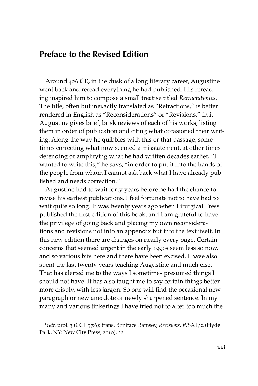### **Preface to the Revised Edition**

Around 426 CE, in the dusk of a long literary career, Augustine went back and reread everything he had published. His rereading inspired him to compose a small treatise titled *Retractationes*. The title, often but inexactly translated as "Retractions," is better rendered in English as "Reconsiderations" or "Revisions." In it Augustine gives brief, brisk reviews of each of his works, listing them in order of publication and citing what occasioned their writing. Along the way he quibbles with this or that passage, sometimes correcting what now seemed a misstatement, at other times defending or amplifying what he had written decades earlier. "I wanted to write this," he says, "in order to put it into the hands of the people from whom I cannot ask back what I have already published and needs correction."1

Augustine had to wait forty years before he had the chance to revise his earliest publications. I feel fortunate not to have had to wait quite so long. It was twenty years ago when Liturgical Press published the first edition of this book, and I am grateful to have the privilege of going back and placing my own reconsiderations and revisions not into an appendix but into the text itself. In this new edition there are changes on nearly every page. Certain concerns that seemed urgent in the early 1990s seem less so now, and so various bits here and there have been excised. I have also spent the last twenty years teaching Augustine and much else. That has alerted me to the ways I sometimes presumed things I should not have. It has also taught me to say certain things better, more crisply, with less jargon. So one will find the occasional new paragraph or new anecdote or newly sharpened sentence. In my many and various tinkerings I have tried not to alter too much the

<sup>1</sup>*retr.* prol. 3 (CCL 57:6); trans. Boniface Ramsey, *Revisions*, WSA I/2 (Hyde Park, NY: New City Press, 2010), 22.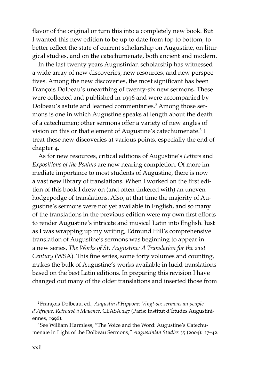flavor of the original or turn this into a completely new book. But I wanted this new edition to be up to date from top to bottom, to better reflect the state of current scholarship on Augustine, on liturgical studies, and on the catechumenate, both ancient and modern.

In the last twenty years Augustinian scholarship has witnessed a wide array of new discoveries, new resources, and new perspectives. Among the new discoveries, the most significant has been François Dolbeau's unearthing of twenty-six new sermons. These were collected and published in 1996 and were accompanied by Dolbeau's astute and learned commentaries.<sup>2</sup> Among those sermons is one in which Augustine speaks at length about the death of a catechumen; other sermons offer a variety of new angles of vision on this or that element of Augustine's catechumenate.<sup>3</sup> I treat these new discoveries at various points, especially the end of chapter 4.

As for new resources, critical editions of Augustine's *Letters* and *Expositions of the Psalms* are now nearing completion. Of more immediate importance to most students of Augustine, there is now a vast new library of translations. When I worked on the first edition of this book I drew on (and often tinkered with) an uneven hodgepodge of translations. Also, at that time the majority of Augustine's sermons were not yet available in English, and so many of the translations in the previous edition were my own first efforts to render Augustine's intricate and musical Latin into English. Just as I was wrapping up my writing, Edmund Hill's comprehensive translation of Augustine's sermons was beginning to appear in a new series, *The Works of St. Augustine: A Translation for the 21st Century* (WSA). This fine series, some forty volumes and counting, makes the bulk of Augustine's works available in lucid translations based on the best Latin editions. In preparing this revision I have changed out many of the older translations and inserted those from

2 François Dolbeau, ed., *Augustin d'Hippone: Vingt-six sermons au peuple d'Afrique, Retrouvé à Mayence*, CEASA 147 (Paris: Institut d'Études Augustiniennes, 1996).

3 See William Harmless, "The Voice and the Word: Augustine's Catechumenate in Light of the Dolbeau Sermons," *Augustinian Studies* 35 (2004): 17–42.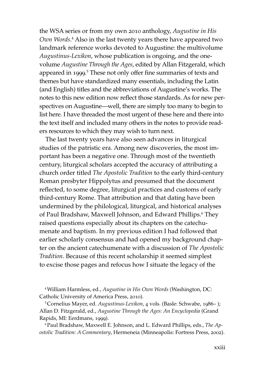the WSA series or from my own 2010 anthology, *Augustine in His*  Own Words.<sup>4</sup> Also in the last twenty years there have appeared two landmark reference works devoted to Augustine: the multivolume *Augustinus-Lexikon*, whose publication is ongoing, and the onevolume *Augustine Through the Ages*, edited by Allan Fitzgerald, which appeared in 1999.<sup>5</sup> These not only offer fine summaries of texts and themes but have standardized many essentials, including the Latin (and English) titles and the abbreviations of Augustine's works. The notes to this new edition now reflect those standards. As for new perspectives on Augustine—well, there are simply too many to begin to list here. I have threaded the most urgent of these here and there into the text itself and included many others in the notes to provide readers resources to which they may wish to turn next.

The last twenty years have also seen advances in liturgical studies of the patristic era. Among new discoveries, the most important has been a negative one. Through most of the twentieth century, liturgical scholars accepted the accuracy of attributing a church order titled *The Apostolic Tradition* to the early third-century Roman presbyter Hippolytus and presumed that the document reflected, to some degree, liturgical practices and customs of early third-century Rome. That attribution and that dating have been undermined by the philological, liturgical, and historical analyses of Paul Bradshaw, Maxwell Johnson, and Edward Phillips.<sup>6</sup> They raised questions especially about its chapters on the catechumenate and baptism. In my previous edition I had followed that earlier scholarly consensus and had opened my background chapter on the ancient catechumenate with a discussion of *The Apostolic Tradition*. Because of this recent scholarship it seemed simplest to excise those pages and refocus how I situate the legacy of the

4 William Harmless, ed., *Augustine in His Own Words* (Washington, DC: Catholic University of America Press, 2010).

5 Cornelius Mayer, ed. *Augustinus-Lexikon*, 4 vols. (Basle: Schwabe, 1986– ); Allan D. Fitzgerald, ed., *Augustine Through the Ages: An Encyclopedia* (Grand Rapids, MI: Eerdmans, 1999).

6 Paul Bradshaw, Maxwell E. Johnson, and L. Edward Phillips, eds., *The Apostolic Tradition: A Commentary*, Hermeneia (Minneapolis: Fortress Press, 2002).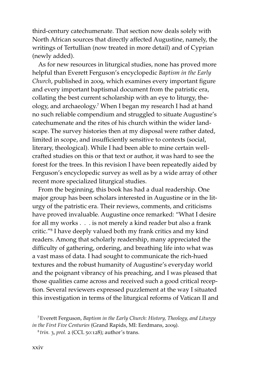third-century catechumenate. That section now deals solely with North African sources that directly affected Augustine, namely, the writings of Tertullian (now treated in more detail) and of Cyprian (newly added).

As for new resources in liturgical studies, none has proved more helpful than Everett Ferguson's encyclopedic *Baptism in the Early Church*, published in 2009, which examines every important figure and every important baptismal document from the patristic era, collating the best current scholarship with an eye to liturgy, theology, and archaeology.7 When I began my research I had at hand no such reliable compendium and struggled to situate Augustine's catechumenate and the rites of his church within the wider landscape. The survey histories then at my disposal were rather dated, limited in scope, and insufficiently sensitive to contexts (social, literary, theological). While I had been able to mine certain wellcrafted studies on this or that text or author, it was hard to see the forest for the trees. In this revision I have been repeatedly aided by Ferguson's encyclopedic survey as well as by a wide array of other recent more specialized liturgical studies.

From the beginning, this book has had a dual readership. One major group has been scholars interested in Augustine or in the liturgy of the patristic era. Their reviews, comments, and criticisms have proved invaluable. Augustine once remarked: "What I desire for all my works . . . is not merely a kind reader but also a frank critic."8 I have deeply valued both my frank critics and my kind readers. Among that scholarly readership, many appreciated the difficulty of gathering, ordering, and breathing life into what was a vast mass of data. I had sought to communicate the rich-hued textures and the robust humanity of Augustine's everyday world and the poignant vibrancy of his preaching, and I was pleased that those qualities came across and received such a good critical reception. Several reviewers expressed puzzlement at the way I situated this investigation in terms of the liturgical reforms of Vatican II and

<sup>7</sup> Everett Ferguson, *Baptism in the Early Church: History, Theology, and Liturgy in the First Five Centuries* (Grand Rapids, MI: Eerdmans, 2009).

<sup>8</sup> *trin.* 3, *prol.* 2 (CCL 50:128); author's trans.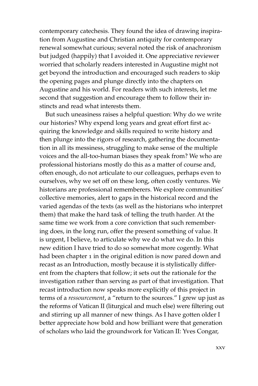contemporary catechesis. They found the idea of drawing inspiration from Augustine and Christian antiquity for contemporary renewal somewhat curious; several noted the risk of anachronism but judged (happily) that I avoided it. One appreciative reviewer worried that scholarly readers interested in Augustine might not get beyond the introduction and encouraged such readers to skip the opening pages and plunge directly into the chapters on Augustine and his world. For readers with such interests, let me second that suggestion and encourage them to follow their instincts and read what interests them.

But such uneasiness raises a helpful question: Why do we write our histories? Why expend long years and great effort first acquiring the knowledge and skills required to write history and then plunge into the rigors of research, gathering the documentation in all its messiness, struggling to make sense of the multiple voices and the all-too-human biases they speak from? We who are professional historians mostly do this as a matter of course and, often enough, do not articulate to our colleagues, perhaps even to ourselves, why we set off on these long, often costly ventures. We historians are professional rememberers. We explore communities' collective memories, alert to gaps in the historical record and the varied agendas of the texts (as well as the historians who interpret them) that make the hard task of telling the truth harder. At the same time we work from a core conviction that such remembering does, in the long run, offer the present something of value. It is urgent, I believe, to articulate why we do what we do. In this new edition I have tried to do so somewhat more cogently. What had been chapter 1 in the original edition is now pared down and recast as an Introduction, mostly because it is stylistically different from the chapters that follow; it sets out the rationale for the investigation rather than serving as part of that investigation. That recast introduction now speaks more explicitly of this project in terms of a *ressourcement*, a "return to the sources." I grew up just as the reforms of Vatican II (liturgical and much else) were filtering out and stirring up all manner of new things. As I have gotten older I better appreciate how bold and how brilliant were that generation of scholars who laid the groundwork for Vatican II: Yves Congar,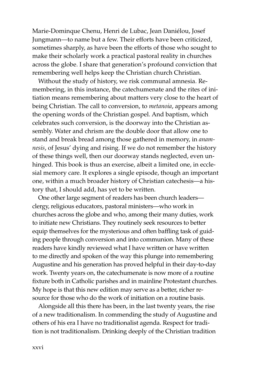Marie-Dominque Chenu, Henri de Lubac, Jean Daniélou, Josef Jungmann—to name but a few. Their efforts have been criticized, sometimes sharply, as have been the efforts of those who sought to make their scholarly work a practical pastoral reality in churches across the globe. I share that generation's profound conviction that remembering well helps keep the Christian church Christian.

Without the study of history, we risk communal amnesia. Remembering, in this instance, the catechumenate and the rites of initiation means remembering about matters very close to the heart of being Christian. The call to conversion, to *metanoia*, appears among the opening words of the Christian gospel. And baptism, which celebrates such conversion, is the doorway into the Christian assembly. Water and chrism are the double door that allow one to stand and break bread among those gathered in memory, in *anamnesis*, of Jesus' dying and rising. If we do not remember the history of these things well, then our doorway stands neglected, even unhinged. This book is thus an exercise, albeit a limited one, in ecclesial memory care. It explores a single episode, though an important one, within a much broader history of Christian catechesis—a history that, I should add, has yet to be written.

One other large segment of readers has been church leaders clergy, religious educators, pastoral ministers—who work in churches across the globe and who, among their many duties, work to initiate new Christians. They routinely seek resources to better equip themselves for the mysterious and often baffling task of guiding people through conversion and into communion. Many of these readers have kindly reviewed what I have written or have written to me directly and spoken of the way this plunge into remembering Augustine and his generation has proved helpful in their day-to-day work. Twenty years on, the catechumenate is now more of a routine fixture both in Catholic parishes and in mainline Protestant churches. My hope is that this new edition may serve as a better, richer resource for those who do the work of initiation on a routine basis.

Alongside all this there has been, in the last twenty years, the rise of a new traditionalism. In commending the study of Augustine and others of his era I have no traditionalist agenda. Respect for tradition is not traditionalism. Drinking deeply of the Christian tradition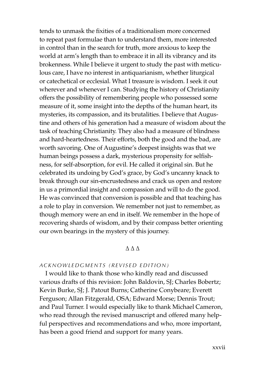tends to unmask the fixities of a traditionalism more concerned to repeat past formulae than to understand them, more interested in control than in the search for truth, more anxious to keep the world at arm's length than to embrace it in all its vibrancy and its brokenness. While I believe it urgent to study the past with meticulous care, I have no interest in antiquarianism, whether liturgical or catechetical or ecclesial. What I treasure is wisdom. I seek it out wherever and whenever I can. Studying the history of Christianity offers the possibility of remembering people who possessed some measure of it, some insight into the depths of the human heart, its mysteries, its compassion, and its brutalities. I believe that Augustine and others of his generation had a measure of wisdom about the task of teaching Christianity. They also had a measure of blindness and hard-heartedness. Their efforts, both the good and the bad, are worth savoring. One of Augustine's deepest insights was that we human beings possess a dark, mysterious propensity for selfishness, for self-absorption, for evil. He called it original sin. But he celebrated its undoing by God's grace, by God's uncanny knack to break through our sin-encrustedness and crack us open and restore in us a primordial insight and compassion and will to do the good. He was convinced that conversion is possible and that teaching has a role to play in conversion. We remember not just to remember, as though memory were an end in itself. We remember in the hope of recovering shards of wisdom, and by their compass better orienting our own bearings in the mystery of this journey.

### ∆ ∆ ∆

### *Ack n owledgments (revi s ed editi o n )*

I would like to thank those who kindly read and discussed various drafts of this revision: John Baldovin, SJ; Charles Bobertz; Kevin Burke, SJ; J. Patout Burns; Catherine Conybeare; Everett Ferguson; Allan Fitzgerald, OSA; Edward Morse; Dennis Trout; and Paul Turner. I would especially like to thank Michael Cameron, who read through the revised manuscript and offered many helpful perspectives and recommendations and who, more important, has been a good friend and support for many years.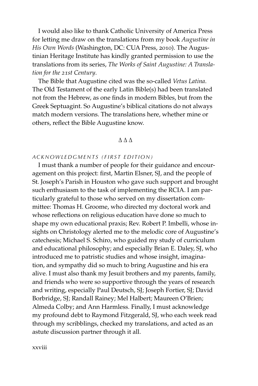I would also like to thank Catholic University of America Press for letting me draw on the translations from my book *Augustine in His Own Words* (Washington, DC: CUA Press, 2010). The Augustinian Heritage Institute has kindly granted permission to use the translations from its series, *The Works of Saint Augustine: A Translation for the 21st Century*.

The Bible that Augustine cited was the so-called *Vetus Latina*. The Old Testament of the early Latin Bible(s) had been translated not from the Hebrew, as one finds in modern Bibles, but from the Greek Septuagint. So Augustine's biblical citations do not always match modern versions. The translations here, whether mine or others, reflect the Bible Augustine know.

#### ∆ ∆ ∆

#### *Ack n owledgments ( f i rst editi o n )*

I must thank a number of people for their guidance and encouragement on this project: first, Martin Elsner, SJ, and the people of St. Joseph's Parish in Houston who gave such support and brought such enthusiasm to the task of implementing the RCIA. I am particularly grateful to those who served on my dissertation committee: Thomas H. Groome, who directed my doctoral work and whose reflections on religious education have done so much to shape my own educational praxis; Rev. Robert P. Imbelli, whose insights on Christology alerted me to the melodic core of Augustine's catechesis; Michael S. Schiro, who guided my study of curriculum and educational philosophy; and especially Brian E. Daley, SJ, who introduced me to patristic studies and whose insight, imagination, and sympathy did so much to bring Augustine and his era alive. I must also thank my Jesuit brothers and my parents, family, and friends who were so supportive through the years of research and writing, especially Paul Deutsch, SJ; Joseph Fortier, SJ; David Borbridge, SJ; Randall Rainey; Mel Halbert; Maureen O'Brien; Almeda Colby; and Ann Harmless. Finally, I must acknowledge my profound debt to Raymond Fitzgerald, SJ, who each week read through my scribblings, checked my translations, and acted as an astute discussion partner through it all.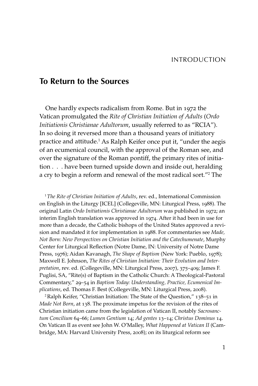### Introduction

### **To Return to the Sources**

One hardly expects radicalism from Rome. But in 1972 the Vatican promulgated the *Rite of Christian Initiation of Adults* (*Ordo Initiationis Christianae Adultorum*, usually referred to as "RCIA"). In so doing it reversed more than a thousand years of initiatory practice and attitude.<sup>1</sup> As Ralph Keifer once put it, "under the aegis of an ecumenical council, with the approval of the Roman see, and over the signature of the Roman pontiff, the primary rites of initiation . . . have been turned upside down and inside out, heralding a cry to begin a reform and renewal of the most radical sort."2 The

<sup>1</sup>*The Rite of Christian Initiation of Adults*, rev. ed., International Commission on English in the Liturgy [ICEL] (Collegeville, MN: Liturgical Press, 1988). The original Latin *Ordo Initiationis Christianae Adultorum* was published in 1972; an interim English translation was approved in 1974. After it had been in use for more than a decade, the Catholic bishops of the United States approved a revision and mandated it for implementation in 1988. For commentaries see *Made, Not Born: New Perspectives on Christian Initiation and the Catechumenate*, Murphy Center for Liturgical Reflection (Notre Dame, IN: University of Notre Dame Press, 1976); Aidan Kavanagh, *The Shape of Baptism* (New York: Pueblo, 1978); Maxwell E. Johnson, *The Rites of Christian Initiation: Their Evolution and Interpretation*, rev. ed. (Collegeville, MN: Liturgical Press, 2007), 375–409; James F. Puglisi, SA, "Rite(s) of Baptism in the Catholic Church: A Theological-Pastoral Commentary," 29–54 in *Baptism Today: Understanding, Practice, Ecumenical Implications*, ed. Thomas F. Best (Collegeville, MN: Liturgical Press, 2008).

<sup>2</sup> Ralph Keifer, "Christian Initiation: The State of the Question," 138-51 in *Made Not Born*, at 138. The proximate impetus for the revision of the rites of Christian initiation came from the legislation of Vatican II, notably *Sacrosanctum Concilium* 64–66; *Lumen Gentium* 14; *Ad gentes* 13–14; *Christus Dominus* 14. On Vatican II as event see John W. O'Malley, *What Happened at Vatican II* (Cambridge, MA: Harvard University Press, 2008); on its liturgical reform see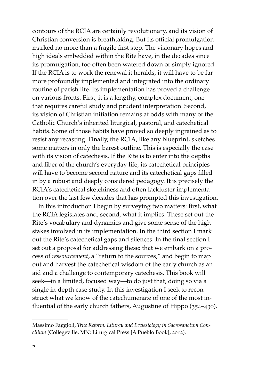contours of the RCIA are certainly revolutionary, and its vision of Christian conversion is breathtaking. But its official promulgation marked no more than a fragile first step. The visionary hopes and high ideals embedded within the Rite have, in the decades since its promulgation, too often been watered down or simply ignored. If the RCIA is to work the renewal it heralds, it will have to be far more profoundly implemented and integrated into the ordinary routine of parish life. Its implementation has proved a challenge on various fronts. First, it is a lengthy, complex document, one that requires careful study and prudent interpretation. Second, its vision of Christian initiation remains at odds with many of the Catholic Church's inherited liturgical, pastoral, and catechetical habits. Some of those habits have proved so deeply ingrained as to resist any recasting. Finally, the RCIA, like any blueprint, sketches some matters in only the barest outline. This is especially the case with its vision of catechesis. If the Rite is to enter into the depths and fiber of the church's everyday life, its catechetical principles will have to become second nature and its catechetical gaps filled in by a robust and deeply considered pedagogy. It is precisely the RCIA's catechetical sketchiness and often lackluster implementation over the last few decades that has prompted this investigation.

In this introduction I begin by surveying two matters: first, what the RCIA legislates and, second, what it implies. These set out the Rite's vocabulary and dynamics and give some sense of the high stakes involved in its implementation. In the third section I mark out the Rite's catechetical gaps and silences. In the final section I set out a proposal for addressing these: that we embark on a process of *ressourcement*, a "return to the sources," and begin to map out and harvest the catechetical wisdom of the early church as an aid and a challenge to contemporary catechesis. This book will seek—in a limited, focused way—to do just that, doing so via a single in-depth case study. In this investigation I seek to reconstruct what we know of the catechumenate of one of the most influential of the early church fathers, Augustine of Hippo (354–430).

Massimo Faggioli, *True Reform: Liturgy and Ecclesiology in Sacrosanctum Concilium* (Collegeville, MN: Liturgical Press [A Pueblo Book], 2012).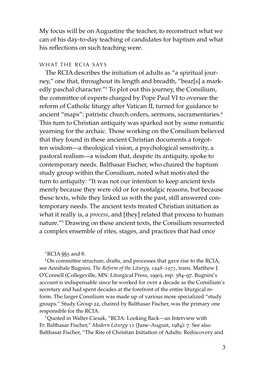My focus will be on Augustine the teacher, to reconstruct what we can of his day-to-day teaching of candidates for baptism and what his reflections on such teaching were.

#### WHAT THE RCIA SAYS

The RCIA describes the initiation of adults as "a spiritual journey," one that, throughout its length and breadth, "bear[s] a markedly paschal character."<sup>3</sup> To plot out this journey, the Consilium, the committee of experts charged by Pope Paul VI to oversee the reform of Catholic liturgy after Vatican II, turned for guidance to ancient "maps": patristic church orders, sermons, sacramentaries.<sup>4</sup> This turn to Christian antiquity was sparked not by some romantic yearning for the archaic. Those working on the Consilium believed that they found in these ancient Christian documents a forgotten wisdom—a theological vision, a psychological sensitivity, a pastoral realism—a wisdom that, despite its antiquity, spoke to contemporary needs. Balthasar Fischer, who chaired the baptism study group within the Consilium, noted what motivated the turn to antiquity: "It was not our intention to keep ancient texts merely because they were old or for nostalgic reasons, but because these texts, while they linked us with the past, still answered contemporary needs. The ancient texts treated Christian initiation as what it really is, a *process*, and [they] related that process to human nature."5 Drawing on these ancient texts, the Consilium resurrected a complex ensemble of rites, stages, and practices that had once

<sup>3</sup> RCIA §§5 and 8.

4 On committee structure, drafts, and processes that gave rise to the RCIA, see Annibale Bugnini, *The Reform of the Liturgy, 1948–1975*, trans. Matthew J. O'Connell (Collegeville, MN: Liturgical Press, 1990), esp. 584–97. Bugnini's account is indispensable since he worked for over a decade as the Consilium's secretary and had spent decades at the forefront of the entire liturgical reform. The larger Consilium was made up of various more specialized "study groups." Study Group 22, chaired by Balthasar Fischer, was the primary one responsible for the RCIA.

5 Quoted in Walter Ciesak, "RCIA: Looking Back—an Interview with Fr. Balthasar Fischer," *Modern Liturgy* 11 (June–August, 1984): 7. See also Balthasar Fischer, "The Rite of Christian Initiation of Adults: Rediscovery and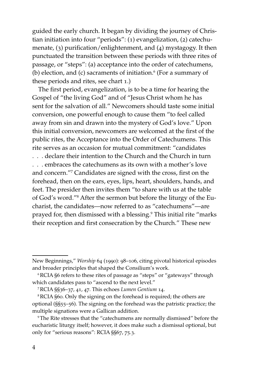guided the early church. It began by dividing the journey of Christian initiation into four "periods": (1) evangelization, (2) catechumenate, (3) purification/enlightenment, and (4) mystagogy. It then punctuated the transition between these periods with three rites of passage, or "steps": (a) acceptance into the order of catechumens, (b) election, and (c) sacraments of initiation. $6$  (For a summary of these periods and rites, see chart 1.)

The first period, evangelization, is to be a time for hearing the Gospel of "the living God" and of "Jesus Christ whom he has sent for the salvation of all." Newcomers should taste some initial conversion, one powerful enough to cause them "to feel called away from sin and drawn into the mystery of God's love." Upon this initial conversion, newcomers are welcomed at the first of the public rites, the Acceptance into the Order of Catechumens. This rite serves as an occasion for mutual commitment: "candidates . . . declare their intention to the Church and the Church in turn . . . embraces the catechumens as its own with a mother's love and concern."7 Candidates are signed with the cross, first on the forehead, then on the ears, eyes, lips, heart, shoulders, hands, and feet. The presider then invites them "to share with us at the table of God's word."8 After the sermon but before the liturgy of the Eu-

charist, the candidates—now referred to as "catechumens"—are prayed for, then dismissed with a blessing.<sup>9</sup> This initial rite "marks their reception and first consecration by the Church." These new

New Beginnings," *Worship* 64 (1990): 98–106, citing pivotal historical episodes and broader principles that shaped the Consilium's work.

<sup>&</sup>lt;sup>6</sup>RCIA §6 refers to these rites of passage as "steps" or "gateways" through which candidates pass to "ascend to the next level."

<sup>7</sup> RCIA §§36–37, 41, 47. This echoes *Lumen Gentium* 14.

<sup>8</sup> RCIA §60. Only the signing on the forehead is required; the others are optional (§§55–56). The signing on the forehead was the patristic practice; the multiple signations were a Gallican addition.

<sup>&</sup>lt;sup>9</sup> The Rite stresses that the "catechumens are normally dismissed" before the eucharistic liturgy itself; however, it does make such a dismissal optional, but only for "serious reasons": RCIA §§67, 75.3.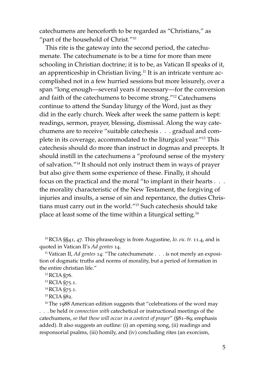catechumens are henceforth to be regarded as "Christians," as "part of the household of Christ."<sup>10</sup>

This rite is the gateway into the second period, the catechumenate. The catechumenate is to be a time for more than mere schooling in Christian doctrine; it is to be, as Vatican II speaks of it, an apprenticeship in Christian living.<sup>11</sup> It is an intricate venture accomplished not in a few hurried sessions but more leisurely, over a span "long enough—several years if necessary—for the conversion and faith of the catechumens to become strong."12 Catechumens continue to attend the Sunday liturgy of the Word, just as they did in the early church. Week after week the same pattern is kept: readings, sermon, prayer, blessing, dismissal. Along the way catechumens are to receive "suitable catechesis . . . gradual and complete in its coverage, accommodated to the liturgical year."13 This catechesis should do more than instruct in dogmas and precepts. It should instill in the catechumens a "profound sense of the mystery of salvation."14 It should not only instruct them in ways of prayer but also give them some experience of these. Finally, it should focus on the practical and the moral "to implant in their hearts . . . the morality characteristic of the New Testament, the forgiving of injuries and insults, a sense of sin and repentance, the duties Christians must carry out in the world."15 Such catechesis should take place at least some of the time within a liturgical setting.16

10 RCIA §§41, 47. This phraseology is from Augustine, *Io. eu. tr.* 11.4, and is quoted in Vatican II's *Ad gentes* 14.

11 Vatican II, *Ad gentes* 14: "The catechumenate . . . is not merely an exposition of dogmatic truths and norms of morality, but a period of formation in the entire christian life."

12 RCIA §76.

- <sup>13</sup> RCIA §75.1.
- <sup>14</sup> RCIA §75.1.
- 15 RCIA §82.

<sup>16</sup> The 1988 American edition suggests that "celebrations of the word may . . . be held *in connection with* catechetical or instructional meetings of the catechumens, *so that these will occur in a context of prayer*" (§81–89; emphasis added). It also suggests an outline: (i) an opening song, (ii) readings and responsorial psalms, (iii) homily, and (iv) concluding rites (an exorcism,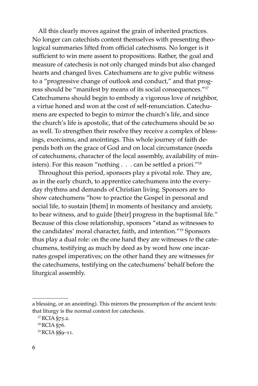All this clearly moves against the grain of inherited practices. No longer can catechists content themselves with presenting theological summaries lifted from official catechisms. No longer is it sufficient to win mere assent to propositions. Rather, the goal and measure of catechesis is not only changed minds but also changed hearts and changed lives. Catechumens are to give public witness to a "progressive change of outlook and conduct," and that progress should be "manifest by means of its social consequences."17 Catechumens should begin to embody a vigorous love of neighbor, a virtue honed and won at the cost of self-renunciation. Catechumens are expected to begin to mirror the church's life, and since the church's life is apostolic, that of the catechumens should be so as well. To strengthen their resolve they receive a complex of blessings, exorcisms, and anointings. This whole journey of faith depends both on the grace of God and on local circumstance (needs of catechumens, character of the local assembly, availability of ministers). For this reason "nothing . . . can be settled a priori."18

Throughout this period, sponsors play a pivotal role. They are, as in the early church, to apprentice catechumens into the everyday rhythms and demands of Christian living. Sponsors are to show catechumens "how to practice the Gospel in personal and social life, to sustain [them] in moments of hesitancy and anxiety, to bear witness, and to guide [their] progress in the baptismal life." Because of this close relationship, sponsors "stand as witnesses to the candidates' moral character, faith, and intention."19 Sponsors thus play a dual role: on the one hand they are witnesses *to* the catechumens, testifying as much by deed as by word how one incarnates gospel imperatives; on the other hand they are witnesses *for* the catechumens, testifying on the catechumens' behalf before the liturgical assembly.

a blessing, or an anointing). This mirrors the presumption of the ancient texts: that liturgy is the normal context for catechesis.

<sup>&</sup>lt;sup>17</sup> RCIA §75.2.

<sup>18</sup> RCIA §76.

<sup>19</sup> RCIA §§9–11.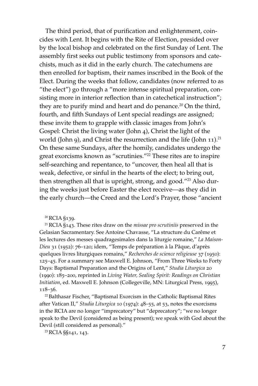The third period, that of purification and enlightenment, coincides with Lent. It begins with the Rite of Election, presided over by the local bishop and celebrated on the first Sunday of Lent. The assembly first seeks out public testimony from sponsors and catechists, much as it did in the early church. The catechumens are then enrolled for baptism, their names inscribed in the Book of the Elect. During the weeks that follow, candidates (now referred to as "the elect") go through a "more intense spiritual preparation, consisting more in interior reflection than in catechetical instruction"; they are to purify mind and heart and do penance.<sup>20</sup> On the third, fourth, and fifth Sundays of Lent special readings are assigned; these invite them to grapple with classic images from John's Gospel: Christ the living water (John 4), Christ the light of the world (John 9), and Christ the resurrection and the life (John 11).<sup>21</sup> On these same Sundays, after the homily, candidates undergo the great exorcisms known as "scrutinies."22 These rites are to inspire self-searching and repentance, to "uncover, then heal all that is weak, defective, or sinful in the hearts of the elect; to bring out, then strengthen all that is upright, strong, and good."<sup>23</sup> Also during the weeks just before Easter the elect receive—as they did in the early church—the Creed and the Lord's Prayer, those "ancient

20 RCIA §139.

21 RCIA §143. These rites draw on the *missae pro scrutiniis* preserved in the Gelasian Sacramentary. See Antoine Chavasse, "La structure du Carême et les lectures des messes quadragesimales dans la liturgie romaine," *La Maison-Dieu* 31 (1952): 76–120; idem, "Temps de préparation à la Pâque, d'après quelques livres liturgiques romains," *Recherches de science religieuse* 37 (1950): 125–45. For a summary see Maxwell E. Johnson, "From Three Weeks to Forty Days: Baptismal Preparation and the Origins of Lent," *Studia Liturgica* 20 (1990): 185–200, reprinted in *Living Water, Sealing Spirit: Readings on Christian Initiation*, ed. Maxwell E. Johnson (Collegeville, MN: Liturgical Press, 1995), 118–36.

22 Balthasar Fischer, "Baptismal Exorcism in the Catholic Baptismal Rites after Vatican II," *Studia Liturgica* 10 (1974): 48–55, at 53, notes the exorcisms in the RCIA are no longer "imprecatory" but "deprecatory"; "we no longer speak to the Devil (considered as being present); we speak with God about the Devil (still considered as personal)."

23 RCIA §§141, 143.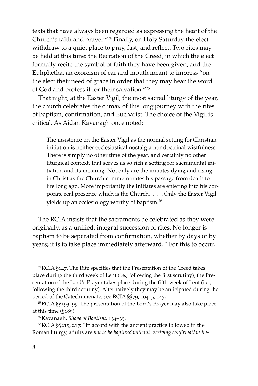texts that have always been regarded as expressing the heart of the Church's faith and prayer."24 Finally, on Holy Saturday the elect withdraw to a quiet place to pray, fast, and reflect. Two rites may be held at this time: the Recitation of the Creed, in which the elect formally recite the symbol of faith they have been given, and the Ephphetha, an exorcism of ear and mouth meant to impress "on the elect their need of grace in order that they may hear the word of God and profess it for their salvation."25

That night, at the Easter Vigil, the most sacred liturgy of the year, the church celebrates the climax of this long journey with the rites of baptism, confirmation, and Eucharist. The choice of the Vigil is critical. As Aidan Kavanagh once noted:

The insistence on the Easter Vigil as the normal setting for Christian initiation is neither ecclesiastical nostalgia nor doctrinal wistfulness. There is simply no other time of the year, and certainly no other liturgical context, that serves as so rich a setting for sacramental initiation and its meaning. Not only are the initiates dying and rising in Christ as the Church commemorates his passage from death to life long ago. More importantly the initiates are entering into his corporate real presence which is the Church. . . . Only the Easter Vigil yields up an ecclesiology worthy of baptism.<sup>26</sup>

The RCIA insists that the sacraments be celebrated as they were originally, as a unified, integral succession of rites. No longer is baptism to be separated from confirmation, whether by days or by years; it is to take place immediately afterward.<sup>27</sup> For this to occur,

 $24$  RCIA §147. The Rite specifies that the Presentation of the Creed takes place during the third week of Lent (i.e., following the first scrutiny); the Presentation of the Lord's Prayer takes place during the fifth week of Lent (i.e., following the third scrutiny). Alternatively they may be anticipated during the period of the Catechumenate; see RCIA §§79, 104–5, 147.

 $25$  RCIA §§193–99. The presentation of the Lord's Prayer may also take place at this time (§189).

26 Kavanagh, *Shape of Baptism*, 134–35.

 $27$  RCIA §§215, 217: "In accord with the ancient practice followed in the Roman liturgy, adults are *not to be baptized without receiving confirmation im-*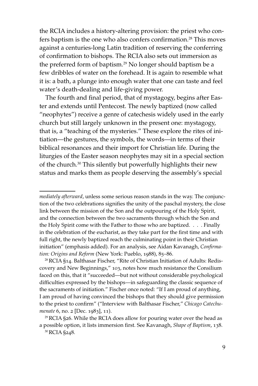the RCIA includes a history-altering provision: the priest who confers baptism is the one who also confers confirmation.<sup>28</sup> This moves against a centuries-long Latin tradition of reserving the conferring of confirmation to bishops. The RCIA also sets out immersion as the preferred form of baptism.29 No longer should baptism be a few dribbles of water on the forehead. It is again to resemble what it is: a bath, a plunge into enough water that one can taste and feel water's death-dealing and life-giving power.

The fourth and final period, that of mystagogy, begins after Easter and extends until Pentecost. The newly baptized (now called "neophytes") receive a genre of catechesis widely used in the early church but still largely unknown in the present one: mystagogy, that is, a "teaching of the mysteries." These explore the rites of initiation—the gestures, the symbols, the words—in terms of their biblical resonances and their import for Christian life. During the liturgies of the Easter season neophytes may sit in a special section of the church.30 This silently but powerfully highlights their new status and marks them as people deserving the assembly's special

*mediately afterward*, unless some serious reason stands in the way. The conjunction of the two celebrations signifies the unity of the paschal mystery, the close link between the mission of the Son and the outpouring of the Holy Spirit, and the connection between the two sacraments through which the Son and the Holy Spirit come with the Father to those who are baptized. . . . Finally in the celebration of the eucharist, as they take part for the first time and with full right, the newly baptized reach the culminating point in their Christian initiation" (emphasis added). For an analysis, see Aidan Kavanagh, *Confirmation: Origins and Reform* (New York: Pueblo, 1988), 85–86.

<sup>28</sup> RCIA §14. Balthasar Fischer, "Rite of Christian Initiation of Adults: Rediscovery and New Beginnings," 103, notes how much resistance the Consilium faced on this, that it "succeeded—but not without considerable psychological difficulties expressed by the bishops—in safeguarding the classic sequence of the sacraments of initiation." Fischer once noted: "If I am proud of anything, I am proud of having convinced the bishops that they should give permission to the priest to confirm" ("Interview with Balthasar Fischer," *Chicago Catechumenate* 6, no. 2 [Dec. 1983], 11).

 $29$  RCIA §26. While the RCIA does allow for pouring water over the head as a possible option, it lists immersion first. See Kavanagh, *Shape of Baptism*, 138. 30 RCIA §248.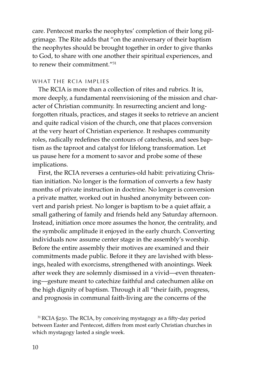care. Pentecost marks the neophytes' completion of their long pilgrimage. The Rite adds that "on the anniversary of their baptism the neophytes should be brought together in order to give thanks to God, to share with one another their spiritual experiences, and to renew their commitment."31

### WHAT THE RCIA IMPLIES

The RCIA is more than a collection of rites and rubrics. It is, more deeply, a fundamental reenvisioning of the mission and character of Christian community. In resurrecting ancient and longforgotten rituals, practices, and stages it seeks to retrieve an ancient and quite radical vision of the church, one that places conversion at the very heart of Christian experience. It reshapes community roles, radically redefines the contours of catechesis, and sees baptism as the taproot and catalyst for lifelong transformation. Let us pause here for a moment to savor and probe some of these implications.

First, the RCIA reverses a centuries-old habit: privatizing Christian initiation. No longer is the formation of converts a few hasty months of private instruction in doctrine. No longer is conversion a private matter, worked out in hushed anonymity between convert and parish priest. No longer is baptism to be a quiet affair, a small gathering of family and friends held any Saturday afternoon. Instead, initiation once more assumes the honor, the centrality, and the symbolic amplitude it enjoyed in the early church. Converting individuals now assume center stage in the assembly's worship. Before the entire assembly their motives are examined and their commitments made public. Before it they are lavished with blessings, healed with exorcisms, strengthened with anointings. Week after week they are solemnly dismissed in a vivid—even threatening—gesture meant to catechize faithful and catechumen alike on the high dignity of baptism. Through it all "their faith, progress, and prognosis in communal faith-living are the concerns of the

<sup>31</sup> RCIA §250. The RCIA, by conceiving mystagogy as a fifty-day period between Easter and Pentecost, differs from most early Christian churches in which mystagogy lasted a single week.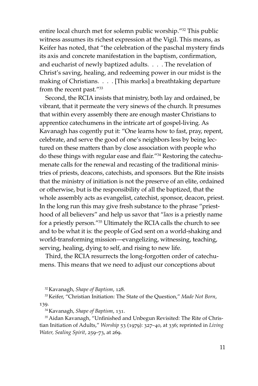entire local church met for solemn public worship."32 This public witness assumes its richest expression at the Vigil. This means, as Keifer has noted, that "the celebration of the paschal mystery finds its axis and concrete manifestation in the baptism, confirmation, and eucharist of newly baptized adults. . . . The revelation of Christ's saving, healing, and redeeming power in our midst is the making of Christians. . . . [This marks] a breathtaking departure from the recent past."33

Second, the RCIA insists that ministry, both lay and ordained, be vibrant, that it permeate the very sinews of the church. It presumes that within every assembly there are enough master Christians to apprentice catechumens in the intricate art of gospel-living. As Kavanagh has cogently put it: "One learns how to fast, pray, repent, celebrate, and serve the good of one's neighbors less by being lectured on these matters than by close association with people who do these things with regular ease and flair."34 Restoring the catechumenate calls for the renewal and recasting of the traditional ministries of priests, deacons, catechists, and sponsors. But the Rite insists that the ministry of initiation is not the preserve of an elite, ordained or otherwise, but is the responsibility of all the baptized, that the whole assembly acts as evangelist, catechist, sponsor, deacon, priest. In the long run this may give fresh substance to the phrase "priesthood of all believers" and help us savor that "*laos* is a priestly name for a priestly person."35 Ultimately the RCIA calls the church to see and to be what it is: the people of God sent on a world-shaking and world-transforming mission—evangelizing, witnessing, teaching, serving, healing, dying to self, and rising to new life.

Third, the RCIA resurrects the long-forgotten order of catechumens. This means that we need to adjust our conceptions about

32 Kavanagh, *Shape of Baptism*, 128.

33 Keifer, "Christian Initiation: The State of the Question," *Made Not Born*, 139.

34 Kavanagh, *Shape of Baptism*, 131.

35 Aidan Kavanagh, "Unfinished and Unbegun Revisited: The Rite of Christian Initiation of Adults," *Worship* 53 (1979): 327–40, at 336; reprinted in *Living Water, Sealing Spirit*, 259–73, at 269.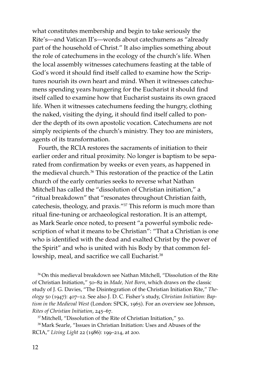what constitutes membership and begin to take seriously the Rite's—and Vatican II's—words about catechumens as "already part of the household of Christ." It also implies something about the role of catechumens in the ecology of the church's life. When the local assembly witnesses catechumens feasting at the table of God's word it should find itself called to examine how the Scriptures nourish its own heart and mind. When it witnesses catechumens spending years hungering for the Eucharist it should find itself called to examine how that Eucharist sustains its own graced life. When it witnesses catechumens feeding the hungry, clothing the naked, visiting the dying, it should find itself called to ponder the depth of its own apostolic vocation. Catechumens are not simply recipients of the church's ministry. They too are ministers, agents of its transformation.

Fourth, the RCIA restores the sacraments of initiation to their earlier order and ritual proximity. No longer is baptism to be separated from confirmation by weeks or even years, as happened in the medieval church.<sup>36</sup> This restoration of the practice of the Latin church of the early centuries seeks to reverse what Nathan Mitchell has called the "dissolution of Christian initiation," a "ritual breakdown" that "resonates throughout Christian faith, catechesis, theology, and praxis."37 This reform is much more than ritual fine-tuning or archaeological restoration. It is an attempt, as Mark Searle once noted, to present "a powerful symbolic redescription of what it means to be Christian": "That a Christian is one who is identified with the dead and exalted Christ by the power of the Spirit" and who is united with his Body by that common fellowship, meal, and sacrifice we call Eucharist.<sup>38</sup>

36 On this medieval breakdown see Nathan Mitchell, "Dissolution of the Rite of Christian Initiation," 50–82 in *Made, Not Born*, which draws on the classic study of J. G. Davies, "The Disintegration of the Christian Initiation Rite," *Theology* 50 (1947): 407–12. See also J. D. C. Fisher's study, *Christian Initiation: Baptism in the Medieval West* (London: SPCK, 1965). For an overview see Johnson, *Rites of Christian Initiation*, 245–67.

37 Mitchell, "Dissolution of the Rite of Christian Initiation," 50.

38 Mark Searle, "Issues in Christian Initiation: Uses and Abuses of the RCIA," *Living Light* 22 (1986): 199–214, at 200.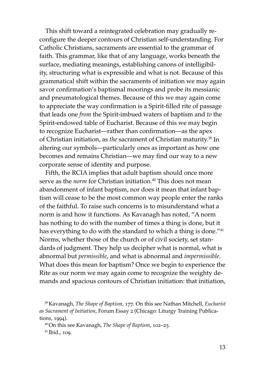This shift toward a reintegrated celebration may gradually reconfigure the deeper contours of Christian self-understanding. For Catholic Christians, sacraments are essential to the grammar of faith. This grammar, like that of any language, works beneath the surface, mediating meanings, establishing canons of intelligibility, structuring what is expressible and what is not. Because of this grammatical shift within the sacraments of initiation we may again savor confirmation's baptismal moorings and probe its messianic and pneumatological themes. Because of this we may again come to appreciate the way confirmation is a Spirit-filled rite of passage that leads one *from* the Spirit-imbued waters of baptism and *to* the Spirit-endowed table of Eucharist. Because of this we may begin to recognize Eucharist—rather than confirmation—as the apex of Christian initiation, as *the* sacrament of Christian maturity.39 In altering our symbols—particularly ones as important as how one becomes and remains Christian—we may find our way to a new corporate sense of identity and purpose.

Fifth, the RCIA implies that adult baptism should once more serve as the *norm* for Christian initiation.<sup>40</sup> This does not mean abandonment of infant baptism, nor does it mean that infant baptism will cease to be the most common way people enter the ranks of the faithful. To raise such concerns is to misunderstand what a norm is and how it functions. As Kavanagh has noted, "A norm has nothing to do with the number of times a thing is done, but it has everything to do with the standard to which a thing is done."<sup>41</sup> Norms, whether those of the church or of civil society, set standards of judgment. They help us decipher what is normal, what is abnormal but *permissible*, and what is abnormal and *impermissible*. What does this mean for baptism? Once we begin to experience the Rite as our norm we may again come to recognize the weighty demands and spacious contours of Christian initiation: that initiation,

<sup>39</sup> Kavanagh, *The Shape of Baptism*, 177. On this see Nathan Mitchell, *Eucharist as Sacrament of Initiation*, Forum Essay 2 (Chicago: Liturgy Training Publications, 1994).

<sup>40</sup> On this see Kavanagh, *The Shape of Baptism*, 102–25. 41 Ibid., 109.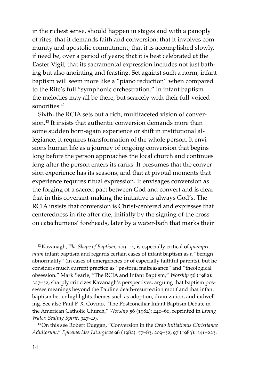in the richest sense, should happen in stages and with a panoply of rites; that it demands faith and conversion; that it involves community and apostolic commitment; that it is accomplished slowly, if need be, over a period of years; that it is best celebrated at the Easter Vigil; that its sacramental expression includes not just bathing but also anointing and feasting. Set against such a norm, infant baptism will seem more like a "piano reduction" when compared to the Rite's full "symphonic orchestration." In infant baptism the melodies may all be there, but scarcely with their full-voiced sonorities.<sup>42</sup>

Sixth, the RCIA sets out a rich, multifaceted vision of conversion.<sup>43</sup> It insists that authentic conversion demands more than some sudden born-again experience or shift in institutional allegiance; it requires transformation of the whole person. It envisions human life as a journey of ongoing conversion that begins long before the person approaches the local church and continues long after the person enters its ranks. It presumes that the conversion experience has its seasons, and that at pivotal moments that experience requires ritual expression. It envisages conversion as the forging of a sacred pact between God and convert and is clear that in this covenant-making the initiative is always God's. The RCIA insists that conversion is Christ-centered and expresses that centeredness in rite after rite, initially by the signing of the cross on catechumens' foreheads, later by a water-bath that marks their

42 Kavanagh, *The Shape of Baptism*, 109–14, is especially critical of *quamprimum* infant baptism and regards certain cases of infant baptism as a "benign abnormality" (in cases of emergencies or of especially faithful parents), but he considers much current practice as "pastoral malfeasance" and "theological obsession." Mark Searle, "The RCIA and Infant Baptism," *Worship* 56 (1982): 327–32, sharply criticizes Kavanagh's perspectives, arguing that baptism possesses meanings beyond the Pauline death-resurrection motif and that infant baptism better highlights themes such as adoption, divinization, and indwelling. See also Paul F. X. Covino, "The Postconciliar Infant Baptism Debate in the American Catholic Church," *Worship* 56 (1982): 240–60, reprinted in *Living Water, Sealing Spirit*, 327–49.

43 On this see Robert Duggan, "Conversion in the *Ordo Initiationis Christianae Adultorum*," *Ephemerides Liturgicae* 96 (1982): 57–83, 209–32; 97 (1983): 141–223.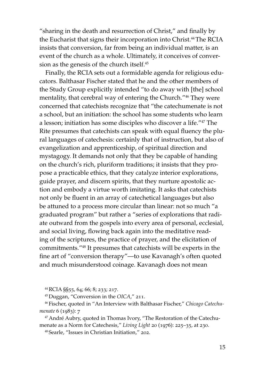"sharing in the death and resurrection of Christ," and finally by the Eucharist that signs their incorporation into Christ.<sup>44</sup>The RCIA insists that conversion, far from being an individual matter, is an event of the church as a whole. Ultimately, it conceives of conversion as the genesis of the church itself.<sup>45</sup>

Finally, the RCIA sets out a formidable agenda for religious educators. Balthasar Fischer stated that he and the other members of the Study Group explicitly intended "to do away with [the] school mentality, that cerebral way of entering the Church."<sup>46</sup> They were concerned that catechists recognize that "the catechumenate is not a school, but an initiation: the school has some students who learn a lesson; initiation has some disciples who discover a life."47 The Rite presumes that catechists can speak with equal fluency the plural languages of catechesis: certainly that of instruction, but also of evangelization and apprenticeship, of spiritual direction and mystagogy. It demands not only that they be capable of handing on the church's rich, pluriform traditions; it insists that they propose a practicable ethics, that they catalyze interior explorations, guide prayer, and discern spirits, that they nurture apostolic action and embody a virtue worth imitating. It asks that catechists not only be fluent in an array of catechetical languages but also be attuned to a process more circular than linear: not so much "a graduated program" but rather a "series of explorations that radiate outward from the gospels into every area of personal, ecclesial, and social living, flowing back again into the meditative reading of the scriptures, the practice of prayer, and the elicitation of commitments."48 It presumes that catechists will be experts in the fine art of "conversion therapy"—to use Kavanagh's often quoted and much misunderstood coinage. Kavanagh does not mean

44 RCIA §§55, 64; 66; 8; 233; 217.

45 Duggan, "Conversion in the *OICA*," 211.

46 Fischer, quoted in "An Interview with Balthasar Fischer," *Chicago Catechumenate* 6 (1983): 7

<sup>47</sup> André Aubry, quoted in Thomas Ivory, "The Restoration of the Catechumenate as a Norm for Catechesis," *Living Light* 20 (1976): 225–35, at 230.

48 Searle, "Issues in Christian Initiation," 202.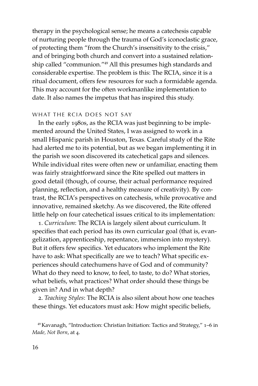therapy in the psychological sense; he means a catechesis capable of nurturing people through the trauma of God's iconoclastic grace, of protecting them "from the Church's insensitivity to the crisis," and of bringing both church and convert into a sustained relationship called "communion."49 All this presumes high standards and considerable expertise. The problem is this: The RCIA, since it is a ritual document, offers few resources for such a formidable agenda. This may account for the often workmanlike implementation to date. It also names the impetus that has inspired this study.

### WHAT THE RCIA DOES NOT SAY

In the early 1980s, as the RCIA was just beginning to be implemented around the United States, I was assigned to work in a small Hispanic parish in Houston, Texas. Careful study of the Rite had alerted me to its potential, but as we began implementing it in the parish we soon discovered its catechetical gaps and silences. While individual rites were often new or unfamiliar, enacting them was fairly straightforward since the Rite spelled out matters in good detail (though, of course, their actual performance required planning, reflection, and a healthy measure of creativity). By contrast, the RCIA's perspectives on catechesis, while provocative and innovative, remained sketchy. As we discovered, the Rite offered little help on four catechetical issues critical to its implementation:

1. *Curriculum*: The RCIA is largely silent about curriculum. It specifies that each period has its own curricular goal (that is, evangelization, apprenticeship, repentance, immersion into mystery). But it offers few specifics. Yet educators who implement the Rite have to ask: What specifically are we to teach? What specific experiences should catechumens have of God and of community? What do they need to know, to feel, to taste, to do? What stories, what beliefs, what practices? What order should these things be given in? And in what depth?

2. *Teaching Styles*: The RCIA is also silent about how one teaches these things. Yet educators must ask: How might specific beliefs,

49 Kavanagh, "Introduction: Christian Initiation: Tactics and Strategy," 1–6 in *Made, Not Born*, at 4.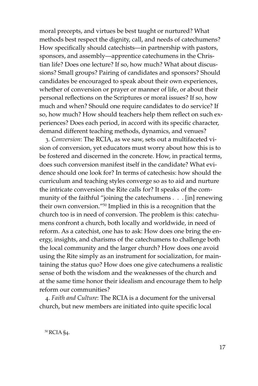moral precepts, and virtues be best taught or nurtured? What methods best respect the dignity, call, and needs of catechumens? How specifically should catechists—in partnership with pastors, sponsors, and assembly—apprentice catechumens in the Christian life? Does one lecture? If so, how much? What about discussions? Small groups? Pairing of candidates and sponsors? Should candidates be encouraged to speak about their own experiences, whether of conversion or prayer or manner of life, or about their personal reflections on the Scriptures or moral issues? If so, how much and when? Should one require candidates to do service? If so, how much? How should teachers help them reflect on such experiences? Does each period, in accord with its specific character, demand different teaching methods, dynamics, and venues?

3. *Conversion*: The RCIA, as we saw, sets out a multifaceted vision of conversion, yet educators must worry about how this is to be fostered and discerned in the concrete. How, in practical terms, does such conversion manifest itself in the candidate? What evidence should one look for? In terms of catechesis: how should the curriculum and teaching styles converge so as to aid and nurture the intricate conversion the Rite calls for? It speaks of the community of the faithful "joining the catechumens . . . [in] renewing their own conversion."50 Implied in this is a recognition that the church too is in need of conversion. The problem is this: catechumens confront a church, both locally and worldwide, in need of reform. As a catechist, one has to ask: How does one bring the energy, insights, and charisms of the catechumens to challenge both the local community and the larger church? How does one avoid using the Rite simply as an instrument for socialization, for maintaining the status quo? How does one give catechumens a realistic sense of both the wisdom and the weaknesses of the church and at the same time honor their idealism and encourage them to help reform our communities?

4. *Faith and Culture*: The RCIA is a document for the universal church, but new members are initiated into quite specific local

50 RCIA §4.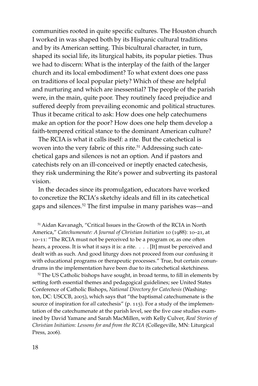communities rooted in quite specific cultures. The Houston church I worked in was shaped both by its Hispanic cultural traditions and by its American setting. This bicultural character, in turn, shaped its social life, its liturgical habits, its popular pieties. Thus we had to discern: What is the interplay of the faith of the larger church and its local embodiment? To what extent does one pass on traditions of local popular piety? Which of these are helpful and nurturing and which are inessential? The people of the parish were, in the main, quite poor. They routinely faced prejudice and suffered deeply from prevailing economic and political structures. Thus it became critical to ask: How does one help catechumens make an option for the poor? How does one help them develop a faith-tempered critical stance to the dominant American culture?

The RCIA is what it calls itself: a rite. But the catechetical is woven into the very fabric of this rite.<sup>51</sup> Addressing such catechetical gaps and silences is not an option. And if pastors and catechists rely on an ill-conceived or ineptly enacted catechesis, they risk undermining the Rite's power and subverting its pastoral vision.

In the decades since its promulgation, educators have worked to concretize the RCIA's sketchy ideals and fill in its catechetical gaps and silences.52 The first impulse in many parishes was—and

51 Aidan Kavanagh, "Critical Issues in the Growth of the RCIA in North America," *Catechumenate: A Journal of Christian Initiation* 10 (1988): 10–21, at 10–11: "The RCIA must not be perceived to be a program or, as one often hears, a process. It is what it says it is: a rite. . . . [It] must be perceived and dealt with as such. And good liturgy does not proceed from our confusing it with educational programs or therapeutic processes." True, but certain conundrums in the implementation have been due to its catechetical sketchiness.

 $52$  The US Catholic bishops have sought, in broad terms, to fill in elements by setting forth essential themes and pedagogical guidelines; see United States Conference of Catholic Bishops, *National Directory for Catechesis* (Washington, DC: USCCB, 2005), which says that "the baptismal catechumenate is the source of inspiration for *all* catechesis" (p. 115). For a study of the implementation of the catechumenate at the parish level, see the five case studies examined by David Yamane and Sarah MacMillen, with Kelly Culver, *Real Stories of Christian Initiation: Lessons for and from the RCIA* (Collegeville, MN: Liturgical Press, 2006).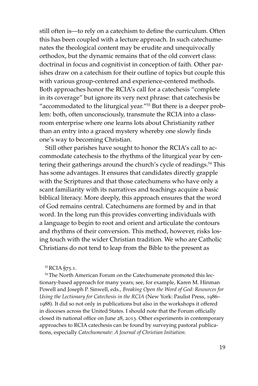still often is—to rely on a catechism to define the curriculum. Often this has been coupled with a lecture approach. In such catechumenates the theological content may be erudite and unequivocally orthodox, but the dynamic remains that of the old convert class: doctrinal in focus and cognitivist in conception of faith. Other parishes draw on a catechism for their outline of topics but couple this with various group-centered and experience-centered methods. Both approaches honor the RCIA's call for a catechesis "complete in its coverage" but ignore its very next phrase: that catechesis be "accommodated to the liturgical year."53 But there is a deeper problem: both, often unconsciously, transmute the RCIA into a classroom enterprise where one learns lots about Christianity rather than an entry into a graced mystery whereby one slowly finds one's way to becoming Christian.

Still other parishes have sought to honor the RCIA's call to accommodate catechesis to the rhythms of the liturgical year by centering their gatherings around the church's cycle of readings.<sup>54</sup> This has some advantages. It ensures that candidates directly grapple with the Scriptures and that those catechumens who have only a scant familiarity with its narratives and teachings acquire a basic biblical literacy. More deeply, this approach ensures that the word of God remains central. Catechumens are formed by and in that word. In the long run this provides converting individuals with a language to begin to root and orient and articulate the contours and rhythms of their conversion. This method, however, risks losing touch with the wider Christian tradition. We who are Catholic Christians do not tend to leap from the Bible to the present as

53 RCIA §75.1.

54 The North American Forum on the Catechumenate promoted this lectionary-based approach for many years; see, for example, Karen M. Hinman Powell and Joseph P. Sinwell, eds., *Breaking Open the Word of God: Resources for Using the Lectionary for Catechesis in the RCIA* (New York: Paulist Press, 1986– 1988). It did so not only in publications but also in the workshops it offered in dioceses across the United States. I should note that the Forum officially closed its national office on June 28, 2013. Other experiments in contemporary approaches to RCIA catechesis can be found by surveying pastoral publications, especially *Catechumenate: A Journal of Christian Initiation*.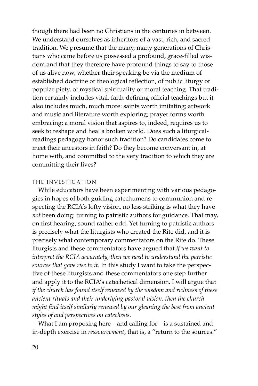though there had been no Christians in the centuries in between. We understand ourselves as inheritors of a vast, rich, and sacred tradition. We presume that the many, many generations of Christians who came before us possessed a profound, grace-filled wisdom and that they therefore have profound things to say to those of us alive now, whether their speaking be via the medium of established doctrine or theological reflection, of public liturgy or popular piety, of mystical spirituality or moral teaching. That tradition certainly includes vital, faith-defining official teachings but it also includes much, much more: saints worth imitating; artwork and music and literature worth exploring; prayer forms worth embracing; a moral vision that aspires to, indeed, requires us to seek to reshape and heal a broken world. Does such a liturgicalreadings pedagogy honor such tradition? Do candidates come to meet their ancestors in faith? Do they become conversant in, at home with, and committed to the very tradition to which they are committing their lives?

### THE INVESTIGATION

While educators have been experimenting with various pedagogies in hopes of both guiding catechumens to communion and respecting the RCIA's lofty vision, no less striking is what they have *not* been doing: turning to patristic authors for guidance. That may, on first hearing, sound rather odd. Yet turning to patristic authors is precisely what the liturgists who created the Rite did, and it is precisely what contemporary commentators on the Rite do. These liturgists and these commentators have argued that *if we want to interpret the RCIA accurately, then we need to understand the patristic sources that gave rise to it*. In this study I want to take the perspective of these liturgists and these commentators one step further and apply it to the RCIA's catechetical dimension. I will argue that *if the church has found itself renewed by the wisdom and richness of these ancient rituals and their underlying pastoral vision, then the church might find itself similarly renewed by our gleaning the best from ancient styles of and perspectives on catechesis*.

What I am proposing here—and calling for—is a sustained and in-depth exercise in *ressourcement*, that is, a "return to the sources."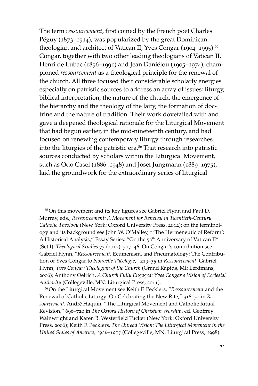The term *ressourcement*, first coined by the French poet Charles Péguy (1873–1914), was popularized by the great Dominican theologian and architect of Vatican II, Yves Congar (1904–1995).<sup>55</sup> Congar, together with two other leading theologians of Vatican II, Henri de Lubac (1896–1991) and Jean Daniélou (1905–1974), championed *ressourcement* as a theological principle for the renewal of the church. All three focused their considerable scholarly energies especially on patristic sources to address an array of issues: liturgy, biblical interpretation, the nature of the church, the emergence of the hierarchy and the theology of the laity, the formation of doctrine and the nature of tradition. Their work dovetailed with and gave a deepened theological rationale for the Liturgical Movement that had begun earlier, in the mid-nineteenth century, and had focused on renewing contemporary liturgy through researches into the liturgies of the patristic era.<sup>56</sup> That research into patristic sources conducted by scholars within the Liturgical Movement, such as Odo Casel (1886–1948) and Josef Jungmann (1889–1975), laid the groundwork for the extraordinary series of liturgical

55 On this movement and its key figures see Gabriel Flynn and Paul D. Murray, eds., *Ressourcement: A Movement for Renewal in Twentieth-Century Catholic Theology* (New York: Oxford University Press, 2012); on the terminology and its background see John W. O'Malley, " 'The Hermeneutic of Reform': A Historical Analysis," Essay Series: "On the 50<sup>th</sup> Anniversary of Vatican II" (Set I), *Theological Studies* 73 (2012): 517–46. On Congar's contribution see Gabriel Flynn, "*Ressourcement*, Ecumenism, and Pneumatology: The Contribution of Yves Congar to *Nouvelle Théologie*," 219–35 in *Ressourcement*; Gabriel Flynn, *Yves Congar: Theologian of the Church* (Grand Rapids, MI: Eerdmans, 2006); Anthony Oelrich, *A Church Fully Engaged: Yves Congar's Vision of Ecclesial Authority* (Collegeville, MN: Liturgical Press, 2011).

56 On the Liturgical Movement see Keith F. Pecklers, "*Ressourcement* and the Renewal of Catholic Liturgy: On Celebrating the New Rite," 318–32 in *Ressourcement*; André Haquin, "The Liturgical Movement and Catholic Ritual Revision," 696–720 in *The Oxford History of Christian Worship*, ed. Geoffrey Wainwright and Karen B. Westerfield Tucker (New York: Oxford University Press, 2006); Keith F. Pecklers, *The Unread Vision: The Liturgical Movement in the United States of America, 1926–1955* (Collegeville, MN: Liturgical Press, 1998).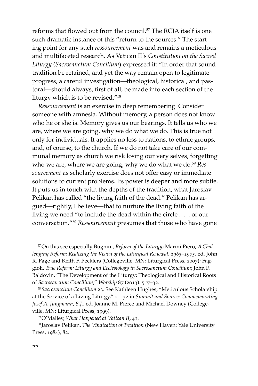reforms that flowed out from the council.<sup>57</sup> The RCIA itself is one such dramatic instance of this "return to the sources." The starting point for any such *ressourcement* was and remains a meticulous and multifaceted research. As Vatican II's *Constitution on the Sacred Liturgy* (*Sacrosanctum Concilium*) expressed it: "In order that sound tradition be retained, and yet the way remain open to legitimate progress, a careful investigation—theological, historical, and pastoral—should always, first of all, be made into each section of the liturgy which is to be revised."58

*Ressourcement* is an exercise in deep remembering. Consider someone with amnesia. Without memory, a person does not know who he or she is. Memory gives us our bearings. It tells us who we are, where we are going, why we do what we do. This is true not only for individuals. It applies no less to nations, to ethnic groups, and, of course, to the church. If we do not take care of our communal memory as church we risk losing our very selves, forgetting who we are, where we are going, why we do what we do.<sup>59</sup> Res*sourcement* as scholarly exercise does not offer easy or immediate solutions to current problems. Its power is deeper and more subtle. It puts us in touch with the depths of the tradition, what Jaroslav Pelikan has called "the living faith of the dead." Pelikan has argued—rightly, I believe—that to nurture the living faith of the living we need "to include the dead within the circle . . . of our conversation."60 *Ressourcement* presumes that those who have gone

57 On this see especially Bugnini, *Reform of the Liturgy*; Marini Piero, *A Challenging Reform: Realizing the Vision of the Liturgical Renewal, 1963–1975,* ed. John R. Page and Keith F. Pecklers (Collegeville, MN: Liturgical Press, 2007); Faggioli, *True Reform: Liturgy and Ecclesiology in Sacrosanctum Concilium*; John F. Baldovin, "The Development of the Liturgy: Theological and Historical Roots of *Sacrosanctum Concilium*," *Worship* 87 (2013): 517–32.

<sup>58</sup>*Sacrosanctum Concilium* 23. See Kathleen Hughes, "Meticulous Scholarship at the Service of a Living Liturgy," 21–32 in *Summit and Source: Commemorating Josef A. Jungmann, S.J.*, ed. Joanne M. Pierce and Michael Downey (Collegeville, MN: Liturgical Press, 1999).

59 O'Malley, *What Happened at Vatican II*, 41.

60 Jaroslav Pelikan, *The Vindication of Tradition* (New Haven: Yale University Press, 1984), 82.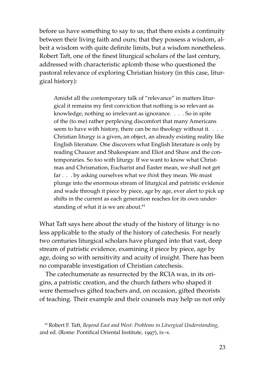before us have something to say to us; that there exists a continuity between their living faith and ours; that they possess a wisdom, albeit a wisdom with quite definite limits, but a wisdom nonetheless. Robert Taft, one of the finest liturgical scholars of the last century, addressed with characteristic aplomb those who questioned the pastoral relevance of exploring Christian history (in this case, liturgical history):

Amidst all the contemporary talk of "relevance" in matters liturgical it remains my first conviction that nothing is so relevant as knowledge, nothing so irrelevant as ignorance. . . . So in spite of the (to me) rather perplexing discomfort that many Americans seem to have with history, there can be no theology without it. . . . Christian liturgy is a given, an object, an already existing reality like English literature. One discovers what English literature is only by reading Chaucer and Shakespeare and Eliot and Shaw and the contemporaries. So too with liturgy. If we want to know what Christmas and Chrismation, Eucharist and Easter mean, we shall not get far . . . by asking ourselves what we *think* they mean. We must plunge into the enormous stream of liturgical and patristic evidence and wade through it piece by piece, age by age, ever alert to pick up shifts in the current as each generation reaches for its own understanding of what it is we are about.<sup>61</sup>

What Taft says here about the study of the history of liturgy is no less applicable to the study of the history of catechesis. For nearly two centuries liturgical scholars have plunged into that vast, deep stream of patristic evidence, examining it piece by piece, age by age, doing so with sensitivity and acuity of insight. There has been no comparable investigation of Christian catechesis.

The catechumenate as resurrected by the RCIA was, in its origins, a patristic creation, and the church fathers who shaped it were themselves gifted teachers and, on occasion, gifted theorists of teaching. Their example and their counsels may help us not only

<sup>61</sup> Robert F. Taft, *Beyond East and West: Problems in Liturgical Understanding*, 2nd ed. (Rome: Pontifical Oriental Institute, 1997), ix–x.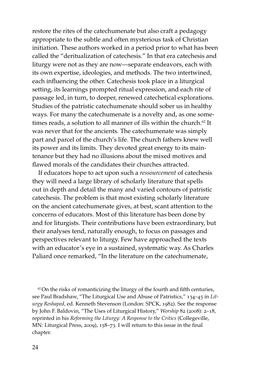restore the rites of the catechumenate but also craft a pedagogy appropriate to the subtle and often mysterious task of Christian initiation. These authors worked in a period prior to what has been called the "deritualization of catechesis." In that era catechesis and liturgy were not as they are now—separate endeavors, each with its own expertise, ideologies, and methods. The two intertwined, each influencing the other. Catechesis took place in a liturgical setting, its learnings prompted ritual expression, and each rite of passage led, in turn, to deeper, renewed catechetical explorations. Studies of the patristic catechumenate should sober us in healthy ways. For many the catechumenate is a novelty and, as one sometimes reads, a solution to all manner of ills within the church.<sup>62</sup> It was never that for the ancients. The catechumenate was simply part and parcel of the church's life. The church fathers knew well its power and its limits. They devoted great energy to its maintenance but they had no illusions about the mixed motives and flawed morals of the candidates their churches attracted.

If educators hope to act upon such a *ressourcement* of catechesis they will need a large library of scholarly literature that spells out in depth and detail the many and varied contours of patristic catechesis. The problem is that most existing scholarly literature on the ancient catechumenate gives, at best, scant attention to the concerns of educators. Most of this literature has been done by and for liturgists. Their contributions have been extraordinary, but their analyses tend, naturally enough, to focus on passages and perspectives relevant to liturgy. Few have approached the texts with an educator's eye in a sustained, systematic way. As Charles Paliard once remarked, "In the literature on the catechumenate,

 $62$  On the risks of romanticizing the liturgy of the fourth and fifth centuries, see Paul Bradshaw, "The Liturgical Use and Abuse of Patristics," 134–45 in *Liturgy Reshaped*, ed. Kenneth Stevenson (London: SPCK, 1982). See the response by John F. Baldovin, "The Uses of Liturgical History," *Worship* 82 (2008): 2–18, reprinted in his *Reforming the Liturgy: A Response to the Critics* (Collegeville, MN: Liturgical Press, 2009), 158–73. I will return to this issue in the final chapter.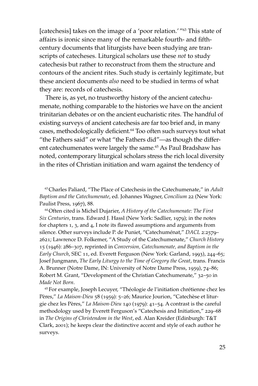[catechesis] takes on the image of a 'poor relation.' "63 This state of affairs is ironic since many of the remarkable fourth- and fifthcentury documents that liturgists have been studying are transcripts of catecheses. Liturgical scholars use these *not* to study catechesis but rather to reconstruct from them the structure and contours of the ancient rites. Such study is certainly legitimate, but these ancient documents *also* need to be studied in terms of what they are: records of catechesis.

There is, as yet, no trustworthy history of the ancient catechumenate, nothing comparable to the histories we have on the ancient trinitarian debates or on the ancient eucharistic rites. The handful of existing surveys of ancient catechesis are far too brief and, in many cases, methodologically deficient.<sup>64</sup> Too often such surveys tout what "the Fathers said" or what "the Fathers did"—as though the different catechumenates were largely the same.<sup>65</sup> As Paul Bradshaw has noted, contemporary liturgical scholars stress the rich local diversity in the rites of Christian initiation and warn against the tendency of

63 Charles Paliard, "The Place of Catechesis in the Catechumenate," in *Adult Baptism and the Catechumenate*, ed. Johannes Wagner, *Concilium* 22 (New York: Paulist Press, 1967), 88.

64 Often cited is Michel Dujarier, *A History of the Catechumenate: The First Six Centuries*, trans. Edward J. Hassl (New York: Sadlier, 1979); in the notes for chapters 1, 3, and 4, I note its flawed assumptions and arguments from silence. Other surveys include P. de Puniet, "Catechuménat," *DACL* 2:2579– 2621; Lawrence D. Folkemer, "A Study of the Catechumenate," *Church History* 15 (1946): 286–307, reprinted in *Conversion, Catechumenate, and Baptism in the Early Church*, SEC 11, ed. Everett Ferguson (New York: Garland, 1993), 244–65; Josef Jungmann, *The Early Liturgy to the Time of Gregory the Great*, trans. Francis A. Brunner (Notre Dame, IN: University of Notre Dame Press, 1959), 74–86; Robert M. Grant, "Development of the Christian Catechumenate," 32–50 in *Made Not Born*.

65 For example, Joseph Lecuyer, "Théologie de l'initiation chrétienne chez les Pères," *La Maison-Dieu* 58 (1959): 5–26; Maurice Jourion, "Catechèse et liturgie chez les Pères," *La Maison-Dieu* 140 (1979): 41–54. A contrast is the careful methodology used by Everett Ferguson's "Catechesis and Initiation," 229–68 in *The Origins of Christendom in the West*, ed. Alan Kreider (Edinburgh: T&T Clark, 2001); he keeps clear the distinctive accent and style of each author he surveys.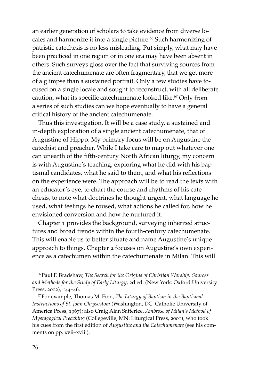an earlier generation of scholars to take evidence from diverse locales and harmonize it into a single picture.<sup>66</sup> Such harmonizing of patristic catechesis is no less misleading. Put simply, what may have been practiced in one region or in one era may have been absent in others. Such surveys gloss over the fact that surviving sources from the ancient catechumenate are often fragmentary, that we get more of a glimpse than a sustained portrait. Only a few studies have focused on a single locale and sought to reconstruct, with all deliberate caution, what its specific catechumenate looked like.<sup>67</sup> Only from a series of such studies can we hope eventually to have a general critical history of the ancient catechumenate.

Thus this investigation. It will be a case study, a sustained and in-depth exploration of a single ancient catechumenate, that of Augustine of Hippo. My primary focus will be on Augustine the catechist and preacher. While I take care to map out whatever one can unearth of the fifth-century North African liturgy, my concern is with Augustine's teaching, exploring what he did with his baptismal candidates, what he said to them, and what his reflections on the experience were. The approach will be to read the texts with an educator's eye, to chart the course and rhythms of his catechesis, to note what doctrines he thought urgent, what language he used, what feelings he roused, what actions he called for, how he envisioned conversion and how he nurtured it.

Chapter 1 provides the background, surveying inherited structures and broad trends within the fourth-century catechumenate. This will enable us to better situate and name Augustine's unique approach to things. Chapter 2 focuses on Augustine's own experience as a catechumen within the catechumenate in Milan. This will

66 Paul F. Bradshaw, *The Search for the Origins of Christian Worship: Sources and Methods for the Study of Early Liturgy*, 2d ed. (New York: Oxford University Press, 2002), 144–46.

67 For example, Thomas M. Finn, *The Liturgy of Baptism in the Baptismal Instructions of St. John Chrysostom* (Washington, DC: Catholic University of America Press, 1967); also Craig Alan Satterlee, *Ambrose of Milan's Method of Mystagogical Preaching* (Collegeville, MN: Liturgical Press, 2001), who took his cues from the first edition of *Augustine and the Catechumenate* (see his comments on pp. xvii–xviii).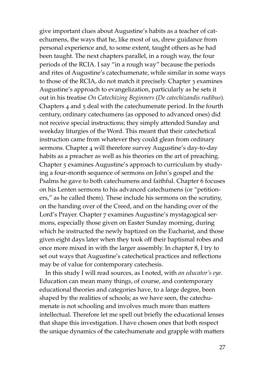give important clues about Augustine's habits as a teacher of catechumens, the ways that he, like most of us, drew guidance from personal experience and, to some extent, taught others as he had been taught. The next chapters parallel, in a rough way, the four periods of the RCIA. I say "in a rough way" because the periods and rites of Augustine's catechumenate, while similar in some ways to those of the RCIA, do not match it precisely. Chapter 3 examines Augustine's approach to evangelization, particularly as he sets it out in his treatise *On Catechizing Beginners* (*De catechizandis rudibus*). Chapters 4 and 5 deal with the catechumenate period. In the fourth century, ordinary catechumens (as opposed to advanced ones) did not receive special instructions; they simply attended Sunday and weekday liturgies of the Word. This meant that their catechetical instruction came from whatever they could glean from ordinary sermons. Chapter 4 will therefore survey Augustine's day-to-day habits as a preacher as well as his theories on the art of preaching. Chapter 5 examines Augustine's approach to curriculum by studying a four-month sequence of sermons on John's gospel and the Psalms he gave to both catechumens and faithful. Chapter 6 focuses on his Lenten sermons to his advanced catechumens (or "petitioners," as he called them). These include his sermons on the scrutiny, on the handing over of the Creed, and on the handing over of the Lord's Prayer. Chapter 7 examines Augustine's mystagogical sermons, especially those given on Easter Sunday morning, during which he instructed the newly baptized on the Eucharist, and those given eight days later when they took off their baptismal robes and once more mixed in with the larger assembly. In chapter 8, I try to set out ways that Augustine's catechetical practices and reflections may be of value for contemporary catechesis.

In this study I will read sources, as I noted, with *an educator's eye*. Education can mean many things, of course, and contemporary educational theories and categories have, to a large degree, been shaped by the realities of schools; as we have seen, the catechumenate is not schooling and involves much more than matters intellectual. Therefore let me spell out briefly the educational lenses that shape this investigation. I have chosen ones that both respect the unique dynamics of the catechumenate and grapple with matters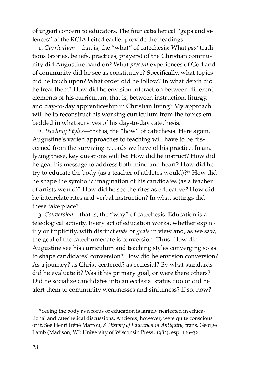of urgent concern to educators. The four catechetical "gaps and silences" of the RCIA I cited earlier provide the headings:

1. *Curriculum*—that is, the "what" of catechesis: What *past* traditions (stories, beliefs, practices, prayers) of the Christian community did Augustine hand on? What *present* experiences of God and of community did he see as constitutive? Specifically, what topics did he touch upon? What order did he follow? In what depth did he treat them? How did he envision interaction between different elements of his curriculum, that is, between instruction, liturgy, and day-to-day apprenticeship in Christian living? My approach will be to reconstruct his working curriculum from the topics embedded in what survives of his day-to-day catechesis.

2. *Teaching Styles*—that is, the "how" of catechesis. Here again, Augustine's varied approaches to teaching will have to be discerned from the surviving records we have of his practice. In analyzing these, key questions will be: How did he instruct? How did he gear his message to address both mind and heart? How did he try to educate the body (as a teacher of athletes would)?<sup>68</sup> How did he shape the symbolic imagination of his candidates (as a teacher of artists would)? How did he see the rites as educative? How did he interrelate rites and verbal instruction? In what settings did these take place?

3. *Conversion*—that is, the "why" of catechesis: Education is a teleological activity. Every act of education works, whether explicitly or implicitly, with distinct *ends* or *goals* in view and, as we saw, the goal of the catechumenate is conversion. Thus: How did Augustine see his curriculum and teaching styles converging so as to shape candidates' conversion? How did he envision conversion? As a journey? as Christ-centered? as ecclesial? By what standards did he evaluate it? Was it his primary goal, or were there others? Did he socialize candidates into an ecclesial status quo or did he alert them to community weaknesses and sinfulness? If so, how?

<sup>68</sup> Seeing the body as a focus of education is largely neglected in educational and catechetical discussions. Ancients, however, were quite conscious of it. See Henri Iréné Marrou, *A History of Education in Antiquity*, trans. George Lamb (Madison, WI: University of Wisconsin Press, 1982), esp. 116–32.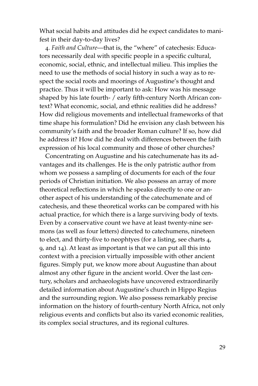What social habits and attitudes did he expect candidates to manifest in their day-to-day lives?

4. *Faith and Culture*—that is, the "where" of catechesis: Educators necessarily deal with specific people in a specific cultural, economic, social, ethnic, and intellectual milieu. This implies the need to use the methods of social history in such a way as to respect the social roots and moorings of Augustine's thought and practice. Thus it will be important to ask: How was his message shaped by his late fourth- / early fifth-century North African context? What economic, social, and ethnic realities did he address? How did religious movements and intellectual frameworks of that time shape his formulation? Did he envision any clash between his community's faith and the broader Roman culture? If so, how did he address it? How did he deal with differences between the faith expression of his local community and those of other churches?

Concentrating on Augustine and his catechumenate has its advantages and its challenges. He is the only patristic author from whom we possess a sampling of documents for each of the four periods of Christian initiation. We also possess an array of more theoretical reflections in which he speaks directly to one or another aspect of his understanding of the catechumenate and of catechesis, and these theoretical works can be compared with his actual practice, for which there is a large surviving body of texts. Even by a conservative count we have at least twenty-nine sermons (as well as four letters) directed to catechumens, nineteen to elect, and thirty-five to neophtyes (for a listing, see charts 4, 9, and 14). At least as important is that we can put all this into context with a precision virtually impossible with other ancient figures. Simply put, we know more about Augustine than about almost any other figure in the ancient world. Over the last century, scholars and archaeologists have uncovered extraordinarily detailed information about Augustine's church in Hippo Regius and the surrounding region. We also possess remarkably precise information on the history of fourth-century North Africa, not only religious events and conflicts but also its varied economic realities, its complex social structures, and its regional cultures.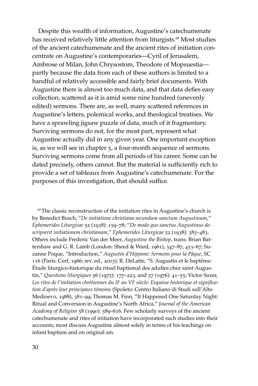Despite this wealth of information, Augustine's catechumenate has received relatively little attention from liturgists.<sup>69</sup> Most studies of the ancient catechumenate and the ancient rites of initiation concentrate on Augustine's contemporaries—Cyril of Jerusalem, Ambrose of Milan, John Chrysostom, Theodore of Mopsuestia partly because the data from each of these authors is limited to a handful of relatively accessible and fairly brief documents. With Augustine there is almost too much data, and that data defies easy collection, scattered as it is amid some nine hundred (unevenly edited) sermons. There are, as well, many scattered references in Augustine's letters, polemical works, and theological treatises. We have a sprawling jigsaw puzzle of data, much of it fragmentary. Surviving sermons do not, for the most part, represent what Augustine actually did in any given year. One important exception is, as we will see in chapter 5, a four-month sequence of sermons. Surviving sermons come from all periods of his career. Some can be dated precisely, others cannot. But the material is sufficiently rich to provide a set of tableaux from Augustine's catechumenate. For the purposes of this investigation, that should suffice.

 $69$  The classic reconstruction of the initiation rites in Augustine's church is by Benedict Busch, "*De initiatione christiana secundum sanctum Augustinum*," *Ephemerides Liturgicae* 52 (1938): 159–78; "*De modo quo sanctus Augustinus descripserit initiationem christianam*," *Ephemerides Liturgicae* 52 (1938): 385–483. Others include Frederic Van der Meer, *Augustine the Bishop*, trans. Brian Battershaw and G. R. Lamb (London: Sheed & Ward, 1961), 347–87, 453–67; Suzanne Poque, "Introduction," *Augustin d'Hippone: Sermons pour la Pâque*, SC 116 (Paris: Cerf, 1966; rev. ed., 2003); R. DeLatte, "S. Augustin et le baptême: Étude liturgico-historique du rituel baptismal des adultes chez saint Augustin," *Questions liturgiques* 56 (1975): 177–223, and 57 (1976): 41–55; Victor Saxer, Les rites de l'initiation chrétiennes du II<sup>e</sup> au VI<sup>e</sup> siècle: Esquisse historique et significa*tion d'après leur principaux témoins* (Spoleto: Centro Italiano di Studi sull'Alto Medioevo, 1988), 381–99; Thomas M. Finn, "It Happened One Saturday Night: Ritual and Conversion in Augustine's North Africa," *Journal of the American Academy of Religion* 58 (1990): 589–616. Few scholarly surveys of the ancient catechumenate and rites of initiation have incorporated such studies into their accounts; most discuss Augustine almost solely in terms of his teachings on infant baptism and on original sin.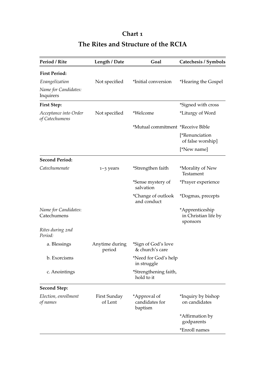# **Chart 1 The Rites and Structure of the RCIA**

| Period / Rite                           | Length / Date            | Goal                                      | Catechesis / Symbols                                |
|-----------------------------------------|--------------------------|-------------------------------------------|-----------------------------------------------------|
| <b>First Period:</b>                    |                          |                                           |                                                     |
| Evangelization                          | Not specified            | *Initial conversion                       | *Hearing the Gospel                                 |
| Name for Candidates:<br>Inquirers       |                          |                                           |                                                     |
| <b>First Step:</b>                      |                          |                                           | *Signed with cross                                  |
| Acceptance into Order<br>of Catechumens | Not specified            | *Welcome                                  | *Liturgy of Word                                    |
|                                         |                          | *Mutual commitment *Receive Bible         |                                                     |
|                                         |                          |                                           | [*Renunciation<br>of false worship]                 |
|                                         |                          |                                           | [*New name]                                         |
| <b>Second Period:</b>                   |                          |                                           |                                                     |
| Catechumenate                           | 1-3 years                | *Strengthen faith                         | *Morality of New<br>Testament                       |
|                                         |                          | *Sense mystery of<br>salvation            | *Prayer experience                                  |
|                                         |                          | *Change of outlook<br>and conduct         | *Dogmas, precepts                                   |
| Name for Candidates:<br>Catechumens     |                          |                                           | *Apprenticeship<br>in Christian life by<br>sponsors |
| Rites during 2nd<br>Period:             |                          |                                           |                                                     |
| a. Blessings                            | Anytime during<br>period | *Sign of God's love<br>& church's care    |                                                     |
| b. Exorcisms                            |                          | *Need for God's help<br>in struggle       |                                                     |
| c. Anointings                           |                          | *Strengthening faith,<br>hold to it       |                                                     |
| Second Step:                            |                          |                                           |                                                     |
| Election, enrollment<br>of names        | First Sunday<br>of Lent  | *Approval of<br>candidates for<br>baptism | *Inquiry by bishop<br>on candidates                 |
|                                         |                          |                                           | *Affirmation by<br>godparents                       |
|                                         |                          |                                           | *Enroll names                                       |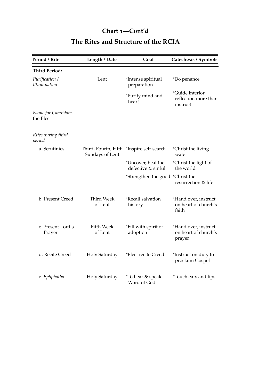# **Chart 1—Cont'd The Rites and Structure of the RCIA**

| Period / Rite                         | Length / Date         | Goal                                      | Catechesis / Symbols                                   |
|---------------------------------------|-----------------------|-------------------------------------------|--------------------------------------------------------|
| <b>Third Period:</b>                  |                       |                                           |                                                        |
| Purification /<br><b>Illumination</b> | Lent                  | *Intense spiritual<br>preparation         | *Do penance                                            |
|                                       |                       | *Purify mind and<br>heart                 | *Guide interior<br>reflection more than<br>instruct    |
| Name for Candidates:<br>the Elect     |                       |                                           |                                                        |
| Rites during third<br>period          |                       |                                           |                                                        |
| a. Scrutinies                         | Sundays of Lent       | Third, Fourth, Fifth *Inspire self-search | *Christ the living<br>water                            |
|                                       |                       | *Uncover, heal the<br>defective & sinful  | *Christ the light of<br>the world                      |
|                                       |                       | *Strengthen the good *Christ the          | resurrection & life                                    |
| b. Present Creed                      | Third Week<br>of Lent | *Recall salvation<br>history              | *Hand over, instruct<br>on heart of church's<br>faith  |
| c. Present Lord's<br>Prayer           | Fifth Week<br>of Lent | *Fill with spirit of<br>adoption          | *Hand over, instruct<br>on heart of church's<br>prayer |
| d. Recite Creed                       | Holy Saturday         | *Elect recite Creed                       | *Instruct on duty to<br>proclaim Gospel                |
| e. Ephphatha                          | Holy Saturday         | *To hear & speak<br>Word of God           | *Touch ears and lips                                   |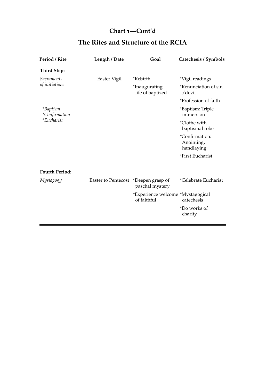### **Chart 1—Cont'd**

| Period / Rite                           | Length / Date              | Goal                                             | Catechesis / Symbols                       |
|-----------------------------------------|----------------------------|--------------------------------------------------|--------------------------------------------|
| Third Step:                             |                            |                                                  |                                            |
| <b>Sacraments</b><br>of initiation:     | Easter Vigil               | *Rebirth                                         | *Vigil readings                            |
|                                         |                            | *Inaugurating<br>life of baptized                | *Renunciation of sin<br>/devil             |
|                                         |                            |                                                  | *Profession of faith                       |
| <i>*Baptism</i><br><i>*Confirmation</i> |                            |                                                  | *Baptism: Triple<br>immersion              |
| *Eucharist                              |                            |                                                  | *Clothe with<br>baptismal robe             |
|                                         |                            |                                                  | *Confirmation:<br>Anointing,<br>handlaying |
|                                         |                            |                                                  | *First Eucharist                           |
| <b>Fourth Period:</b>                   |                            |                                                  |                                            |
| Mystagogy                               | <b>Easter to Pentecost</b> | *Deepen grasp of<br>paschal mystery              | *Celebrate Eucharist                       |
|                                         |                            | *Experience welcome *Mystagogical<br>of faithful | catechesis                                 |
|                                         |                            |                                                  | *Do works of<br>charity                    |
|                                         |                            |                                                  |                                            |

## **The Rites and Structure of the RCIA**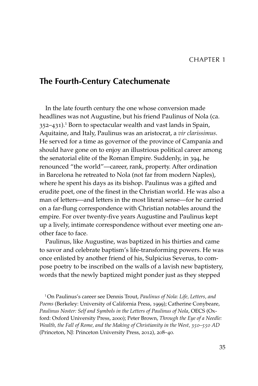## **The Fourth-Century Catechumenate**

In the late fourth century the one whose conversion made headlines was not Augustine, but his friend Paulinus of Nola (ca. 352–431).1 Born to spectacular wealth and vast lands in Spain, Aquitaine, and Italy, Paulinus was an aristocrat, a *vir clarissimus*. He served for a time as governor of the province of Campania and should have gone on to enjoy an illustrious political career among the senatorial elite of the Roman Empire. Suddenly, in 394, he renounced "the world"—career, rank, property. After ordination in Barcelona he retreated to Nola (not far from modern Naples), where he spent his days as its bishop. Paulinus was a gifted and erudite poet, one of the finest in the Christian world. He was also a man of letters—and letters in the most literal sense—for he carried on a far-flung correspondence with Christian notables around the empire. For over twenty-five years Augustine and Paulinus kept up a lively, intimate correspondence without ever meeting one another face to face.

Paulinus, like Augustine, was baptized in his thirties and came to savor and celebrate baptism's life-transforming powers. He was once enlisted by another friend of his, Sulpicius Severus, to compose poetry to be inscribed on the walls of a lavish new baptistery, words that the newly baptized might ponder just as they stepped

1 On Paulinus's career see Dennis Trout, *Paulinus of Nola: Life, Letters, and Poems* (Berkeley: University of California Press, 1999); Catherine Conybeare, *Paulinus Noster: Self and Symbols in the Letters of Paulinus of Nola*, OECS (Oxford: Oxford University Press, 2000); Peter Brown, *Through the Eye of a Needle: Wealth, the Fall of Rome, and the Making of Christianity in the West, 350–550 AD* (Princeton, NJ: Princeton University Press, 2012), 208–40.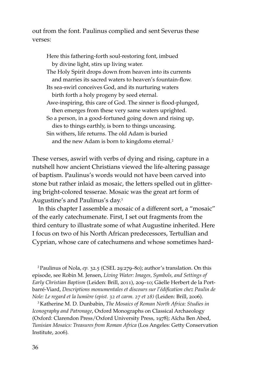out from the font. Paulinus complied and sent Severus these verses:

Here this fathering-forth soul-restoring font, imbued by divine light, stirs up living water. The Holy Spirit drops down from heaven into its currents and marries its sacred waters to heaven's fountain-flow. Its sea-swirl conceives God, and its nurturing waters birth forth a holy progeny by seed eternal. Awe-inspiring, this care of God. The sinner is flood-plunged, then emerges from these very same waters uprighted. So a person, in a good-fortuned going down and rising up, dies to things earthly, is born to things unceasing. Sin withers, life returns. The old Adam is buried and the new Adam is born to kingdoms eternal.<sup>2</sup>

These verses, aswirl with verbs of dying and rising, capture in a nutshell how ancient Christians viewed the life-altering passage of baptism. Paulinus's words would not have been carved into stone but rather inlaid as mosaic, the letters spelled out in glittering bright-colored tesserae. Mosaic was the great art form of Augustine's and Paulinus's day.3

In this chapter I assemble a mosaic of a different sort, a "mosaic" of the early catechumenate. First, I set out fragments from the third century to illustrate some of what Augustine inherited. Here I focus on two of his North African predecessors, Tertullian and Cyprian, whose care of catechumens and whose sometimes hard-

2 Paulinus of Nola, *ep.* 32.5 (CSEL 29:279–80); author's translation. On this episode, see Robin M. Jensen, *Living Water: Images, Symbols, and Settings of Early Christian Baptism* (Leiden: Brill, 2011), 209–10; Gäelle Herbert de la Portbarré-Viard, *Descriptions monumentales et discours sur l'édification chez Paulin de Nole: Le regard et la lumière (epist. 32 et carm. 27 et 28)* (Leiden: Brill, 2006).

3 Katherine M. D. Dunbabin, *The Mosaics of Roman North Africa: Studies in Iconography and Patronage*, Oxford Monographs on Classical Archaeology (Oxford: Clarendon Press/Oxford University Press, 1978); Aïcha Ben Abed, *Tunisian Mosaics: Treasures from Roman Africa* (Los Angeles: Getty Conservation Institute, 2006).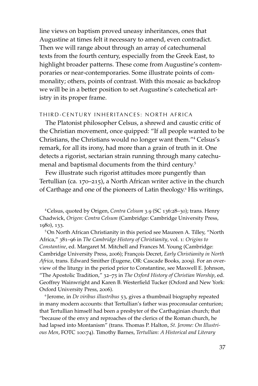line views on baptism proved uneasy inheritances, ones that Augustine at times felt it necessary to amend, even contradict. Then we will range about through an array of catechumenal texts from the fourth century, especially from the Greek East, to highlight broader patterns. These come from Augustine's contemporaries or near-contemporaries. Some illustrate points of commonality; others, points of contrast. With this mosaic as backdrop we will be in a better position to set Augustine's catechetical artistry in its proper frame.

### THIRD -CENTURY IN HERITANCES: NORTH AFRICA

The Platonist philosopher Celsus, a shrewd and caustic critic of the Christian movement, once quipped: "If all people wanted to be Christians, the Christians would no longer want them."4 Celsus's remark, for all its irony, had more than a grain of truth in it. One detects a rigorist, sectarian strain running through many catechumenal and baptismal documents from the third century.<sup>5</sup>

Few illustrate such rigorist attitudes more pungently than Tertullian (ca. 170–215), a North African writer active in the church of Carthage and one of the pioneers of Latin theology.6 His writings,

4 Celsus, quoted by Origen, *Contra Celsum* 3.9 (SC 136:28–30); trans. Henry Chadwick, *Origen: Contra Celsum* (Cambridge: Cambridge University Press, 1980), 133.

5 On North African Christianity in this period see Maureen A. Tilley, "North Africa," 381–96 in *The Cambridge History of Christianity*, vol. 1: *Origins to Constantine*, ed. Margaret M. Mitchell and Frances M. Young (Cambridge: Cambridge University Press, 2006); François Decret, *Early Christianity in North Africa*, trans. Edward Smither (Eugene, OR: Cascade Books, 2009). For an overview of the liturgy in the period prior to Constantine, see Maxwell E. Johnson, "The Apostolic Tradition," 32–75 in *The Oxford History of Christian Worship*, ed. Geoffrey Wainwright and Karen B. Westerfield Tucker (Oxford and New York: Oxford University Press, 2006).

6 Jerome, in *De viribus illustribus* 53, gives a thumbnail biography repeated in many modern accounts: that Tertullian's father was proconsular centurion; that Tertullian himself had been a presbyter of the Carthaginian church; that "because of the envy and reproaches of the clerics of the Roman church, he had lapsed into Montanism" (trans. Thomas P. Halton, *St. Jerome: On Illustrious Men*, FOTC 100:74). Timothy Barnes, *Tertullian: A Historical and Literary*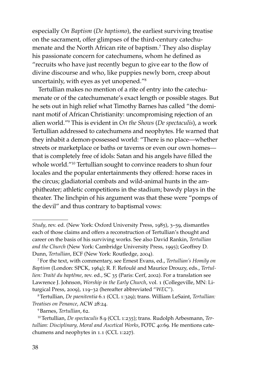especially *On Baptism* (*De baptismo*), the earliest surviving treatise on the sacrament, offer glimpses of the third-century catechumenate and the North African rite of baptism.7 They also display his passionate concern for catechumens, whom he defined as "recruits who have just recently begun to give ear to the flow of divine discourse and who, like puppies newly born, creep about uncertainly, with eyes as yet unopened."8

Tertullian makes no mention of a rite of entry into the catechumenate or of the catechumenate's exact length or possible stages. But he sets out in high relief what Timothy Barnes has called "the dominant motif of African Christianity: uncompromising rejection of an alien world."9 This is evident in *On the Shows* (*De spectaculis*), a work Tertullian addressed to catechumens and neophytes. He warned that they inhabit a demon-possessed world: "There is no place—whether streets or marketplace or baths or taverns or even our own homes that is completely free of idols: Satan and his angels have filled the whole world."10 Tertullian sought to convince readers to shun four locales and the popular entertainments they offered: horse races in the circus; gladiatorial combats and wild-animal hunts in the amphitheater; athletic competitions in the stadium; bawdy plays in the theater. The linchpin of his argument was that these were "pomps of the devil" and thus contrary to baptismal vows:

*Study*, rev. ed. (New York: Oxford University Press, 1985), 3–59, dismantles each of those claims and offers a reconstruction of Tertullian's thought and career on the basis of his surviving works. See also David Rankin, *Tertullian and the Church* (New York: Cambridge University Press, 1995); Geoffrey D. Dunn, *Tertullian*, ECF (New York: Routledge, 2004).

<sup>7</sup> For the text, with commentary, see Ernest Evans, ed., *Tertullian's Homily on Baptism* (London: SPCK, 1964); R. F. Refoulé and Maurice Drouzy, eds., *Tertullien: Traité du baptême*, rev. ed., SC 35 (Paris: Cerf, 2002). For a translation see Lawrence J. Johnson, *Worship in the Early Church*, vol. 1 (Collegeville, MN: Liturgical Press, 2009), 119–32 (hereafter abbreviated "*WEC*").

<sup>8</sup> Tertullian, *De paenitentia* 6.1 (CCL 1:329); trans. William LeSaint, *Tertullian: Treatises on Penance*, ACW 28:24.

<sup>9</sup> Barnes, *Tertullian*, 62.

<sup>10</sup> Tertullian, *De spectaculis* 8.9 (CCL 1:235); trans. Rudolph Arbesmann, *Tertullian: Disciplinary, Moral and Ascetical Works*, FOTC 40:69. He mentions catechumens and neophytes in 1.1 (CCL 1:227).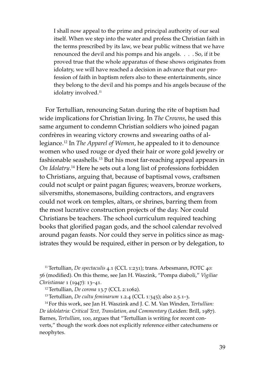I shall now appeal to the prime and principal authority of our seal itself. When we step into the water and profess the Christian faith in the terms prescribed by its law, we bear public witness that we have renounced the devil and his pomps and his angels. . . . So, if it be proved true that the whole apparatus of these shows originates from idolatry, we will have reached a decision in advance that our profession of faith in baptism refers also to these entertainments, since they belong to the devil and his pomps and his angels because of the idolatry involved.<sup>11</sup>

For Tertullian, renouncing Satan during the rite of baptism had wide implications for Christian living. In *The Crowns*, he used this same argument to condemn Christian soldiers who joined pagan confrères in wearing victory crowns and swearing oaths of allegiance.12 In *The Apparel of Women*, he appealed to it to denounce women who used rouge or dyed their hair or wore gold jewelry or fashionable seashells.13 But his most far-reaching appeal appears in *On Idolatry*. 14 Here he sets out a long list of professions forbidden to Christians, arguing that, because of baptismal vows, craftsmen could not sculpt or paint pagan figures; weavers, bronze workers, silversmiths, stonemasons, building contractors, and engravers could not work on temples, altars, or shrines, barring them from the most lucrative construction projects of the day. Nor could Christians be teachers. The school curriculum required teaching books that glorified pagan gods, and the school calendar revolved around pagan feasts. Nor could they serve in politics since as magistrates they would be required, either in person or by delegation, to

11 Tertullian, *De spectaculis* 4.1 (CCL 1:231); trans. Arbesmann, FOTC 40: 56 (modified). On this theme, see Jan H. Waszink, "Pompa diaboli," *Vigiliae Christianae* 1 (1947): 13–41.

12 Tertullian, *De corona* 13.7 (CCL 2:1062).

13 Tertullian, *De cultu feminarum* 1.2.4 (CCL 1:345); also 2.5.1-3.

14 For this work, see Jan H. Waszink and J. C. M. Van Winden, *Tertullian: De idololatria: Critical Text, Translation, and Commentary* (Leiden: Brill, 1987). Barnes, *Tertullian*, 100, argues that "Tertullian is writing for recent converts," though the work does not explicitly reference either catechumens or neophytes.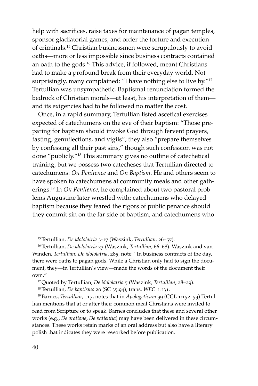help with sacrifices, raise taxes for maintenance of pagan temples, sponsor gladiatorial games, and order the torture and execution of criminals.15 Christian businessmen were scrupulously to avoid oaths—more or less impossible since business contracts contained an oath to the gods.<sup>16</sup> This advice, if followed, meant Christians had to make a profound break from their everyday world. Not surprisingly, many complained: "I have nothing else to live by."<sup>17</sup> Tertullian was unsympathetic. Baptismal renunciation formed the bedrock of Christian morals—at least, his interpretation of them and its exigencies had to be followed no matter the cost.

Once, in a rapid summary, Tertullian listed ascetical exercises expected of catechumens on the eve of their baptism: "Those preparing for baptism should invoke God through fervent prayers, fasting, genuflections, and vigils"; they also "prepare themselves by confessing all their past sins," though such confession was not done "publicly."18 This summary gives no outline of catechetical training, but we possess two catecheses that Tertullian directed to catechumens: *On Penitence* and *On Baptism*. He and others seem to have spoken to catechumens at community meals and other gatherings.19 In *On Penitence*, he complained about two pastoral problems Augustine later wrestled with: catechumens who delayed baptism because they feared the rigors of public penance should they commit sin on the far side of baptism; and catechumens who

15 Tertullian, *De idololatria* 3-17 (Waszink, *Tertullian*, 26–57).

16 Tertullian, *De idololatria* 23 (Waszink, *Tertullian*, 66–68). Waszink and van Winden, *Tertullian: De idololatria*, 285, note: "In business contracts of the day, there were oaths to pagan gods. While a Christian only had to sign the document, they—in Tertullian's view—made the words of the document their own."

17 Quoted by Tertullian, *De idololatria* 5 (Waszink, *Tertullian*, 28–29).

18 Tertullian, *De baptismo* 20 (SC 35:94); trans. *WEC* 1:131.

19 Barnes, *Tertullian*, 117, notes that in *Apologeticum* 39 (CCL 1:152–53) Tertullian mentions that at or after their common meal Christians were invited to read from Scripture or to speak. Barnes concludes that these and several other works (e.g., *De oratione*, *De patientia*) may have been delivered in these circumstances. These works retain marks of an oral address but also have a literary polish that indicates they were reworked before publication.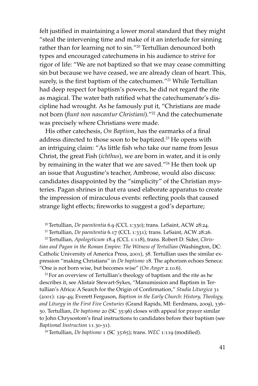felt justified in maintaining a lower moral standard that they might "steal the intervening time and make of it an interlude for sinning rather than for learning not to sin."20 Tertullian denounced both types and encouraged catechumens in his audience to strive for rigor of life: "We are not baptized so that we may cease committing sin but because we have ceased, we are already clean of heart. This, surely, is the first baptism of the catechumen."<sup>21</sup> While Tertullian had deep respect for baptism's powers, he did not regard the rite as magical. The water bath ratified what the catechumenate's discipline had wrought. As he famously put it, "Christians are made not born (*fiunt non nascantur Christiani*)."22 And the catechumenate was precisely where Christians were made.

His other catechesis, *On Baptism*, has the earmarks of a final address directed to those soon to be baptized.<sup>23</sup> He opens with an intriguing claim: "As little fish who take our name from Jesus Christ, the great Fish (*ichthus*), we are born in water, and it is only by remaining in the water that we are saved."<sup>24</sup> He then took up an issue that Augustine's teacher, Ambrose, would also discuss: candidates disappointed by the "simplicity" of the Christian mysteries. Pagan shrines in that era used elaborate apparatus to create the impression of miraculous events: reflecting pools that caused strange light effects; fireworks to suggest a god's departure;

20 Tertullian, *De paenitentia* 6.9 (CCL 1:330); trans. LeSaint, ACW 28:24.

<sup>21</sup> Tertullian, *De paenitentia* 6.17 (CCL 1:331); trans. LeSaint, ACW 28:26.

22 Tertullian, *Apologeticum* 18.4 (CCL 1:118), trans. Robert D. Sider, *Christian and Pagan in the Roman Empire: The Witness of Tertullian* (Washington, DC: Catholic University of America Press, 2001), 38. Tertullian uses the similar expression "making Christians" in *De baptismo* 18. The aphorism echoes Seneca: "One is not born wise, but becomes wise" (*On Anger* 2.10.6).

 $23$  For an overview of Tertullian's theology of baptism and the rite as he describes it, see Alistair Stewart-Sykes, "Manumission and Baptism in Tertullian's Africa: A Search for the Origin of Confirmation," *Studia Liturgica* 31 (2001): 129–49; Everett Ferguson, *Baptism in the Early Church: History, Theology, and Liturgy in the First Five Centuries* (Grand Rapids, MI: Eerdmans, 2009), 336– 50. Tertullian, *De baptismo* 20 (SC 35:96) closes with appeal for prayer similar to John Chrysostom's final instructions to candidates before their baptism (see *Baptismal Instruction* 11.30-31).

24 Tertullian, *De baptismo* 1 (SC 35:65); trans. *WEC* 1:119 (modified).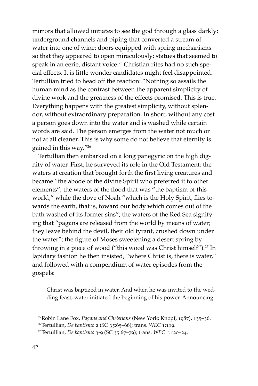mirrors that allowed initiates to see the god through a glass darkly; underground channels and piping that converted a stream of water into one of wine; doors equipped with spring mechanisms so that they appeared to open miraculously; statues that seemed to speak in an eerie, distant voice.<sup>25</sup> Christian rites had no such special effects. It is little wonder candidates might feel disappointed. Tertullian tried to head off the reaction: "Nothing so assails the human mind as the contrast between the apparent simplicity of divine work and the greatness of the effects promised. This is true. Everything happens with the greatest simplicity, without splendor, without extraordinary preparation. In short, without any cost a person goes down into the water and is washed while certain words are said. The person emerges from the water not much or not at all cleaner. This is why some do not believe that eternity is gained in this way."26

Tertullian then embarked on a long panegyric on the high dignity of water. First, he surveyed its role in the Old Testament: the waters at creation that brought forth the first living creatures and became "the abode of the divine Spirit who preferred it to other elements"; the waters of the flood that was "the baptism of this world," while the dove of Noah "which is the Holy Spirit, flies towards the earth, that is, toward our body which comes out of the bath washed of its former sins"; the waters of the Red Sea signifying that "pagans are released from the world by means of water; they leave behind the devil, their old tyrant, crushed down under the water"; the figure of Moses sweetening a desert spring by throwing in a piece of wood ("this wood was Christ himself").<sup>27</sup> In lapidary fashion he then insisted, "where Christ is, there is water," and followed with a compendium of water episodes from the gospels:

Christ was baptized in water. And when he was invited to the wedding feast, water initiated the beginning of his power. Announcing

<sup>25</sup> Robin Lane Fox, *Pagans and Christians* (New York: Knopf, 1987), 135–36.

<sup>26</sup> Tertullian, *De baptismo* 2 (SC 35:65–66); trans. *WEC* 1:119.

<sup>27</sup> Tertullian, *De baptismo* 3-9 (SC 35:67–79); trans. *WEC* 1:120–24.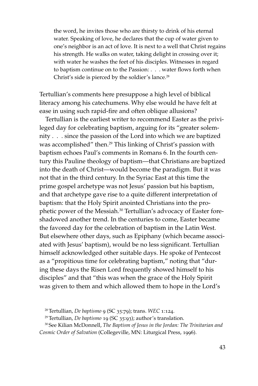the word, he invites those who are thirsty to drink of his eternal water. Speaking of love, he declares that the cup of water given to one's neighbor is an act of love. It is next to a well that Christ regains his strength. He walks on water, taking delight in crossing over it; with water he washes the feet of his disciples. Witnesses in regard to baptism continue on to the Passion: . . . water flows forth when Christ's side is pierced by the soldier's lance.<sup>28</sup>

Tertullian's comments here presuppose a high level of biblical literacy among his catechumens. Why else would he have felt at ease in using such rapid-fire and often oblique allusions?

Tertullian is the earliest writer to recommend Easter as the privileged day for celebrating baptism, arguing for its "greater solemnity . . . since the passion of the Lord into which we are baptized was accomplished" then.<sup>29</sup> This linking of Christ's passion with baptism echoes Paul's comments in Romans 6. In the fourth century this Pauline theology of baptism—that Christians are baptized into the death of Christ—would become the paradigm. But it was not that in the third century. In the Syriac East at this time the prime gospel archetype was not Jesus' passion but his baptism, and that archetype gave rise to a quite different interpretation of baptism: that the Holy Spirit anointed Christians into the prophetic power of the Messiah.<sup>30</sup> Tertullian's advocacy of Easter foreshadowed another trend. In the centuries to come, Easter became the favored day for the celebration of baptism in the Latin West. But elsewhere other days, such as Epiphany (which became associated with Jesus' baptism), would be no less significant. Tertullian himself acknowledged other suitable days. He spoke of Pentecost as a "propitious time for celebrating baptism," noting that "during these days the Risen Lord frequently showed himself to his disciples" and that "this was when the grace of the Holy Spirit was given to them and which allowed them to hope in the Lord's

<sup>28</sup> Tertullian, *De baptismo* 9 (SC 35:79); trans. *WEC* 1:124.

<sup>29</sup> Tertullian, *De baptismo* 19 (SC 35:93); author's translation.

<sup>30</sup> See Kilian McDonnell, *The Baptism of Jesus in the Jordan: The Trinitarian and Cosmic Order of Salvation* (Collegeville, MN: Liturgical Press, 1996).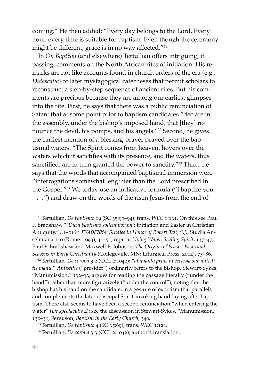coming." He then added: "Every day belongs to the Lord. Every hour, every time is suitable for baptism. Even though the ceremony might be different, grace is in no way affected."31

In *On Baptism* (and elsewhere) Tertullian offers intriguing, if passing, comments on the North African rites of initiation. His remarks are not like accounts found in church orders of the era (e.g., *Didascalia*) or later mystagogical catecheses that permit scholars to reconstruct a step-by-step sequence of ancient rites. But his comments are precious because they are among our earliest glimpses into the rite. First, he says that there was a public renunciation of Satan: that at some point prior to baptism candidates "declare in the assembly, under the bishop's imposed hand, that [they] renounce the devil, his pomps, and his angels."32 Second, he gives the earliest mention of a blessing-prayer prayed over the baptismal waters: "The Spirit comes from heaven, hovers over the waters which it sanctifies with its presence, and the waters, thus sanctified, are in turn granted the power to sanctify."<sup>33</sup> Third, he says that the words that accompanied baptismal immersion were "interrogations somewhat lengthier than the Lord prescribed in the Gospel."34 We today use an indicative formula ("I baptize you . . .") and draw on the words of the risen Jesus from the end of

31 Tertullian, *De baptismo* 19 (SC 35:93–94); trans. *WEC* 1:131. On this see Paul F. Bradshaw, " '*Diem baptismo sollemniorum*': Initiation and Easter in Christian Antiquity," 41-51 in *EYAOFHMA*: Studies in Honor of Robert Taft, S.J., Studia Anselmiana 110 (Rome: 1993), 41–51, repr. in *Living Water, Sealing Spirit*, 137–47; Paul F. Bradshaw and Maxwell E. Johnson, *The Origins of Feasts, Fasts and Seasons in Early Christianity* (Collegeville, MN: Liturgical Press, 2012), 75–86.

32 Tertullian, *De corona* 3.2 (CCL 2:1042): "*aliquanto prius in ecclesia sub antistitis manu*." *Antistitis* ("presider") ordinarily refers to the bishop. Stewart-Sykes, "Manumission," 132–33, argues for reading the passage literally ("under the hand") rather than more figuratively ("under the control"), noting that the bishop has his hand on the candidate, in a gesture of exorcism that parallels and complements the later episcopal Spirit-invoking hand-laying after baptism. There also seems to have been a second renunciation "when entering the water" (*De spectaculis* 4); see the discussion in Stewart-Sykes, "Manumission," 130–31; Ferguson, *Baptism in the Early Church*, 340.

33 Tertullian, *De baptismo* 4 (SC 35:69); trans. *WEC* 1:121.

34 Tertullian, *De corona* 3.3 (CCL 2:1042); author's translation.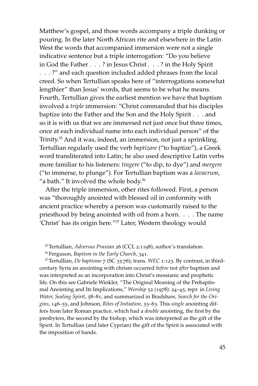Matthew's gospel, and those words accompany a triple dunking or pouring. In the later North African rite and elsewhere in the Latin West the words that accompanied immersion were not a single indicative sentence but a triple interrogation: "Do you believe in God the Father . . . ? in Jesus Christ . . . ? in the Holy Spirit . . . ?" and each question included added phrases from the local creed. So when Tertullian speaks here of "interrogations somewhat lengthier" than Jesus' words, that seems to be what he means. Fourth, Tertullian gives the earliest mention we have that baptism involved a *triple* immersion: "Christ commanded that his disciples baptize into the Father and the Son and the Holy Spirit . . . and so it is with us that we are immersed not just once but three times, once at each individual name into each individual person" of the Trinity.35 And it was, indeed, an immersion, not just a sprinkling. Tertullian regularly used the verb *baptizare* ("to baptize"), a Greek word transliterated into Latin; he also used descriptive Latin verbs more familiar to his listeners: *tingere* ("to dip, to dye") and *mergere* ("to immerse, to plunge"). For Tertullian baptism was a *lavacrum*, "a bath." It involved the whole body.<sup>36</sup>

After the triple immersion, other rites followed. First, a person was "thoroughly anointed with blessed oil in conformity with ancient practice whereby a person was customarily raised to the priesthood by being anointed with oil from a horn. . . . The name 'Christ' has its origin here."37 Later, Western theology would

35 Tertullian, *Adversus Praxean* 26 (CCL 2:1198); author's translation.

36 Ferguson, *Baptism in the Early Church*, 341.

37 Tertullian, *De baptismo* 7 (SC 35:76); trans. *WEC* 1:123. By contrast, in thirdcentury Syria an anointing with chrism occurred *before* not *after* baptism and was interpreted as an incorporation into Christ's messianic and prophetic life. On this see Gabriele Winkler, "The Original Meaning of the Prebaptismal Anointing and Its Implications," *Worship* 52 (1978): 24–45, repr. in *Living Water, Sealing Spirit*, 58–81, and summarized in Bradshaw, *Search for the Origins*, 146–55, and Johnson, *Rites of Initiation*, 55–63. This *single* anointing differs from later Roman practice, which had a *double* anointing, the first by the presbyters, the second by the bishop, which was interpreted as the gift of the Spirit. In Tertullian (and later Cyprian) the gift of the Spirit is associated with the imposition of hands.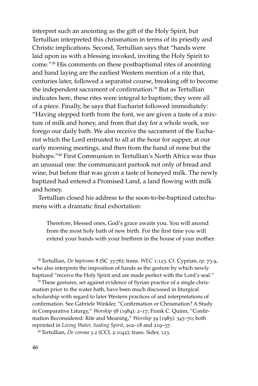interpret such an anointing as the gift of the Holy Spirit, but Tertullian interpreted this chrismation in terms of its priestly and Christic implications. Second, Tertullian says that "hands were laid upon us with a blessing invoked, inviting the Holy Spirit to come."38 His comments on these postbaptismal rites of anointing and hand laying are the earliest Western mention of a rite that, centuries later, followed a separatist course, breaking off to become the independent sacrament of confirmation.<sup>39</sup> But as Tertullian indicates here, these rites were integral to baptism; they were all of a piece. Finally, he says that Eucharist followed immediately: "Having stepped forth from the font, we are given a taste of a mixture of milk and honey, and from that day for a whole week, we forego our daily bath. We also receive the sacrament of the Eucharist which the Lord entrusted to all at the hour for supper, at our early morning meetings, and then from the hand of none but the bishops."40 First Communion in Tertullian's North Africa was thus an unusual one: the communicant partook not only of bread and wine, but before that was given a taste of honeyed milk. The newly baptized had entered a Promised Land, a land flowing with milk and honey.

Tertullian closed his address to the soon-to-be-baptized catechumens with a dramatic final exhortation:

Therefore, blessed ones, God's grace awaits you. You will ascend from the most holy bath of new birth. For the first time you will extend your hands with your brethren in the house of your mother.

38 Tertullian, *De baptismo* 8 (SC 35:76); trans. *WEC* 1:123. Cf. Cyprian, *ep.* 73.9, who also interprets the imposition of hands as the gesture by which newly baptized "receive the Holy Spirit and are made perfect with the Lord's seal."

<sup>39</sup> These gestures, set against evidence of Syrian practice of a single chrismation prior to the water bath, have been much discussed in liturgical scholarship with regard to later Western practices of and interpretations of confirmation. See Gabriele Winkler, "Confirmation or Chrismation? A Study in Comparative Liturgy," *Worship* 58 (1984): 2–17; Frank C. Quinn, "Confirmation Reconsidered: Rite and Meaning," *Worship* 59 (1985): 345–70; both reprinted in *Living Water, Sealing Spirit*, 202–18 and 219–37.

40 Tertullian, *De corona* 3.2 (CCL 2:1042); trans. Sider, 123.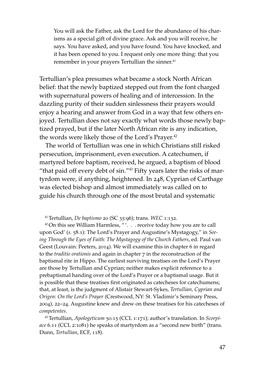You will ask the Father, ask the Lord for the abundance of his charisms as a special gift of divine grace. Ask and you will receive, he says. You have asked, and you have found. You have knocked, and it has been opened to you. I request only one more thing: that you remember in your prayers Tertullian the sinner.<sup>41</sup>

Tertullian's plea presumes what became a stock North African belief: that the newly baptized stepped out from the font charged with supernatural powers of healing and of intercession. In the dazzling purity of their sudden sinlessness their prayers would enjoy a hearing and answer from God in a way that few others enjoyed. Tertullian does not say exactly what words those newly baptized prayed, but if the later North African rite is any indication, the words were likely those of the Lord's Prayer.<sup>42</sup>

The world of Tertullian was one in which Christians still risked persecution, imprisonment, even execution. A catechumen, if martyred before baptism, received, he argued, a baptism of blood "that paid off every debt of sin."<sup>43</sup> Fifty years later the risks of martyrdom were, if anything, heightened. In 248, Cyprian of Carthage was elected bishop and almost immediately was called on to guide his church through one of the most brutal and systematic

41 Tertullian, *De baptismo* 20 (SC 35:96); trans. *WEC* 1:132.

 $42$  On this see William Harmless, " $\dot{\cdot}$  . . . receive today how you are to call upon God' (*s.* 58.1): The Lord's Prayer and Augustine's Mystagogy," in *Seeing Through the Eyes of Faith: The Mystagogy of the Church Fathers*, ed. Paul van Geest (Louvain: Peeters, 2014). We will examine this in chapter 6 in regard to the *traditio orationis* and again in chapter 7 in the reconstruction of the baptismal rite in Hippo. The earliest surviving treatises on the Lord's Prayer are those by Tertullian and Cyprian; neither makes explicit reference to a prebaptismal handing over of the Lord's Prayer or a baptismal usage. But it is possible that these treatises first originated as catecheses for catechumens; that, at least, is the judgment of Alistair Stewart-Sykes, *Tertullian, Cyprian and Origen: On the Lord's Prayer* (Crestwood, NY: St. Vladimir's Seminary Press, 2004), 22–24. Augustine knew and drew on these treatises for his catecheses of *competentes*.

43 Tertullian, *Apologeticum* 50.15 (CCL 1:171); author's translation. In *Scorpiace* 6.11 (CCL 2:1081) he speaks of martyrdom as a "second new birth" (trans. Dunn, *Tertullian*, ECF, 118).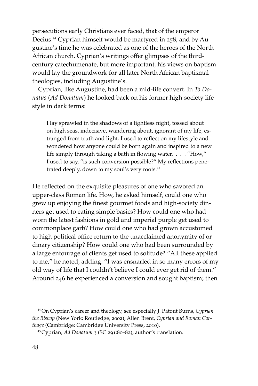persecutions early Christians ever faced, that of the emperor Decius.44 Cyprian himself would be martyred in 258, and by Augustine's time he was celebrated as one of the heroes of the North African church. Cyprian's writings offer glimpses of the thirdcentury catechumenate, but more important, his views on baptism would lay the groundwork for all later North African baptismal theologies, including Augustine's.

Cyprian, like Augustine, had been a mid-life convert. In *To Donatus* (*Ad Donatum*) he looked back on his former high-society lifestyle in dark terms:

I lay sprawled in the shadows of a lightless night, tossed about on high seas, indecisive, wandering about, ignorant of my life, estranged from truth and light. I used to reflect on my lifestyle and wondered how anyone could be born again and inspired to a new life simply through taking a bath in flowing water. . . . "How," I used to say, "is such conversion possible?" My reflections penetrated deeply, down to my soul's very roots.<sup>45</sup>

He reflected on the exquisite pleasures of one who savored an upper-class Roman life. How, he asked himself, could one who grew up enjoying the finest gourmet foods and high-society dinners get used to eating simple basics? How could one who had worn the latest fashions in gold and imperial purple get used to commonplace garb? How could one who had grown accustomed to high political office return to the unacclaimed anonymity of ordinary citizenship? How could one who had been surrounded by a large entourage of clients get used to solitude? "All these applied to me," he noted, adding: "I was ensnarled in so many errors of my old way of life that I couldn't believe I could ever get rid of them." Around 246 he experienced a conversion and sought baptism; then

44 On Cyprian's career and theology, see especially J. Patout Burns, *Cyprian the Bishop* (New York: Routledge, 2002); Allen Brent, *Cyprian and Roman Carthage* (Cambridge: Cambridge University Press, 2010).

45 Cyprian, *Ad Donatum* 3 (SC 291:80–82); author's translation.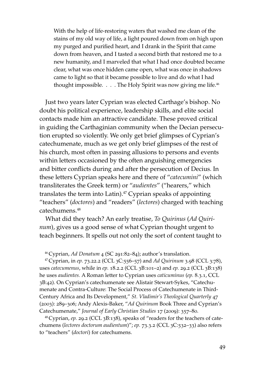With the help of life-restoring waters that washed me clean of the stains of my old way of life, a light poured down from on high upon my purged and purified heart, and I drank in the Spirit that came down from heaven, and I tasted a second birth that restored me to a new humanity, and I marveled that what I had once doubted became clear, what was once hidden came open, what was once in shadows came to light so that it became possible to live and do what I had thought impossible.  $\ldots$  . The Holy Spirit was now giving me life.<sup>46</sup>

Just two years later Cyprian was elected Carthage's bishop. No doubt his political experience, leadership skills, and elite social contacts made him an attractive candidate. These proved critical in guiding the Carthaginian community when the Decian persecution erupted so violently. We only get brief glimpses of Cyprian's catechumenate, much as we get only brief glimpses of the rest of his church, most often in passing allusions to persons and events within letters occasioned by the often anguishing emergencies and bitter conflicts during and after the persecution of Decius. In these letters Cyprian speaks here and there of "*catecumini*" (which transliterates the Greek term) or "*audientes*" ("hearers," which translates the term into Latin).<sup>47</sup> Cyprian speaks of appointing "teachers" (*doctores*) and "readers" (*lectores*) charged with teaching catechumens.48

What did they teach? An early treatise, *To Quirinus* (*Ad Quirinum*), gives us a good sense of what Cyprian thought urgent to teach beginners. It spells out not only the sort of content taught to

46 Cyprian, *Ad Donatum* 4 (SC 291:82–84); author's translation.

47 Cyprian, in *ep.* 73.22.2 (CCL 3C:556–57) and *Ad Quirinum* 3.98 (CCL 3:78), uses *catecumenus*, while in *ep.* 18.2.2 (CCL 3B:101–2) and *ep.* 29.2 (CCL 3B:138) he uses *audientes.* A Roman letter to Cyprian uses *caticuminus* (*ep.* 8.3.1, CCL 3B:42). On Cyprian's catechumenate see Alistair Stewart-Sykes, "Catechumenate and Contra-Culture: The Social Process of Catechumenate in Third-Century Africa and Its Development," *St. Vladimir's Theological Quarterly* 47 (2003): 289–306; Andy Alexis-Baker, "*Ad Quirinum* Book Three and Cyprian's Catechumenate," *Journal of Early Christian Studies* 17 (2009): 357–80.

48 Cyprian, *ep.* 29.2 (CCL 3B:138), speaks of "readers for the teachers of catechumens (*lectores doctorum audientum*)"; *ep.* 73.3.2 (CCL 3C:532–33) also refers to "teachers" (*doctori*) for catechumens.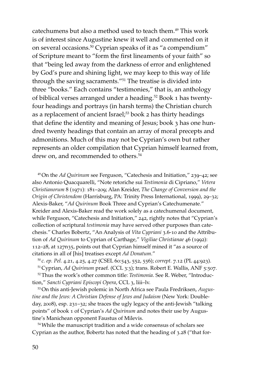catechumens but also a method used to teach them.49 This work is of interest since Augustine knew it well and commented on it on several occasions.50 Cyprian speaks of it as "a compendium" of Scripture meant to "form the first lineaments of your faith" so that "being led away from the darkness of error and enlightened by God's pure and shining light, we may keep to this way of life through the saving sacraments."51 The treatise is divided into three "books." Each contains "testimonies," that is, an anthology of biblical verses arranged under a heading.<sup>52</sup> Book 1 has twentyfour headings and portrays (in harsh terms) the Christian church as a replacement of ancient Israel;<sup>53</sup> book 2 has thirty headings that define the identity and meaning of Jesus; book 3 has one hundred twenty headings that contain an array of moral precepts and admonitions. Much of this may not be Cyprian's own but rather represents an older compilation that Cyprian himself learned from, drew on, and recommended to others.<sup>54</sup>

49 On the *Ad Quirinum* see Ferguson, "Catechesis and Initiation," 239–42; see also Antonio Quacquarelli, "Note retoriche sui *Testimonia* di Cipriano," *Vetera Christianorum* 8 (1971): 181–209; Alan Kreider, *The Change of Conversion and the Origin of Christendom* (Harrisburg, PA: Trinity Press International, 1999), 29–32; Alexis-Baker, "*Ad Quirinum* Book Three and Cyprian's Catechumenate." Kreider and Alexis-Baker read the work solely as a catechumenal document, while Ferguson, "Catechesis and Initiation," 242, rightly notes that "Cyprian's collection of scriptural *testimonia* may have served other purposes than catechesis." Charles Bobertz, "An Analysis of *Vita Cypriani* 3.6-10 and the Attribution of *Ad Quirinum* to Cyprian of Carthage," *Vigiliae Christianae* 46 (1992): 112–28, at 127n35, points out that Cyprian himself mined it "as a source of citations in all of [his] treatises except *Ad Donatum*."

<sup>50</sup>*c. ep. Pel.* 4.21, 4.25, 4.27 (CSEL 60:543, 552, 556); *corrept.* 7.12 (PL 44:923).

51 Cyprian, *Ad Quirinum* praef. (CCL 3:3); trans. Robert E. Wallis, ANF 5:507.

52 Thus the work's other common title: *Testimonia*. See R. Weber, "Introduction," *Sancti Cypriani Episcopi Opera*, CCL 3, liii–lv.

53 On this anti-Jewish polemic in North Africa see Paula Fredriksen, *Augustine and the Jews: A Christian Defense of Jews and Judaism* (New York: Doubleday, 2008), esp. 231–32; she traces the ugly legacy of the anti-Jewish "talking points" of book 1 of Cyprian's *Ad Quirinum* and notes their use by Augustine's Manichean opponent Faustus of Milevis.

54 While the manuscript tradition and a wide consensus of scholars see Cyprian as the author, Bobertz has noted that the heading of 3.28 ("that for-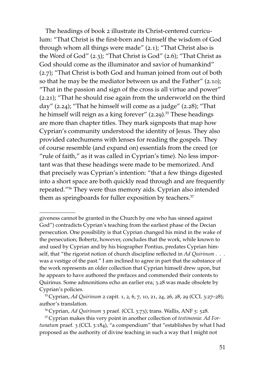The headings of book 2 illustrate its Christ-centered curriculum: "That Christ is the first-born and himself the wisdom of God through whom all things were made" (2.1); "That Christ also is the Word of God" (2.3); "That Christ is God" (2.6); "That Christ as God should come as the illuminator and savior of humankind" (2.7); "That Christ is both God and human joined from out of both so that he may be the mediator between us and the Father" (2.10); "That in the passion and sign of the cross is all virtue and power" (2.21); "That he should rise again from the underworld on the third day" (2.24); "That he himself will come as a judge" (2.28); "That he himself will reign as a king forever" (2.29).<sup>55</sup> These headings are more than chapter titles. They mark signposts that map how Cyprian's community understood the identity of Jesus. They also provided catechumens with lenses for reading the gospels. They of course resemble (and expand on) essentials from the creed (or "rule of faith," as it was called in Cyprian's time). No less important was that these headings were made to be memorized. And that precisely was Cyprian's intention: "that a few things digested into a short space are both quickly read through and are frequently repeated."56 They were thus memory aids. Cyprian also intended them as springboards for fuller exposition by teachers.<sup>57</sup>

giveness cannot be granted in the Church by one who has sinned against God") contradicts Cyprian's teaching from the earliest phase of the Decian persecution. One possibility is that Cyprian changed his mind in the wake of the persecution; Bobertz, however, concludes that the work, while known to and used by Cyprian and by his biographer Pontius, predates Cyprian himself, that "the rigorist notion of church discipline reflected in *Ad Quirinum* . . . was a vestige of the past." I am inclined to agree in part that the substance of the work represents an older collection that Cyprian himself drew upon, but he appears to have authored the prefaces and commended their contents to Quirinus. Some admonitions echo an earlier era; 3.28 was made obsolete by Cyprian's policies.

<sup>55</sup> Cyprian, *Ad Quirinum* 2 capit. 1, 2, 6, 7, 10, 21, 24, 26, 28, 29 (CCL 3:27–28); author's translation.

<sup>56</sup> Cyprian, *Ad Quirinum* 3 praef. (CCL 3:73); trans. Wallis, ANF 5: 528.

<sup>57</sup> Cyprian makes this very point in another collection of *testimonia*: *Ad For*tunatum praef. 3 (CCL 3:184), "a compendium" that "establishes by what I had proposed as the authority of divine teaching in such a way that I might not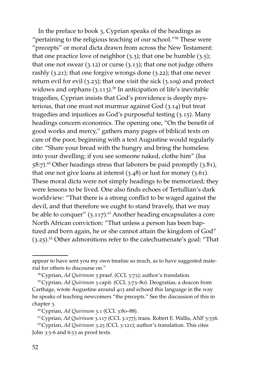In the preface to book 3, Cyprian speaks of the headings as "pertaining to the religious teaching of our school."<sup>58</sup> These were "precepts" or moral dicta drawn from across the New Testament: that one practice love of neighbor  $(3.3)$ ; that one be humble  $(3.5)$ ; that one not swear  $(3.12)$  or curse  $(3.13)$ ; that one not judge others rashly (3.21); that one forgive wrongs done (3.22); that one never return evil for evil (3.23); that one visit the sick (3.109) and protect widows and orphans  $(3.113)$ .<sup>59</sup> In anticipation of life's inevitable tragedies, Cyprian insists that God's providence is deeply mysterious, that one must not murmur against God (3.14) but treat tragedies and injustices as God's purposeful testing (3.15). Many headings concern economics. The opening one, "On the benefit of good works and mercy," gathers many pages of biblical texts on care of the poor, beginning with a text Augustine would regularly cite: "Share your bread with the hungry and bring the homeless into your dwelling; if you see someone naked, clothe him" (Isa 58:7).<sup>60</sup> Other headings stress that laborers be paid promptly (3.81), that one not give loans at interest  $(3.48)$  or lust for money  $(3.61)$ . These moral dicta were not simply headings to be memorized; they were lessons to be lived. One also finds echoes of Tertullian's dark worldview: "That there is a strong conflict to be waged against the devil, and that therefore we ought to stand bravely, that we may be able to conquer"  $(3.117)$ .<sup>61</sup> Another heading encapsulates a core North African conviction: "That unless a person has been baptized and born again, he or she cannot attain the kingdom of God"  $(3.25)$ .<sup>62</sup> Other admonitions refer to the catechumenate's goal: "That

appear to have sent you my own treatise so much, as to have suggested material for others to discourse on."

<sup>58</sup> Cyprian, *Ad Quirinum* 3 praef. (CCL 3:73); author's translation.

<sup>59</sup> Cyprian, *Ad Quirinum* 3 capit. (CCL 3:73–80). Deogratias, a deacon from Carthage, wrote Augustine around 403 and echoed this language in the way he speaks of teaching newcomers "the precepts." See the discussion of this in chapter 3.

<sup>60</sup> Cyprian, *Ad Quirinum* 3.1 (CCL 3:80–88).

<sup>61</sup> Cyprian, *Ad Quirinum* 3.117 (CCL 3:177); trans. Robert E. Wallis, ANF 5:556.

<sup>62</sup> Cyprian, *Ad Quirinum* 3.25 (CCL 3:121); author's translation. This cites John 3:5-6 and 6:53 as proof texts.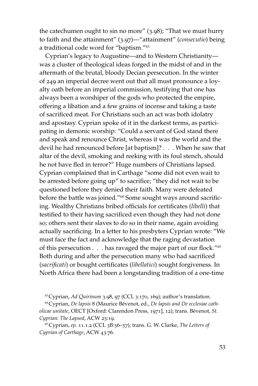the catechumen ought to sin no more" (3.98); "That we must hurry to faith and the attainment" (3.97)—"attainment" (*consecutio*) being a traditional code word for "baptism."63

Cyprian's legacy to Augustine—and to Western Christianity was a cluster of theological ideas forged in the midst of and in the aftermath of the brutal, bloody Decian persecution. In the winter of 249 an imperial decree went out that all must pronounce a loyalty oath before an imperial commission, testifying that one has always been a worshiper of the gods who protected the empire, offering a libation and a few grains of incense and taking a taste of sacrificed meat. For Christians such an act was both idolatry and apostasy. Cyprian spoke of it in the darkest terms, as participating in demonic worship: "Could a servant of God stand there and speak and renounce Christ, whereas it was the world and the devil he had renounced before [at baptism]? . . . When he saw that altar of the devil, smoking and reeking with its foul stench, should he not have fled in terror?" Huge numbers of Christians lapsed. Cyprian complained that in Carthage "some did not even wait to be arrested before going up" to sacrifice; "they did not wait to be questioned before they denied their faith. Many were defeated before the battle was joined."64 Some sought ways around sacrificing. Wealthy Christians bribed officials for certificates (*libelli*) that testified to their having sacrificed even though they had not done so; others sent their slaves to do so in their name, again avoiding actually sacrificing. In a letter to his presbyters Cyprian wrote: "We must face the fact and acknowledge that the raging devastation of this persecution . . . has ravaged the major part of our flock."65 Both during and after the persecution many who had sacrificed (*sacrificati*) or bought certificates (*libellatici*) sought forgiveness. In North Africa there had been a longstanding tradition of a one-time

63 Cyprian, *Ad Quirinum* 3.98, 97 (CCL 3:170, 169); author's translation.

64 Cyprian, *De lapsis* 8 (Maurice Bévenot, ed., *De lapsis and De ecclesiae catholicae unitate*, OECT [Oxford: Clarendon Press, 1971], 12); trans. Bévenot, *St. Cyprian: The Lapsed*, ACW 25:19.

65 Cyprian, *ep.* 11.1.2 (CCL 3B:56–57); trans. G. W. Clarke, *The Letters of Cyprian of Carthage*, ACW 43:76.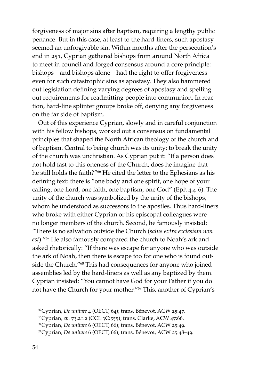forgiveness of major sins after baptism, requiring a lengthy public penance. But in this case, at least to the hard-liners, such apostasy seemed an unforgivable sin. Within months after the persecution's end in 251, Cyprian gathered bishops from around North Africa to meet in council and forged consensus around a core principle: bishops—and bishops alone—had the right to offer forgiveness even for such catastrophic sins as apostasy. They also hammered out legislation defining varying degrees of apostasy and spelling out requirements for readmitting people into communion. In reaction, hard-line splinter groups broke off, denying any forgiveness on the far side of baptism.

Out of this experience Cyprian, slowly and in careful conjunction with his fellow bishops, worked out a consensus on fundamental principles that shaped the North African theology of the church and of baptism. Central to being church was its unity; to break the unity of the church was unchristian. As Cyprian put it: "If a person does not hold fast to this oneness of the Church, does he imagine that he still holds the faith?"66 He cited the letter to the Ephesians as his defining text: there is "one body and one spirit, one hope of your calling, one Lord, one faith, one baptism, one God" (Eph 4:4-6). The unity of the church was symbolized by the unity of the bishops, whom he understood as successors to the apostles. Thus hard-liners who broke with either Cyprian or his episcopal colleagues were no longer members of the church. Second, he famously insisted: "There is no salvation outside the Church (*salus extra ecclesiam non est*)."67 He also famously compared the church to Noah's ark and asked rhetorically: "If there was escape for anyone who was outside the ark of Noah, then there is escape too for one who is found outside the Church."68 This had consequences for anyone who joined assemblies led by the hard-liners as well as any baptized by them. Cyprian insisted: "You cannot have God for your Father if you do not have the Church for your mother."69 This, another of Cyprian's

<sup>66</sup> Cyprian, *De unitate* 4 (OECT, 64); trans. Bénevot, ACW 25:47.

<sup>67</sup> Cyprian, *ep.* 73.21.2 (CCL 3C:555); trans. Clarke, ACW 47:66.

<sup>68</sup> Cyprian, *De unitate* 6 (OECT, 66); trans. Bénevot, ACW 25:49.

<sup>69</sup> Cyprian, *De unitate* 6 (OECT, 66); trans. Bénevot, ACW 25:48–49.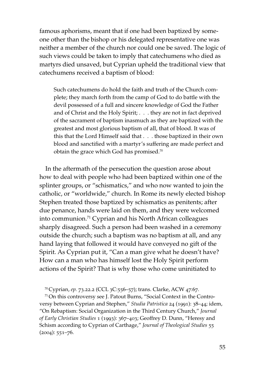famous aphorisms, meant that if one had been baptized by someone other than the bishop or his delegated representative one was neither a member of the church nor could one be saved. The logic of such views could be taken to imply that catechumens who died as martyrs died unsaved, but Cyprian upheld the traditional view that catechumens received a baptism of blood:

Such catechumens do hold the faith and truth of the Church complete; they march forth from the camp of God to do battle with the devil possessed of a full and sincere knowledge of God the Father and of Christ and the Holy Spirit; . . . they are not in fact deprived of the sacrament of baptism inasmuch as they are baptized with the greatest and most glorious baptism of all, that of blood. It was of this that the Lord Himself said that . . . those baptized in their own blood and sanctified with a martyr's suffering are made perfect and obtain the grace which God has promised.70

In the aftermath of the persecution the question arose about how to deal with people who had been baptized within one of the splinter groups, or "schismatics," and who now wanted to join the catholic, or "worldwide," church. In Rome its newly elected bishop Stephen treated those baptized by schismatics as penitents; after due penance, hands were laid on them, and they were welcomed into communion.71 Cyprian and his North African colleagues sharply disagreed. Such a person had been washed in a ceremony outside the church; such a baptism was no baptism at all, and any hand laying that followed it would have conveyed no gift of the Spirit. As Cyprian put it, "Can a man give what he doesn't have? How can a man who has himself lost the Holy Spirit perform actions of the Spirit? That is why those who come uninitiated to

70 Cyprian, *ep.* 73.22.2 (CCL 3C:556–57); trans. Clarke, ACW 47:67.

71 On this controversy see J. Patout Burns, "Social Context in the Controversy between Cyprian and Stephen," *Studia Patristica* 24 (1991): 38–44; idem, "On Rebaptism: Social Organization in the Third Century Church," *Journal of Early Christian Studies* 1 (1993): 367–403; Geoffrey D. Dunn, "Heresy and Schism according to Cyprian of Carthage," *Journal of Theological Studies* 55 (2004): 551–76.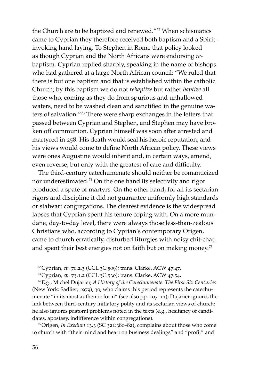the Church are to be baptized and renewed."72 When schismatics came to Cyprian they therefore received both baptism and a Spiritinvoking hand laying. To Stephen in Rome that policy looked as though Cyprian and the North Africans were endorsing *re*baptism. Cyprian replied sharply, speaking in the name of bishops who had gathered at a large North African council: "We ruled that there is but one baptism and that is established within the catholic Church; by this baptism we do not *rebaptize* but rather *baptize* all those who, coming as they do from spurious and unhallowed waters, need to be washed clean and sanctified in the genuine waters of salvation."73 There were sharp exchanges in the letters that passed between Cyprian and Stephen, and Stephen may have broken off communion. Cyprian himself was soon after arrested and martyred in 258. His death would seal his heroic reputation, and his views would come to define North African policy. These views were ones Augustine would inherit and, in certain ways, amend, even reverse, but only with the greatest of care and difficulty.

The third-century catechumenate should neither be romanticized nor underestimated.74 On the one hand its selectivity and rigor produced a spate of martyrs. On the other hand, for all its sectarian rigors and discipline it did not guarantee uniformly high standards or stalwart congregations. The clearest evidence is the widespread lapses that Cyprian spent his tenure coping with. On a more mundane, day-to-day level, there were always those less-than-zealous Christians who, according to Cyprian's contemporary Origen, came to church erratically, disturbed liturgies with noisy chit-chat, and spent their best energies not on faith but on making money.<sup>75</sup>

72 Cyprian, *ep.* 70.2.3 (CCL 3C:509); trans. Clarke, ACW 47:47.

73 Cyprian, *ep.* 73.1.2 (CCL 3C:530); trans. Clarke, ACW 47:54.

74 E.g., Michel Dujarier, *A History of the Catechumenate: The First Six Centuries* (New York: Sadlier, 1979), 30, who claims this period represents the catechumenate "in its most authentic form" (see also pp. 107–11); Dujarier ignores the link between third-century initiatory polity and its sectarian views of church; he also ignores pastoral problems noted in the texts (e.g., hesitancy of candidates, apostasy, indifference within congregations).

75 Origen, *In Exodum* 13.3 (SC 321:380–82), complains about those who come to church with "their mind and heart on business dealings" and "profit" and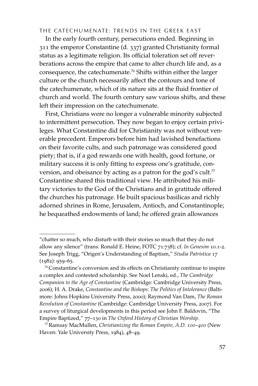THE CATECHUMENATE: TRENDS IN THE GREEK EAST

In the early fourth century, persecutions ended. Beginning in 311 the emperor Constantine (d. 337) granted Christianity formal status as a legitimate religion. Its official toleration set off reverberations across the empire that came to alter church life and, as a consequence, the catechumenate.76 Shifts within either the larger culture or the church necessarily affect the contours and tone of the catechumenate, which of its nature sits at the fluid frontier of church and world. The fourth century saw various shifts, and these left their impression on the catechumenate.

First, Christians were no longer a vulnerable minority subjected to intermittent persecution. They now began to enjoy certain privileges. What Constantine did for Christianity was not without venerable precedent. Emperors before him had lavished benefactions on their favorite cults, and such patronage was considered good piety; that is, if a god rewards one with health, good fortune, or military success it is only fitting to express one's gratitude, conversion, and obeisance by acting as a patron for the god's cult.<sup>77</sup> Constantine shared this traditional view. He attributed his military victories to the God of the Christians and in gratitude offered the churches his patronage. He built spacious basilicas and richly adorned shrines in Rome, Jerusalem, Antioch, and Constantinople; he bequeathed endowments of land; he offered grain allowances

<sup>&</sup>quot;chatter so much, who disturb with their stories so much that they do not allow any silence" (trans. Ronald E. Heine, FOTC 71:738); cf. *In Genesim* 10.1-2. See Joseph Trigg, "Origen's Understanding of Baptism," *Studia Patristica* 17 (1982): 959–65.

<sup>76</sup> Constantine's conversion and its effects on Christianity continue to inspire a complex and contested scholarship. See Noel Lenski, ed., *The Cambridge Companion to the Age of Constantine* (Cambridge: Cambridge University Press, 2006); H. A. Drake, *Constantine and the Bishops: The Politics of Intolerance* (Baltimore: Johns Hopkins University Press, 2000); Raymond Van Dam, *The Roman Revolution of Constantine* (Cambridge: Cambridge University Press, 2007). For a survey of liturgical developments in this period see John F. Baldovin, "The Empire Baptized," 77–130 in *The Oxford History of Christian Worship*.

<sup>77</sup> Ramsay MacMullen, *Christianizing the Roman Empire, A.D. 100–400* (New Haven: Yale University Press, 1984), 48–49.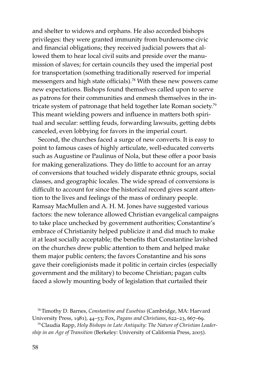and shelter to widows and orphans. He also accorded bishops privileges: they were granted immunity from burdensome civic and financial obligations; they received judicial powers that allowed them to hear local civil suits and preside over the manumission of slaves; for certain councils they used the imperial post for transportation (something traditionally reserved for imperial messengers and high state officials).78 With these new powers came new expectations. Bishops found themselves called upon to serve as patrons for their communities and enmesh themselves in the intricate system of patronage that held together late Roman society.<sup>79</sup> This meant wielding powers and influence in matters both spiritual and secular: settling feuds, forwarding lawsuits, getting debts canceled, even lobbying for favors in the imperial court.

Second, the churches faced a surge of new converts. It is easy to point to famous cases of highly articulate, well-educated converts such as Augustine or Paulinus of Nola, but these offer a poor basis for making generalizations. They do little to account for an array of conversions that touched widely disparate ethnic groups, social classes, and geographic locales. The wide spread of conversions is difficult to account for since the historical record gives scant attention to the lives and feelings of the mass of ordinary people. Ramsay MacMullen and A. H. M. Jones have suggested various factors: the new tolerance allowed Christian evangelical campaigns to take place unchecked by government authorities; Constantine's embrace of Christianity helped publicize it and did much to make it at least socially acceptable; the benefits that Constantine lavished on the churches drew public attention to them and helped make them major public centers; the favors Constantine and his sons gave their coreligionists made it politic in certain circles (especially government and the military) to become Christian; pagan cults faced a slowly mounting body of legislation that curtailed their

<sup>78</sup> Timothy D. Barnes, *Constantine and Eusebius* (Cambridge, MA: Harvard University Press, 1981), 44–53; Fox, *Pagans and Christians*, 622–23, 667–69.

<sup>79</sup> Claudia Rapp, *Holy Bishops in Late Antiquity: The Nature of Christian Leadership in an Age of Transition* (Berkeley: University of California Press, 2005).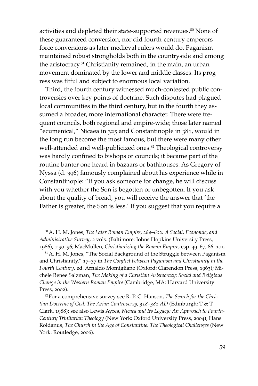activities and depleted their state-supported revenues.<sup>80</sup> None of these guaranteed conversion, nor did fourth-century emperors force conversions as later medieval rulers would do. Paganism maintained robust strongholds both in the countryside and among the aristocracy.<sup>81</sup> Christianity remained, in the main, an urban movement dominated by the lower and middle classes. Its progress was fitful and subject to enormous local variation.

Third, the fourth century witnessed much-contested public controversies over key points of doctrine. Such disputes had plagued local communities in the third century, but in the fourth they assumed a broader, more international character. There were frequent councils, both regional and empire-wide; those later named "ecumenical," Nicaea in 325 and Constantinople in 381, would in the long run become the most famous, but there were many other well-attended and well-publicized ones.<sup>82</sup> Theological controversy was hardly confined to bishops or councils; it became part of the routine banter one heard in bazaars or bathhouses. As Gregory of Nyssa (d. 396) famously complained about his experience while in Constantinople: "If you ask someone for change, he will discuss with you whether the Son is begotten or unbegotten. If you ask about the quality of bread, you will receive the answer that 'the Father is greater, the Son is less.' If you suggest that you require a

80 A. H. M. Jones, *The Later Roman Empire, 284–602: A Social, Economic, and Administrative Survey*, 2 vols. (Baltimore: Johns Hopkins University Press, 1986), 1:90–96; MacMullen, *Christianizing the Roman Empire*, esp. 49–67, 86–101.

<sup>81</sup> A. H. M. Jones, "The Social Background of the Struggle between Paganism and Christianity," 17–37 in *The Conflict between Paganism and Christianity in the Fourth Century*, ed. Arnaldo Momigliano (Oxford: Clarendon Press, 1963); Michele Renee Salzman, *The Making of a Christian Aristocracy: Social and Religious Change in the Western Roman Empire* (Cambridge, MA: Harvard University Press, 2002).

82 For a comprehensive survey see R. P. C. Hanson, *The Search for the Christian Doctrine of God: The Arian Controversy, 318–381 AD* (Edinburgh: T & T Clark, 1988); see also Lewis Ayres, *Nicaea and Its Legacy: An Approach to Fourth-Century Trinitarian Theology* (New York: Oxford University Press, 2004); Hans Roldanus, *The Church in the Age of Constantine: The Theological Challenges* (New York: Routledge, 2006).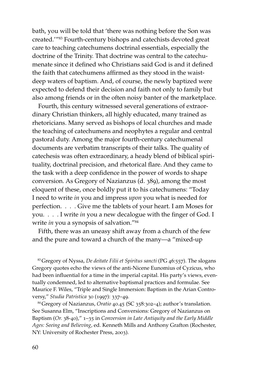bath, you will be told that 'there was nothing before the Son was created.'"83 Fourth-century bishops and catechists devoted great care to teaching catechumens doctrinal essentials, especially the doctrine of the Trinity. That doctrine was central to the catechumenate since it defined who Christians said God is and it defined the faith that catechumens affirmed as they stood in the waistdeep waters of baptism. And, of course, the newly baptized were expected to defend their decision and faith not only to family but also among friends or in the often noisy banter of the marketplace.

Fourth, this century witnessed several generations of extraordinary Christian thinkers, all highly educated, many trained as rhetoricians. Many served as bishops of local churches and made the teaching of catechumens and neophytes a regular and central pastoral duty. Among the major fourth-century catechumenal documents are verbatim transcripts of their talks. The quality of catechesis was often extraordinary, a heady blend of biblical spirituality, doctrinal precision, and rhetorical flare. And they came to the task with a deep confidence in the power of words to shape conversion. As Gregory of Nazianzus (d. 389), among the most eloquent of these, once boldly put it to his catechumens: "Today I need to write *in* you and impress *upon* you what is needed for perfection. . . . Give me the tablets of your heart. I am Moses for you. . . . I write *in* you a new decalogue with the finger of God. I write *in* you a synopsis of salvation."<sup>84</sup>

Fifth, there was an uneasy shift away from a church of the few and the pure and toward a church of the many—a "mixed-up

83 Gregory of Nyssa, *De deitate Filii et Spiritus sancti* (PG 46:557). The slogans Gregory quotes echo the views of the anti-Nicene Eunomius of Cyzicus, who had been influential for a time in the imperial capital. His party's views, eventually condemned, led to alternative baptismal practices and formulae. See Maurice F. Wiles, "Triple and Single Immersion: Baptism in the Arian Controversy," *Studia Patristica* 30 (1997): 337–49.

84 Gregory of Nazianzus, *Oratio* 40.45 (SC 358:302–4); author's translation. See Susanna Elm, "Inscriptions and Conversions: Gregory of Nazianzus on Baptism (*Or.* 38-40)," 1–35 in *Conversion in Late Antiquity and the Early Middle Ages: Seeing and Believing*, ed. Kenneth Mills and Anthony Grafton (Rochester, NY: University of Rochester Press, 2003).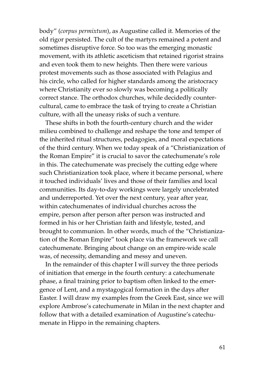body" (*corpus permixtum*), as Augustine called it. Memories of the old rigor persisted. The cult of the martyrs remained a potent and sometimes disruptive force. So too was the emerging monastic movement, with its athletic asceticism that retained rigorist strains and even took them to new heights. Then there were various protest movements such as those associated with Pelagius and his circle, who called for higher standards among the aristocracy where Christianity ever so slowly was becoming a politically correct stance. The orthodox churches, while decidedly countercultural, came to embrace the task of trying to create a Christian culture, with all the uneasy risks of such a venture.

These shifts in both the fourth-century church and the wider milieu combined to challenge and reshape the tone and temper of the inherited ritual structures, pedagogies, and moral expectations of the third century. When we today speak of a "Christianization of the Roman Empire" it is crucial to savor the catechumenate's role in this. The catechumenate was precisely the cutting edge where such Christianization took place, where it became personal, where it touched individuals' lives and those of their families and local communities. Its day-to-day workings were largely uncelebrated and underreported. Yet over the next century, year after year, within catechumenates of individual churches across the empire, person after person after person was instructed and formed in his or her Christian faith and lifestyle, tested, and brought to communion. In other words, much of the "Christianization of the Roman Empire" took place via the framework we call catechumenate. Bringing about change on an empire-wide scale was, of necessity, demanding and messy and uneven.

In the remainder of this chapter I will survey the three periods of initiation that emerge in the fourth century: a catechumenate phase, a final training prior to baptism often linked to the emergence of Lent, and a mystagogical formation in the days after Easter. I will draw my examples from the Greek East, since we will explore Ambrose's catechumenate in Milan in the next chapter and follow that with a detailed examination of Augustine's catechumenate in Hippo in the remaining chapters.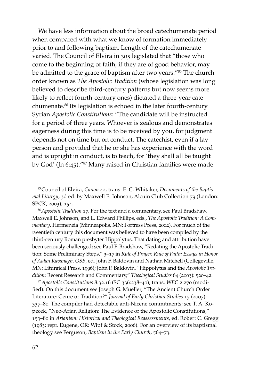We have less information about the broad catechumenate period when compared with what we know of formation immediately prior to and following baptism. Length of the catechumenate varied. The Council of Elvira in 305 legislated that "those who come to the beginning of faith, if they are of good behavior, may be admitted to the grace of baptism after two years."<sup>85</sup> The church order known as *The Apostolic Tradition* (whose legislation was long believed to describe third-century patterns but now seems more likely to reflect fourth-century ones) dictated a three-year catechumenate.86 Its legislation is echoed in the later fourth-century Syrian *Apostolic Constitutions*: "The candidate will be instructed for a period of three years. Whoever is zealous and demonstrates eagerness during this time is to be received by you, for judgment depends not on time but on conduct. The catechist, even if a lay person and provided that he or she has experience with the word and is upright in conduct, is to teach, for 'they shall all be taught by God' (Jn 6:45)."<sup>87</sup> Many raised in Christian families were made

85 Council of Elvira, *Canon* 42, trans. E. C. Whitaker, *Documents of the Baptismal Liturgy*, 3d ed. by Maxwell E. Johnson, Alcuin Club Collection 79 (London: SPCK, 2003), 154.

<sup>86</sup>*Apostolic Tradition* 17. For the text and a commentary, see Paul Bradshaw, Maxwell E. Johnson, and L. Edward Phillips, eds., *The Apostolic Tradition: A Commentary*. Hermeneia (Minneapolis, MN: Fortress Press, 2002). For much of the twentieth century this document was believed to have been compiled by the third-century Roman presbyter Hippolytus. That dating and attribution have been seriously challenged; see Paul F. Bradshaw, "Redating the Apostolic Tradition: Some Preliminary Steps," 3–17 in *Rule of Prayer, Rule of Faith: Essays in Honor of Aidan Kavanagh, OSB*, ed. John F. Baldovin and Nathan Mitchell (Collegeville, MN: Liturgical Press, 1996); John F. Baldovin, "Hippolytus and the *Apostolic Tradition*: Recent Research and Commentary," *Theological Studies* 64 (2003): 520–42.

87 *Apostolic Constitutions* 8.32.16 (SC 336:238–40); trans. *WEC* 2:270 (modified). On this document see Joseph G. Mueller, "The Ancient Church Order Literature: Genre or Tradition?" *Journal of Early Christian Studies* 15 (2007): 337–80. The compiler had detectable anti-Nicene commitments; see T. A. Kopecek, "Neo-Arian Religion: The Evidence of the Apostolic Constitutions," 153–80 in *Arianism: Historical and Theological Reassessments*, ed. Robert C. Gregg (1983; repr. Eugene, OR: Wipf & Stock, 2006). For an overview of its baptismal theology see Ferguson, *Baptism in the Early Church*, 564–73.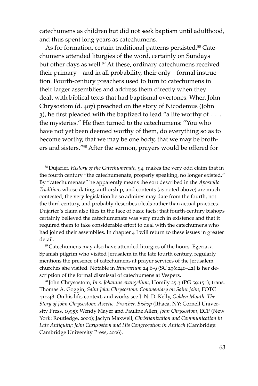catechumens as children but did not seek baptism until adulthood, and thus spent long years as catechumens.

As for formation, certain traditional patterns persisted.<sup>88</sup> Catechumens attended liturgies of the word, certainly on Sundays but other days as well.<sup>89</sup> At these, ordinary catechumens received their primary—and in all probability, their only—formal instruction. Fourth-century preachers used to turn to catechumens in their larger assemblies and address them directly when they dealt with biblical texts that had baptismal overtones. When John Chrysostom (d. 407) preached on the story of Nicodemus (John 3), he first pleaded with the baptized to lead "a life worthy of  $\ldots$ the mysteries." He then turned to the catechumens: "You who have not yet been deemed worthy of them, do everything so as to become worthy, that we may be one body, that we may be brothers and sisters."90 After the sermon, prayers would be offered for

88 Dujarier, *History of the Catechumenate*, 94, makes the very odd claim that in the fourth century "the catechumenate, properly speaking, no longer existed." By "catechumenate" he apparently means the sort described in the *Apostolic Tradition*, whose dating, authorship, and contents (as noted above) are much contested; the very legislation he so admires may date from the fourth, not the third century, and probably describes ideals rather than actual practices. Dujarier's claim also flies in the face of basic facts: that fourth-century bishops certainly believed the catechumenate was very much in existence and that it required them to take considerable effort to deal with the catechumens who had joined their assemblies. In chapter 4 I will return to these issues in greater detail.

89 Catechumens may also have attended liturgies of the hours. Egeria, a Spanish pilgrim who visited Jerusalem in the late fourth century, regularly mentions the presence of catechumens at prayer services of the Jerusalem churches she visited. Notable in *Itinerarium* 24.6-9 (SC 296:240–42) is her description of the formal dismissal of catechumens at Vespers.

90 John Chrysostom, *In s. Johannis evangelium*, Homily 25.3 (PG 59:151); trans. Thomas A. Goggin, *Saint John Chrysostom: Commentary on Saint John*, FOTC 41:248. On his life, context, and works see J. N. D. Kelly, *Golden Mouth: The Story of John Chrysostom: Ascetic, Preacher, Bishop* (Ithaca, NY: Cornell University Press, 1995); Wendy Mayer and Pauline Allen, *John Chrysostom*, ECF (New York: Routledge, 2000); Jaclyn Maxwell, *Christianization and Communication in Late Antiquity: John Chrysostom and His Congregation in Antioch* (Cambridge: Cambridge University Press, 2006).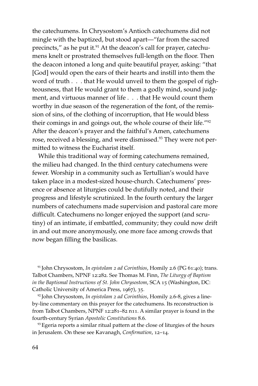the catechumens. In Chrysostom's Antioch catechumens did not mingle with the baptized, but stood apart—"far from the sacred precincts," as he put it.<sup>91</sup> At the deacon's call for prayer, catechumens knelt or prostrated themselves full-length on the floor. Then the deacon intoned a long and quite beautiful prayer, asking: "that [God] would open the ears of their hearts and instill into them the word of truth . . . that He would unveil to them the gospel of righteousness, that He would grant to them a godly mind, sound judgment, and virtuous manner of life . . . that He would count them worthy in due season of the regeneration of the font, of the remission of sins, of the clothing of incorruption, that He would bless their comings in and goings out, the whole course of their life."92 After the deacon's prayer and the faithful's Amen, catechumens rose, received a blessing, and were dismissed.<sup>93</sup> They were not permitted to witness the Eucharist itself.

While this traditional way of forming catechumens remained, the milieu had changed. In the third century catechumens were fewer. Worship in a community such as Tertullian's would have taken place in a modest-sized house-church. Catechumens' presence or absence at liturgies could be dutifully noted, and their progress and lifestyle scrutinized. In the fourth century the larger numbers of catechumens made supervision and pastoral care more difficult. Catechumens no longer enjoyed the support (and scrutiny) of an intimate, if embattled, community; they could now drift in and out more anonymously, one more face among crowds that now began filling the basilicas.

91 John Chrysostom, *In epistolam 2 ad Corinthios*, Homily 2.6 (PG 61:40); trans. Talbot Chambers, NPNF 12:282. See Thomas M. Finn, *The Liturgy of Baptism in the Baptismal Instructions of St. John Chrysostom*, SCA 15 (Washington, DC: Catholic University of America Press, 1967), 35.

92 John Chrysostom, *In epistolam 2 ad Corinthios*, Homily 2.6-8, gives a lineby-line commentary on this prayer for the catechumens. Its reconstruction is from Talbot Chambers, NPNF 12:281–82 n11. A similar prayer is found in the fourth-century Syrian *Apostolic Constitutions* 8.6.

 $93$  Egeria reports a similar ritual pattern at the close of liturgies of the hours in Jerusalem. On these see Kavanagh, *Confirmation*, 12–14.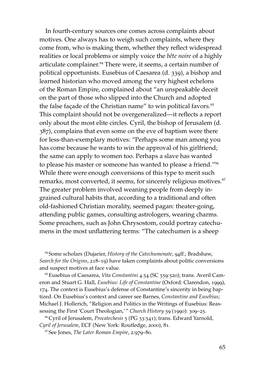In fourth-century sources one comes across complaints about motives. One always has to weigh such complaints, where they come from, who is making them, whether they reflect widespread realities or local problems or simply voice the *bête noire* of a highly articulate complainer.<sup>94</sup> There were, it seems, a certain number of political opportunists. Eusebius of Caesarea (d. 339), a bishop and learned historian who moved among the very highest echelons of the Roman Empire, complained about "an unspeakable deceit on the part of those who slipped into the Church and adopted the false façade of the Christian name" to win political favors.<sup>95</sup> This complaint should not be overgeneralized—it reflects a report only about the most elite circles. Cyril, the bishop of Jerusalem (d. 387), complains that even some on the eve of baptism were there for less-than-exemplary motives: "Perhaps some man among you has come because he wants to win the approval of his girlfriend; the same can apply to women too. Perhaps a slave has wanted to please his master or someone has wanted to please a friend."96 While there were enough conversions of this type to merit such remarks, most converted, it seems, for sincerely religious motives.<sup>97</sup> The greater problem involved weaning people from deeply ingrained cultural habits that, according to a traditional and often old-fashioned Christian morality, seemed pagan: theater-going, attending public games, consulting astrologers, wearing charms. Some preachers, such as John Chrysostom, could portray catechumens in the most unflattering terms: "The catechumen is a sheep

94 Some scholars (Dujarier, *History of the Catechumenate*, 94ff.; Bradshaw, *Search for the Origins*, 218–19) have taken complaints about politic conversions and suspect motives at face value.

95 Eusebius of Caesarea, *Vita Constantini* 4.54 (SC 559:520); trans. Averil Cameron and Stuart G. Hall, *Eusebius: Life of Constantine* (Oxford: Clarendon, 1999), 174. The context is Eusebius's defense of Constantine's sincerity in being baptized. On Eusebius's context and career see Barnes, *Constantine and Eusebius*; Michael J. Hollerich, "Religion and Politics in the Writings of Eusebius: Reassessing the First 'Court Theologian,' " *Church History* 59 (1990): 309–25.

96 Cyril of Jerusalem, *Procatechesis* 5 (PG 33:541); trans. Edward Yarnold, *Cyril of Jerusalem*, ECF (New York: Routledge, 2000), 81.

97 See Jones, *The Later Roman Empire*, 2:979–80.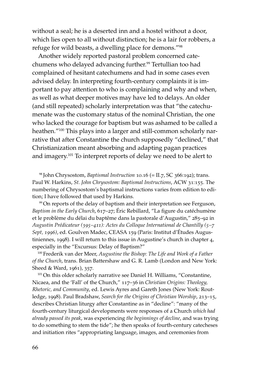without a seal; he is a deserted inn and a hostel without a door, which lies open to all without distinction; he is a lair for robbers, a refuge for wild beasts, a dwelling place for demons."98

Another widely reported pastoral problem concerned catechumens who delayed advancing further.<sup>99</sup> Tertullian too had complained of hesitant catechumens and had in some cases even advised delay. In interpreting fourth-century complaints it is important to pay attention to who is complaining and why and when, as well as what deeper motives may have led to delays. An older (and still repeated) scholarly interpretation was that "the catechumenate was the customary status of the nominal Christian, the one who lacked the courage for baptism but was ashamed to be called a heathen."100 This plays into a larger and still-common scholarly narrative that after Constantine the church supposedly "declined," that Christianization meant absorbing and adapting pagan practices and imagery.101 To interpret reports of delay we need to be alert to

98 John Chrysostom, *Baptismal Instruction* 10.16 (= II.7, SC 366:192); trans. Paul W. Harkins, *St. John Chrysostom: Baptismal Instructions*, ACW 31:155. The numbering of Chrysostom's baptismal instructions varies from edition to edition; I have followed that used by Harkins.

<sup>99</sup> On reports of the delay of baptism and their interpretation see Ferguson, *Baptism in the Early Church*, 617–27; Éric Rebillard, "La figure du catéchumène et le problème du délai du baptême dans la pastorale d'Augustin," 285–92 in *Augustin Prédicateur (395–411): Actes du Colloque International de Chantilly (5–7 Sept, 1996)*, ed. Goulven Madec, CEASA 159 (Paris: Institut d'Études Augustiniennes, 1998). I will return to this issue in Augustine's church in chapter 4, especially in the "Excursus: Delay of Baptism?"

100 Frederik van der Meer, *Augustine the Bishop: The Life and Work of a Father of the Church*, trans. Brian Battershaw and G. R. Lamb (London and New York: Sheed & Ward, 1961), 357.

<sup>101</sup> On this older scholarly narrative see Daniel H. Williams, "Constantine, Nicaea, and the 'Fall' of the Church," 117–36 in *Christian Origins: Theology, Rhetoric, and Community*, ed. Lewis Ayres and Gareth Jones (New York: Routledge, 1998). Paul Bradshaw, *Search for the Origins of Christian Worship*, 213–15, describes Christian liturgy after Constantine as in "decline": "many of the fourth-century liturgical developments were responses of a Church *which had already passed its peak*, was experiencing *the beginnings of decline*, and was trying to do something to stem the tide"; he then speaks of fourth-century catecheses and initiation rites "appropriating language, images, and ceremonies from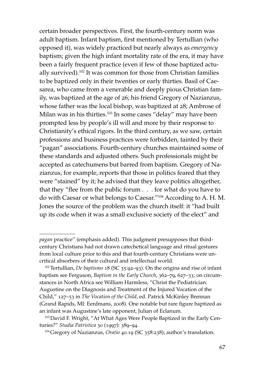certain broader perspectives. First, the fourth-century norm was adult baptism. Infant baptism, first mentioned by Tertullian (who opposed it), was widely practiced but nearly always as *emergency* baptism; given the high infant mortality rate of the era, it may have been a fairly frequent practice (even if few of those baptized actually survived).<sup>102</sup> It was common for those from Christian families to be baptized only in their twenties or early thirties. Basil of Caesarea, who came from a venerable and deeply pious Christian family, was baptized at the age of 26; his friend Gregory of Nazianzus, whose father was the local bishop, was baptized at 28; Ambrose of Milan was in his thirties.<sup>103</sup> In some cases "delay" may have been prompted less by people's ill will and more by their response to Christianity's ethical rigors. In the third century, as we saw, certain professions and business practices were forbidden, tainted by their "pagan" associations. Fourth-century churches maintained some of these standards and adjusted others. Such professionals might be accepted as catechumens but barred from baptism. Gregory of Nazianzus, for example, reports that those in politics feared that they were "stained" by it; he advised that they leave politics altogether, that they "flee from the public forum . . . for what do you have to do with Caesar or what belongs to Caesar."104 According to A. H. M. Jones the source of the problem was the church itself: it "had built up its code when it was a small exclusive society of the elect" and

*pagan* practice" (emphasis added). This judgment presupposes that thirdcentury Christians had not drawn catechetical language and ritual gestures from local culture prior to this and that fourth-century Christians were uncritical absorbers of their cultural and intellectual world.

<sup>102</sup> Tertullian, *De baptismo* 18 (SC 35:92–93). On the origins and rise of infant baptism see Ferguson, *Baptism in the Early Church*, 362–79, 627–33; on circumstances in North Africa see William Harmless, "Christ the Pediatrician: Augustine on the Diagnosis and Treatment of the Injured Vocation of the Child," 127–53 in *The Vocation of the Child*, ed. Patrick McKinley Brennan (Grand Rapids, MI: Eerdmans, 2008). One notable but rare figure baptized as an infant was Augustine's late opponent, Julian of Eclanum.

<sup>&</sup>lt;sup>103</sup> David F. Wright, "At What Ages Were People Baptized in the Early Centuries?" *Studia Patristica* 30 (1997): 389–94.

<sup>104</sup> Gregory of Nazianzus, *Oratio* 40.19 (SC 358:238); author's translation.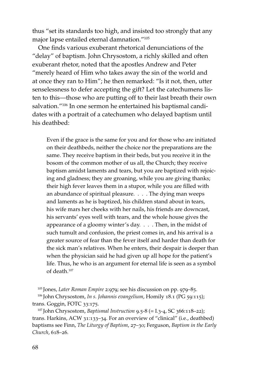thus "set its standards too high, and insisted too strongly that any major lapse entailed eternal damnation."105

One finds various exuberant rhetorical denunciations of the "delay" of baptism. John Chrysostom, a richly skilled and often exuberant rhetor, noted that the apostles Andrew and Peter "merely heard of Him who takes away the sin of the world and at once they ran to Him"; he then remarked: "Is it not, then, utter senselessness to defer accepting the gift? Let the catechumens listen to this—those who are putting off to their last breath their own salvation."<sup>106</sup> In one sermon he entertained his baptismal candidates with a portrait of a catechumen who delayed baptism until his deathbed:

Even if the grace is the same for you and for those who are initiated on their deathbeds, neither the choice nor the preparations are the same. They receive baptism in their beds, but you receive it in the bosom of the common mother of us all, the Church; they receive baptism amidst laments and tears, but you are baptized with rejoicing and gladness; they are groaning, while you are giving thanks; their high fever leaves them in a stupor, while you are filled with an abundance of spiritual pleasure. . . . The dying man weeps and laments as he is baptized, his children stand about in tears, his wife mars her cheeks with her nails, his friends are downcast, his servants' eyes well with tears, and the whole house gives the appearance of a gloomy winter's day. . . . Then, in the midst of such tumult and confusion, the priest comes in, and his arrival is a greater source of fear than the fever itself and harder than death for the sick man's relatives. When he enters, their despair is deeper than when the physician said he had given up all hope for the patient's life. Thus, he who is an argument for eternal life is seen as a symbol of death.107

105 Jones, *Later Roman Empire* 2:979; see his discussion on pp. 979–85.

106 John Chrysostom, *In s. Johannis evangelium*, Homily 18.1 (PG 59:115); trans. Goggin, FOTC 33:175.

107 John Chrysostom, *Baptismal Instruction* 9.5-8 (= I.3-4, SC 366:118–22); trans. Harkins, ACW 31:133–34. For an overview of "clinical" (i.e., deathbed) baptisms see Finn, *The Liturgy of Baptism*, 27–30; Ferguson, *Baptism in the Early Church*, 618–26.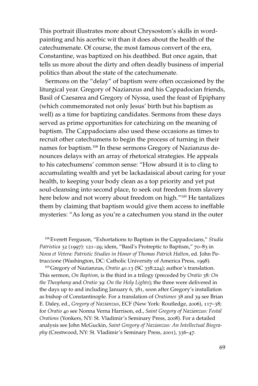This portrait illustrates more about Chrysostom's skills in wordpainting and his acerbic wit than it does about the health of the catechumenate. Of course, the most famous convert of the era, Constantine, was baptized on his deathbed. But once again, that tells us more about the dirty and often deadly business of imperial politics than about the state of the catechumenate.

Sermons on the "delay" of baptism were often occasioned by the liturgical year. Gregory of Nazianzus and his Cappadocian friends, Basil of Caesarea and Gregory of Nyssa, used the feast of Epiphany (which commemorated not only Jesus' birth but his baptism as well) as a time for baptizing candidates. Sermons from these days served as prime opportunities for catechizing on the meaning of baptism. The Cappadocians also used these occasions as times to recruit other catechumens to begin the process of turning in their names for baptism.108 In these sermons Gregory of Nazianzus denounces delays with an array of rhetorical strategies. He appeals to his catechumens' common sense: "How absurd it is to cling to accumulating wealth and yet be lackadaisical about caring for your health, to keeping your body clean as a top priority and yet put soul-cleansing into second place, to seek out freedom from slavery here below and not worry about freedom on high."<sup>109</sup> He tantalizes them by claiming that baptism would give them access to ineffable mysteries: "As long as you're a catechumen you stand in the outer

108 Everett Ferguson, "Exhortations to Baptism in the Cappadocians," *Studia Patristica* 32 (1997): 121–29; idem, "Basil's Protreptic to Baptism," 70–83 in *Nova et Vetera: Patristic Studies in Honor of Thomas Patrick Halton*, ed. John Petruccione (Washington, DC: Catholic University of America Press, 1998).

109 Gregory of Nazianzus, *Oratio* 40.13 (SC 358:224); author's translation. This sermon, *On Baptism*, is the third in a trilogy (preceded by *Oratio* 38: *On the Theophany* and *Oratio* 39: *On the Holy Lights*); the three were delivered in the days up to and including January 6, 381, soon after Gregory's installation as bishop of Constantinople. For a translation of *Orationes* 38 and 39 see Brian E. Daley, ed., *Gregory of Nazianzus*, ECF (New York: Routledge, 2006), 117–38; for *Oratio* 40 see Nonna Verna Harrison, ed., *Saint Gregory of Nazianzus: Festal Orations* (Yonkers, NY: St. Vladimir's Seminary Press, 2008). For a detailed analysis see John McGuckin, *Saint Gregory of Nazianzus: An Intellectual Biography* (Crestwood, NY: St. Vladimir's Seminary Press, 2001), 336–47.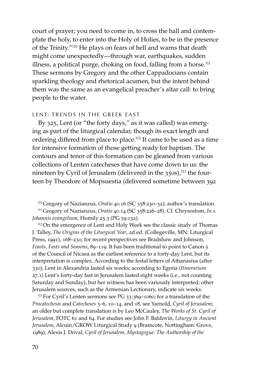court of prayer; you need to come in, to cross the hall and contemplate the holy, to enter into the Holy of Holies, to be in the presence of the Trinity."110 He plays on fears of hell and warns that death might come unexpectedly—through war, earthquakes, sudden illness, a political purge, choking on food, falling from a horse. $111$ These sermons by Gregory and the other Cappadocians contain sparkling theology and rhetorical acumen, but the intent behind them was the same as an evangelical preacher's altar call: to bring people to the water.

## LENT: TRENDS IN THE GREEK EAST

By 325, Lent (or "the forty days," as it was called) was emerging as part of the liturgical calendar, though its exact length and ordering differed from place to place.112 It came to be used as a time for intensive formation of those getting ready for baptism. The contours and tenor of this formation can be gleaned from various collections of Lenten catecheses that have come down to us: the nineteen by Cyril of Jerusalem (delivered in the 350s),<sup>113</sup> the fourteen by Theodore of Mopsuestia (delivered sometime between 392

110 Gregory of Nazianzus, *Oratio* 40.16 (SC 358:230–32); author's translation.

111 Gregory of Nazianzus, *Oratio* 40.14 (SC 358:226–28). Cf. Chrysostom, *In s. Johannis evangelium*, Homily 25.3 (PG 59:152).

<sup>112</sup> On the emergence of Lent and Holy Week see the classic study of Thomas J. Talley, *The Origins of the Liturgical Year*, 2d ed. (Collegeville, MN: Liturgical Press, 1991), 168–230; for recent perspectives see Bradshaw and Johnson, *Feasts, Fasts and Seasons*, 89–119. It has been traditional to point to Canon 5 of the Council of Nicaea as the earliest reference to a forty-day Lent, but its interpretation is complex. According to the festal letters of Athanasius (after 330), Lent in Alexandria lasted six weeks; according to Egeria (*Itinerarium* 27.1) Lent's forty-day fast in Jerusalem lasted eight weeks (i.e., not counting Saturday and Sunday), but her witness has been variously interpreted; other Jerusalem sources, such as the Armenian Lectionary, indicate six weeks.

113 For Cyril's Lenten sermons see PG 33:369–1060; for a translation of the *Procatechesis* and *Catecheses* 3–6, 10–14, and 18, see Yarnold, *Cyril of Jerusalem*; an older but complete translation is by Leo McCauley, *The Works of St. Cyril of Jerusalem*, FOTC 61 and 64. For studies see John F. Baldovin, *Liturgy in Ancient Jerusalem*, Alcuin/GROW Liturgical Study 9 (Bramcote, Nottingham: Grove, 1989); Alexis J. Doval, *Cyril of Jerusalem, Mystagogue: The Authorship of the*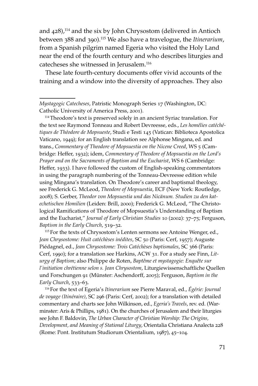and  $428$ ),<sup>114</sup> and the six by John Chrysostom (delivered in Antioch between 388 and 390).115 We also have a travelogue, the *Itinerarium*, from a Spanish pilgrim named Egeria who visited the Holy Land near the end of the fourth century and who describes liturgies and catecheses she witnessed in Jerusalem.116

These late fourth-century documents offer vivid accounts of the training and a window into the diversity of approaches. They also

<sup>114</sup> Theodore's text is preserved solely in an ancient Syriac translation. For the text see Raymond Tonneau and Robert Devreesse, eds., *Les homélies catéchétiques de Théodore de Mopsueste*, Studi e Testi 145 (Vatican: Biblioteca Apostolica Vaticano, 1949); for an English translation see Alphonse Mingana, ed. and trans., *Commentary of Theodore of Mopsuestia on the Nicene Creed*, WS 5 (Cambridge: Heffer, 1932); idem, *Commentary of Theodore of Mopsuestia on the Lord's Prayer and on the Sacraments of Baptism and the Eucharist*, WS 6 (Cambridge: Heffer, 1933). I have followed the custom of English-speaking commentators in using the paragraph numbering of the Tonneau-Devreesse edition while using Mingana's translation. On Theodore's career and baptismal theology, see Frederick G. McLeod, *Theodore of Mopsuestia*, ECF (New York: Routledge, 2008); S. Gerber, *Theodor von Mopsuestia und das Nicänum. Studien zu den katechetischen Homilien* (Leiden: Brill, 2000); Frederick G. McLeod, "The Christological Ramifications of Theodore of Mopsuestia's Understanding of Baptism and the Eucharist," *Journal of Early Christian Studies* 10 (2002): 37–75; Ferguson, *Baptism in the Early Church*, 519–32.

<sup>115</sup> For the texts of Chrysostom's Lenten sermons see Antoine Wenger, ed., *Jean Chrysostome: Huit catéchèses inédites*, SC 50 (Paris: Cerf, 1957); Auguste Piédagnel, ed., *Jean Chrysostome: Trois Catéchèses baptismales*, SC 366 (Paris: Cerf, 1990); for a translation see Harkins, ACW 31. For a study see Finn, *Liturgy of Baptism*; also Philippe de Roten, *Baptême et mystagogie: Enquête sur l'initiation chrétienne selon s. Jean Chrysostom*, Liturgiewissenschaftliche Quellen und Forschungen 91 (Münster: Aschendorff, 2005); Ferguson, *Baptism in the Early Church*, 533–63.

116 For the text of Egeria's *Itinerarium* see Pierre Maraval, ed., *Égérie: Journal de voyage (Itinéraire)*, SC 296 (Paris: Cerf, 2002); for a translation with detailed commentary and charts see John Wilkinson, ed., *Egeria's Travels*, rev. ed. (Warminster: Aris & Phillips, 1981). On the churches of Jerusalem and their liturgies see John F. Baldovin, *The Urban Character of Christian Worship: The Origins, Development, and Meaning of Stational Liturgy*, Orientalia Christiana Analecta 228 (Rome: Pont. Institutum Studiorum Orientalium, 1987), 45–104.

*Mystagogic Catecheses*, Patristic Monograph Series 17 (Washington, DC: Catholic University of America Press, 2001).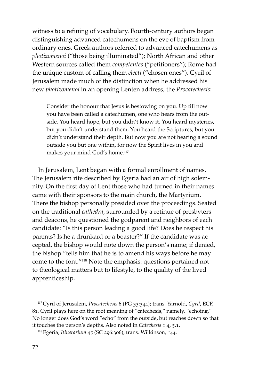witness to a refining of vocabulary. Fourth-century authors began distinguishing advanced catechumens on the eve of baptism from ordinary ones. Greek authors referred to advanced catechumens as *photizomenoi* ("those being illuminated"); North African and other Western sources called them *competentes* ("petitioners"); Rome had the unique custom of calling them *electi* ("chosen ones"). Cyril of Jerusalem made much of the distinction when he addressed his new *photizomenoi* in an opening Lenten address, the *Procatechesis*:

Consider the honour that Jesus is bestowing on you. Up till now you have been called a catechumen, one who hears from the outside. You heard hope, but you didn't know it. You heard mysteries, but you didn't understand them. You heard the Scriptures, but you didn't understand their depth. But now you are not hearing a sound outside you but one within, for now the Spirit lives in you and makes your mind God's home.<sup>117</sup>

In Jerusalem, Lent began with a formal enrollment of names. The Jerusalem rite described by Egeria had an air of high solemnity. On the first day of Lent those who had turned in their names came with their sponsors to the main church, the Martyrium. There the bishop personally presided over the proceedings. Seated on the traditional *cathedra*, surrounded by a retinue of presbyters and deacons, he questioned the godparent and neighbors of each candidate: "Is this person leading a good life? Does he respect his parents? Is he a drunkard or a boaster?" If the candidate was accepted, the bishop would note down the person's name; if denied, the bishop "tells him that he is to amend his ways before he may come to the font."118 Note the emphasis: questions pertained not to theological matters but to lifestyle, to the quality of the lived apprenticeship.

117 Cyril of Jerusalem, *Procatechesis* 6 (PG 33:344); trans. Yarnold, *Cyril*, ECF, 81. Cyril plays here on the root meaning of "catechesis," namely, "echoing." No longer does God's word "echo" from the outside, but reaches down so that it touches the person's depths. Also noted in *Catechesis* 1.4, 5.1.

<sup>118</sup> Egeria, *Itinerarium* 45 (SC 296:306); trans. Wilkinson, 144.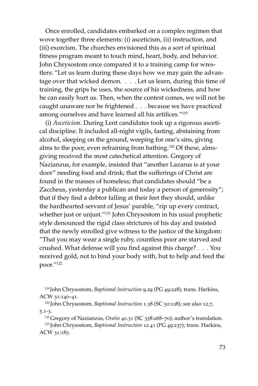Once enrolled, candidates embarked on a complex regimen that wove together three elements: (i) asceticism, (ii) instruction, and (iii) exorcism. The churches envisioned this as a sort of spiritual fitness program meant to touch mind, heart, body, and behavior. John Chrysostom once compared it to a training camp for wrestlers: "Let us learn during these days how we may gain the advantage over that wicked demon. . . . Let us learn, during this time of training, the grips he uses, the source of his wickedness, and how he can easily hurt us. Then, when the contest comes, we will not be caught unaware nor be frightened . . . because we have practiced among ourselves and have learned all his artifices."119

(i) *Asceticism*. During Lent candidates took up a rigorous ascetical discipline. It included all-night vigils, fasting, abstaining from alcohol, sleeping on the ground, weeping for one's sins, giving alms to the poor, even refraining from bathing.<sup>120</sup> Of these, almsgiving received the most catechetical attention. Gregory of Nazianzus, for example, insisted that "another Lazarus is at your door" needing food and drink; that the sufferings of Christ are found in the masses of homeless; that candidates should "be a Zaccheus, yesterday a publican and today a person of generosity"; that if they find a debtor falling at their feet they should, unlike the hardhearted servant of Jesus' parable, "rip up every contract, whether just or unjust."<sup>121</sup> John Chrysostom in his usual prophetic style denounced the rigid class strictures of his day and insisted that the newly enrolled give witness to the justice of the kingdom: "That you may wear a single ruby, countless poor are starved and crushed. What defense will you find against this charge? . . . You received gold, not to bind your body with, but to help and feed the poor."122

119 John Chrysostom, *Baptismal Instruction* 9.29 (PG 49:228); trans. Harkins, ACW 31:140–41.

<sup>120</sup> John Chrysostom, *Baptismal Instruction* 1.38 (SC 50:128); see also 12.7, 5.1-3.

121 Gregory of Nazianzus, *Oratio* 40.31 (SC 358:268–70); author's translation. 122 John Chrysostom, *Baptismal Instruction* 12.41 (PG 49:237); trans. Harkins, ACW 31:185.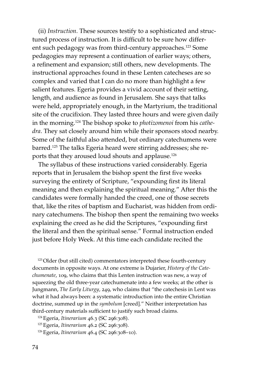(ii) *Instruction*. These sources testify to a sophisticated and structured process of instruction. It is difficult to be sure how different such pedagogy was from third-century approaches.123 Some pedagogies may represent a continuation of earlier ways; others, a refinement and expansion; still others, new developments. The instructional approaches found in these Lenten catecheses are so complex and varied that I can do no more than highlight a few salient features. Egeria provides a vivid account of their setting, length, and audience as found in Jerusalem. She says that talks were held, appropriately enough, in the Martyrium, the traditional site of the crucifixion. They lasted three hours and were given daily in the morning.124 The bishop spoke to *photizomenoi* from his *cathedra*. They sat closely around him while their sponsors stood nearby. Some of the faithful also attended, but ordinary catechumens were barred.125 The talks Egeria heard were stirring addresses; she reports that they aroused loud shouts and applause.<sup>126</sup>

The syllabus of these instructions varied considerably. Egeria reports that in Jerusalem the bishop spent the first five weeks surveying the entirety of Scripture, "expounding first its literal meaning and then explaining the spiritual meaning." After this the candidates were formally handed the creed, one of those secrets that, like the rites of baptism and Eucharist, was hidden from ordinary catechumens. The bishop then spent the remaining two weeks explaining the creed as he did the Scriptures, "expounding first the literal and then the spiritual sense." Formal instruction ended just before Holy Week. At this time each candidate recited the

<sup>123</sup> Older (but still cited) commentators interpreted these fourth-century documents in opposite ways. At one extreme is Dujarier, *History of the Catechumenate*, 109, who claims that this Lenten instruction was new, a way of squeezing the old three-year catechumenate into a few weeks; at the other is Jungmann, *The Early Liturgy*, 249, who claims that "the catechesis in Lent was what it had always been: a systematic introduction into the entire Christian doctrine, summed up in the *symbolum* [creed]." Neither interpretation has third-century materials sufficient to justify such broad claims.

124 Egeria, *Itinerarium* 46.3 (SC 296:308).

125 Egeria, *Itinerarium* 46.2 (SC 296:308).

126 Egeria, *Itinerarium* 46.4 (SC 296:308–10).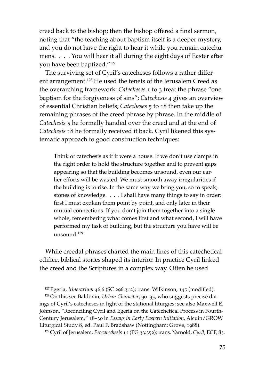creed back to the bishop; then the bishop offered a final sermon, noting that "the teaching about baptism itself is a deeper mystery, and you do not have the right to hear it while you remain catechumens. . . . You will hear it all during the eight days of Easter after you have been baptized."127

The surviving set of Cyril's catecheses follows a rather different arrangement.128 He used the tenets of the Jerusalem Creed as the overarching framework: *Catecheses* 1 to 3 treat the phrase "one baptism for the forgiveness of sins"; *Catechesis* 4 gives an overview of essential Christian beliefs; *Catecheses* 5 to 18 then take up the remaining phrases of the creed phrase by phrase. In the middle of *Catechesis* 5 he formally handed over the creed and at the end of *Catechesis* 18 he formally received it back. Cyril likened this systematic approach to good construction techniques:

Think of catechesis as if it were a house. If we don't use clamps in the right order to hold the structure together and to prevent gaps appearing so that the building becomes unsound, even our earlier efforts will be wasted. We must smooth away irregularities if the building is to rise. In the same way we bring you, so to speak, stones of knowledge. . . . I shall have many things to say in order: first I must explain them point by point, and only later in their mutual connections. If you don't join them together into a single whole, remembering what comes first and what second, I will have performed my task of building, but the structure you have will be unsound. $129$ 

While creedal phrases charted the main lines of this catechetical edifice, biblical stories shaped its interior. In practice Cyril linked the creed and the Scriptures in a complex way. Often he used

127 Egeria, *Itinerarium* 46.6 (SC 296:312); trans. Wilkinson, 145 (modified). 128 On this see Baldovin, *Urban Character*, 90–93, who suggests precise datings of Cyril's catecheses in light of the stational liturgies; see also Maxwell E. Johnson, "Reconciling Cyril and Egeria on the Catechetical Process in Fourth-Century Jerusalem," 18–30 in *Essays in Early Eastern Initiation*, Alcuin/GROW Liturgical Study 8, ed. Paul F. Bradshaw (Nottingham: Grove, 1988).

129 Cyril of Jerusalem, *Procatechesis* 11 (PG 33:352); trans. Yarnold, *Cyril*, ECF, 83.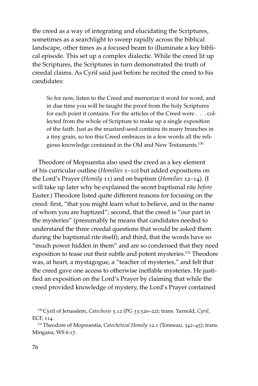the creed as a way of integrating and elucidating the Scriptures, sometimes as a searchlight to sweep rapidly across the biblical landscape, other times as a focused beam to illuminate a key biblical episode. This set up a complex dialectic. While the creed lit up the Scriptures, the Scriptures in turn demonstrated the truth of creedal claims. As Cyril said just before he recited the creed to his candidates:

So for now, listen to the Creed and memorize it word for word, and in due time you will be taught the proof from the holy Scriptures for each point it contains. For the articles of the Creed were . . . collected from the whole of Scripture to make up a single exposition of the faith. Just as the mustard-seed contains its many branches in a tiny grain, so too this Creed embraces in a few words all the religious knowledge contained in the Old and New Testaments.<sup>130</sup>

Theodore of Mopsuestia also used the creed as a key element of his curricular outline (*Homilies* 1–10) but added expositions on the Lord's Prayer (*Homily* 11) and on baptism (*Homilies* 12–14). (I will take up later why he explained the secret baptismal rite *before* Easter.) Theodore listed quite different reasons for focusing on the creed: first, "that you might learn what to believe, and in the name of whom you are baptized"; second, that the creed is "our part in the mysteries" (presumably he means that candidates needed to understand the three creedal questions that would be asked them during the baptismal rite itself); and third, that the words have so "much power hidden in them" and are so condensed that they need exposition to tease out their subtle and potent mysteries.<sup>131</sup> Theodore was, at heart, a mystagogue, a "teacher of mysteries," and felt that the creed gave one access to otherwise ineffable mysteries. He justified an exposition on the Lord's Prayer by claiming that while the creed provided knowledge of mystery, the Lord's Prayer contained

130 Cyril of Jerusalem, *Catechesis* 5.12 (PG 33:520–22); trans. Yarnold, *Cyril*, ECF, 114.

131 Theodore of Mopsuestia, *Catechetical Homily* 12.1 (Tonneau, 342–45); trans. Mingana, WS 6:17.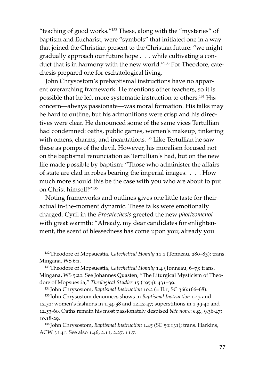"teaching of good works."132 These, along with the "mysteries" of baptism and Eucharist, were "symbols" that initiated one in a way that joined the Christian present to the Christian future: "we might gradually approach our future hope . . . while cultivating a conduct that is in harmony with the new world."<sup>133</sup> For Theodore, catechesis prepared one for eschatological living.

John Chrysostom's prebaptismal instructions have no apparent overarching framework. He mentions other teachers, so it is possible that he left more systematic instruction to others.134 His concern—always passionate—was moral formation. His talks may be hard to outline, but his admonitions were crisp and his directives were clear. He denounced some of the same vices Tertullian had condemned: oaths, public games, women's makeup, tinkering with omens, charms, and incantations.<sup>135</sup> Like Tertullian he saw these as pomps of the devil. However, his moralism focused not on the baptismal renunciation as Tertullian's had, but on the new life made possible by baptism: "Those who administer the affairs of state are clad in robes bearing the imperial images. . . . How much more should this be the case with you who are about to put on Christ himself!"136

Noting frameworks and outlines gives one little taste for their actual in-the-moment dynamic. These talks were emotionally charged. Cyril in the *Procatechesis* greeted the new *photizomenoi* with great warmth: "Already, my dear candidates for enlightenment, the scent of blessedness has come upon you; already you

<sup>132</sup> Theodore of Mopsuestia, *Catechetical Homily* 11.1 (Tonneau, 280–83); trans. Mingana, WS 6:1.

133 Theodore of Mopsuestia, *Catechetical Homily* 1.4 (Tonneau, 6–7); trans. Mingana, WS 5:20. See Johannes Quasten, "The Liturgical Mysticism of Theodore of Mopsuestia," *Theological Studies* 15 (1954): 431–39.

134 John Chrysostom, *Baptismal Instruction* 10.2 (= II.1, SC 366:166–68).

135 John Chrysostom denounces shows in *Baptismal Instruction* 1.43 and 12.52; women's fashions in 1.34-38 and 12.42-47; superstitions in 1.39-40 and 12.53-60. Oaths remain his most passionately despised *bête noire*: e.g., 9.36-47; 10.18-29.

136 John Chrysostom, *Baptismal Instruction* 1.45 (SC 50:131); trans. Harkins, ACW 31:41. See also 1.46, 2.11, 2.27, 11.7.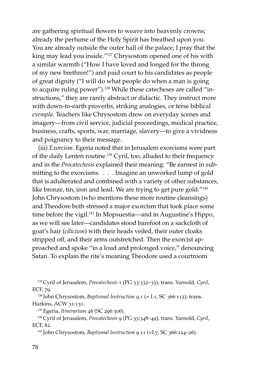are gathering spiritual flowers to weave into heavenly crowns; already the perfume of the Holy Spirit has breathed upon you. You are already outside the outer hall of the palace; I pray that the king may lead you inside."137 Chrysostom opened one of his with a similar warmth ("How I have loved and longed for the throng of my new brethren!") and paid court to his candidates as people of great dignity ("I will do what people do when a man is going to acquire ruling power").<sup>138</sup> While these catecheses are called "instructions," they are rarely abstract or didactic. They instruct more with down-to-earth proverbs, striking analogies, or terse biblical *exempla*. Teachers like Chrysostom drew on everyday scenes and imagery—from civil service, judicial proceedings, medical practice, business, crafts, sports, war, marriage, slavery—to give a vividness and poignancy to their message.

(iii) *Exorcism*. Egeria noted that in Jerusalem exorcisms were part of the daily Lenten routine.139 Cyril, too, alluded to their frequency and in the *Procatechesis* explained their meaning: "Be earnest in submitting to the exorcisms. . . . Imagine an unworked lump of gold that is adulterated and combined with a variety of other substances, like bronze, tin, iron and lead. We are trying to get pure gold."<sup>140</sup> John Chrysostom (who mentions these more routine cleansings) and Theodore both stressed a major exorcism that took place some time before the vigil.<sup>141</sup> In Mopsuestia—and in Augustine's Hippo, as we will see later—candidates stood barefoot on a sackcloth of goat's hair (*cilicium*) with their heads veiled, their outer cloaks stripped off, and their arms outstretched. Then the exorcist approached and spoke "in a loud and prolonged voice," denouncing Satan. To explain the rite's meaning Theodore used a courtroom

137 Cyril of Jerusalem, *Procatechesis* 1 (PG 33:332–33); trans. Yarnold, *Cyril*, ECF, 79.

138 John Chrysostom, *Baptismal Instruction* 9.1 (= I.1, SC 366:112); trans. Harkins, ACW 31:131.

139 Egeria, *Itinerarium* 46 (SC 296:306).

140 Cyril of Jerusalem, *Procatechesis* 9 (PG 33:348–49); trans. Yarnold, *Cyril*, ECF, 82.

141 John Chrysostom, *Baptismal Instruction* 9.11 (=I.7, SC 366:124–26).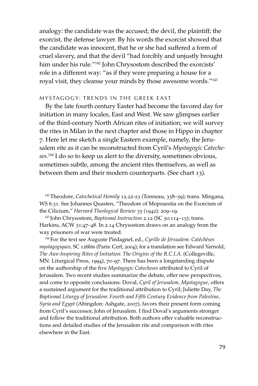analogy: the candidate was the accused; the devil, the plaintiff; the exorcist, the defense lawyer. By his words the exorcist showed that the candidate was innocent, that he or she had suffered a form of cruel slavery, and that the devil "had forcibly and unjustly brought him under his rule."<sup>142</sup> John Chrysostom described the exorcists' role in a different way: "as if they were preparing a house for a royal visit, they cleanse your minds by those awesome words."143

## MYSTAGOGY: TRENDS IN THE GREEK EAST

By the late fourth century Easter had become the favored day for initiation in many locales, East and West. We saw glimpses earlier of the third-century North African rites of initiation; we will survey the rites in Milan in the next chapter and those in Hippo in chapter 7. Here let me sketch a single Eastern example, namely, the Jerusalem rite as it can be reconstructed from Cyril's *Mystagogic Catecheses*. 144 I do so to keep us alert to the diversity, sometimes obvious, sometimes subtle, among the ancient rites themselves, as well as between them and their modern counterparts. (See chart 13).

142 Theodore, *Catechetical Homily* 12.22-23 (Tonneau, 358–59); trans. Mingana, WS 6:31. See Johannes Quasten, "Theodore of Mopsuestia on the Exorcism of the Cilicium," *Harvard Theological Review* 35 (1942): 209–19.

143 John Chrysostom, *Baptismal Instruction* 2.12 (SC 50:114–15); trans. Harkins, ACW 31:47–48. In 2.14 Chrysostom draws on an analogy from the way prisoners of war were treated.

144 For the text see Auguste Piédagnel, ed., *Cyrille de Jérsualem: Catéchèses mystagogiques*, SC 126bis (Paris: Cerf, 2004); for a translation see Edward Yarnold, *The Awe-Inspiring Rites of Initiation: The Origins of the R.C.I.A.* (Collegeville, MN: Liturgical Press, 1994), 70–97. There has been a longstanding dispute on the authorship of the five *Mystagogic Catecheses* attributed to Cyril of Jerusalem. Two recent studies summarize the debate, offer new perspectives, and come to opposite conclusions: Doval, *Cyril of Jerusalem, Mystagogue*, offers a sustained argument for the traditional attribution to Cyril; Juliette Day, *The Baptismal Liturgy of Jerusalem: Fourth and Fifth Century Evidence from Palestine, Syria and Egypt* (Abingdon: Ashgate, 2007), favors their present form coming from Cyril's successor, John of Jerusalem. I find Doval's arguments stronger and follow the traditional attribution. Both authors offer valuable reconstructions and detailed studies of the Jerusalem rite and comparison with rites elsewhere in the East.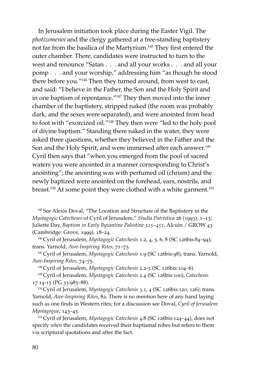In Jerusalem initiation took place during the Easter Vigil. The *photizomenoi* and the clergy gathered at a free-standing baptistery not far from the basilica of the Martyrium.145 They first entered the outer chamber. There, candidates were instructed to turn to the west and renounce "Satan . . . and all your works . . . and all your pomp . . . and your worship," addressing him "as though he stood there before you."<sup>146</sup> Then they turned around, from west to east, and said: "I believe in the Father, the Son and the Holy Spirit and in one baptism of repentance."147 They then moved into the inner chamber of the baptistery, stripped naked (the room was probably dark, and the sexes were separated), and were anointed from head to foot with "exorcized oil."148 They then were "led to the holy pool of divine baptism." Standing there naked in the water, they were asked three questions, whether they believed in the Father and the Son and the Holy Spirit, and were immersed after each answer.<sup>149</sup> Cyril then says that "when you emerged from the pool of sacred waters you were anointed in a manner corresponding to Christ's anointing"; the anointing was with perfumed oil (chrism) and the newly baptized were anointed on the forehead, ears, nostrils, and breast.<sup>150</sup> At some point they were clothed with a white garment.<sup>151</sup>

<sup>145</sup> See Alexis Doval, "The Location and Structure of the Baptistery in the *Mystagogic Catecheses* of Cyril of Jerusalem," *Studia Patristica* 26 (1993): 1–13; Juliette Day, *Baptism in Early Byzantine Palestine 325–451*, Alcuin / GROW 43 (Cambridge: Grove, 1999), 18–24.

146 Cyril of Jerusalem, *Mystagogic Catechesis* 1.2, 4, 5, 6, 8 (SC 126bis:84–94); trans. Yarnold, *Awe-Inspiring Rites*, 71–73.

147 Cyril of Jerusalem, *Mystagogic Catechesis* 1.9 (SC 126bis:98); trans. Yarnold, *Awe-Inspiring Rites*, 74–75.

148 Cyril of Jerusalem, *Mystagogic Catechesis* 2.2-3 (SC 126bis:104–6).

149 Cyril of Jerusalem, *Mystagogic Catechesis* 2.4 (SC 126bis:100); *Catechesis* 17.14-15 (PG 33:985–88).

150 Cyril of Jerusalem, *Mystagogic Catechesis* 3.1, 4 (SC 126bis:120, 126); trans. Yarnold, *Awe-Inspiring Rites*, 82. There is no mention here of any hand laying such as one finds in Western rites; for a discussion see Doval, *Cyril of Jerusalem: Mystagogue*, 143–45.

151 Cyril of Jerusalem, *Mystagogic Catechesis* 4.8 (SC 126bis:124–44), does not specify *when* the candidates received their baptismal robes but refers to them via scriptural quotations and after the fact.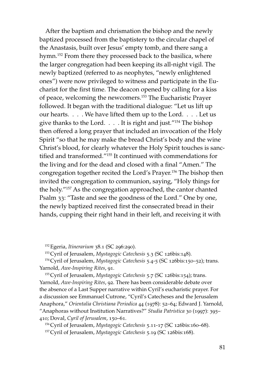After the baptism and chrismation the bishop and the newly baptized processed from the baptistery to the circular chapel of the Anastasis, built over Jesus' empty tomb, and there sang a hymn.<sup>152</sup> From there they processed back to the basilica, where the larger congregation had been keeping its all-night vigil. The newly baptized (referred to as neophytes, "newly enlightened ones") were now privileged to witness and participate in the Eucharist for the first time. The deacon opened by calling for a kiss of peace, welcoming the newcomers.153 The Eucharistic Prayer followed. It began with the traditional dialogue: "Let us lift up our hearts. . . . We have lifted them up to the Lord. . . . Let us give thanks to the Lord. . . . It is right and just."154 The bishop then offered a long prayer that included an invocation of the Holy Spirit "so that he may make the bread Christ's body and the wine Christ's blood, for clearly whatever the Holy Spirit touches is sanctified and transformed."155 It continued with commendations for the living and for the dead and closed with a final "Amen." The congregation together recited the Lord's Prayer.156 The bishop then invited the congregation to communion, saying, "Holy things for the holy."157 As the congregation approached, the cantor chanted Psalm 33: "Taste and see the goodness of the Lord." One by one, the newly baptized received first the consecrated bread in their hands, cupping their right hand in their left, and receiving it with

152 Egeria, *Itinerarium* 38.1 (SC 296:290).

153 Cyril of Jerusalem, *Mystagogic Catechesis* 5.3 (SC 126bis:148).

154 Cyril of Jerusalem, *Mystagogic Catechesis* 5.4-5 (SC 126bis:150–52); trans. Yarnold, *Awe-Inspiring Rites*, 91.

155 Cyril of Jerusalem, *Mystagogic Catechesis* 5.7 (SC 126bis:154); trans. Yarnold, *Awe-Inspiring Rites*, 92. There has been considerable debate over the absence of a Last Supper narrative within Cyril's eucharistic prayer. For a discussion see Emmanuel Cutrone, "Cyril's Catecheses and the Jerusalem Anaphora," *Orientalia Christiana Periodica* 44 (1978): 52–64; Edward J. Yarnold, "Anaphoras without Institution Narratives?" *Studia Patristica* 30 (1997): 395– 410; Doval, *Cyril of Jerusalem*, 150–61.

156 Cyril of Jerusalem, *Mystagogic Catechesis* 5.11-17 (SC 126bis:160–68). 157 Cyril of Jerusalem, *Mystagogic Catechesis* 5.19 (SC 126bis:168).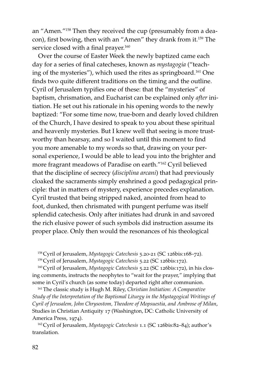an "Amen."158 Then they received the cup (presumably from a deacon), first bowing, then with an "Amen" they drank from it.<sup>159</sup> The service closed with a final prayer.<sup>160</sup>

Over the course of Easter Week the newly baptized came each day for a series of final catecheses, known as *mystagogia* ("teaching of the mysteries"), which used the rites as springboard.161 One finds two quite different traditions on the timing and the outline. Cyril of Jerusalem typifies one of these: that the "mysteries" of baptism, chrismation, and Eucharist can be explained only *after* initiation. He set out his rationale in his opening words to the newly baptized: "For some time now, true-born and dearly loved children of the Church, I have desired to speak to you about these spiritual and heavenly mysteries. But I knew well that seeing is more trustworthy than hearsay, and so I waited until this moment to find you more amenable to my words so that, drawing on your personal experience, I would be able to lead you into the brighter and more fragrant meadows of Paradise on earth."162 Cyril believed that the discipline of secrecy (*disciplina arcani*) that had previously cloaked the sacraments simply enshrined a good pedagogical principle: that in matters of mystery, experience precedes explanation. Cyril trusted that being stripped naked, anointed from head to foot, dunked, then chrismated with pungent perfume was itself splendid catechesis. Only after initiates had drunk in and savored the rich elusive power of such symbols did instruction assume its proper place. Only then would the resonances of his theological

158 Cyril of Jerusalem, *Mystagogic Catechesis* 5.20-21 (SC 126bis:168–72).

159 Cyril of Jerusalem, *Mystagogic Catechesis* 5.22 (SC 126bis:172).

160 Cyril of Jerusalem, *Mystagogic Catechesis* 5.22 (SC 126bis:172), in his closing comments, instructs the neophytes to "wait for the prayer," implying that some in Cyril's church (as some today) departed right after communion.

161 The classic study is Hugh M. Riley, *Christian Initiation: A Comparative Study of the Interpretation of the Baptismal Liturgy in the Mystagogical Writings of Cyril of Jerusalem, John Chrysostom, Theodore of Mopsuestia, and Ambrose of Milan*, Studies in Christian Antiquity 17 (Washington, DC: Catholic University of America Press, 1974).

162 Cyril of Jerusalem, *Mystagogic Catechesis* 1.1 (SC 126bis:82–84); author's translation.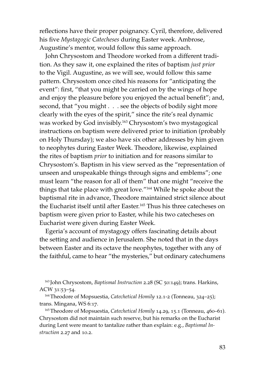reflections have their proper poignancy. Cyril, therefore, delivered his five *Mystagogic Catecheses* during Easter week. Ambrose, Augustine's mentor, would follow this same approach.

John Chrysostom and Theodore worked from a different tradition. As they saw it, one explained the rites of baptism *just prior* to the Vigil. Augustine, as we will see, would follow this same pattern. Chrysostom once cited his reasons for "anticipating the event": first, "that you might be carried on by the wings of hope and enjoy the pleasure before you enjoyed the actual benefit"; and, second, that "you might . . . see the objects of bodily sight more clearly with the eyes of the spirit," since the rite's real dynamic was worked by God invisibly.<sup>163</sup> Chrysostom's two mystagogical instructions on baptism were delivered prior to initiation (probably on Holy Thursday); we also have six other addresses by him given to neophytes during Easter Week. Theodore, likewise, explained the rites of baptism *prior* to initiation and for reasons similar to Chrysostom's. Baptism in his view served as the "representation of unseen and unspeakable things through signs and emblems"; one must learn "the reason for all of them" that one might "receive the things that take place with great love."<sup>164</sup> While he spoke about the baptismal rite in advance, Theodore maintained strict silence about the Eucharist itself until after Easter.165 Thus his three catecheses on baptism were given prior to Easter, while his two catecheses on Eucharist were given during Easter Week.

Egeria's account of mystagogy offers fascinating details about the setting and audience in Jerusalem. She noted that in the days between Easter and its octave the neophytes, together with any of the faithful, came to hear "the mysteries," but ordinary catechumens

163 John Chrysostom, *Baptismal Instruction* 2.28 (SC 50:149); trans. Harkins, ACW 31:53–54.

164 Theodore of Mopsuestia, *Catechetical Homily* 12.1-2 (Tonneau, 324–25); trans. Mingana, WS 6:17.

165 Theodore of Mopsuestia, *Catechetical Homily* 14.29, 15.1 (Tonneau, 460–61). Chrysostom did not maintain such reserve, but his remarks on the Eucharist during Lent were meant to tantalize rather than explain: e.g., *Baptismal Instruction* 2.27 and 10.2.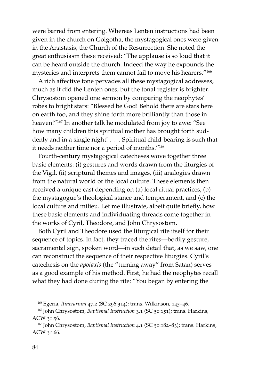were barred from entering. Whereas Lenten instructions had been given in the church on Golgotha, the mystagogical ones were given in the Anastasis, the Church of the Resurrection. She noted the great enthusiasm these received: "The applause is so loud that it can be heard outside the church. Indeed the way he expounds the mysteries and interprets them cannot fail to move his hearers."166

A rich affective tone pervades all these mystagogical addresses, much as it did the Lenten ones, but the tonal register is brighter. Chrysostom opened one sermon by comparing the neophytes' robes to bright stars: "Blessed be God! Behold there are stars here on earth too, and they shine forth more brilliantly than those in heaven!"167 In another talk he modulated from joy to awe: "See how many children this spiritual mother has brought forth suddenly and in a single night! . . . Spiritual child-bearing is such that it needs neither time nor a period of months."168

Fourth-century mystagogical catecheses wove together three basic elements: (i) gestures and words drawn from the liturgies of the Vigil, (ii) scriptural themes and images, (iii) analogies drawn from the natural world or the local culture. These elements then received a unique cast depending on (a) local ritual practices, (b) the mystagogue's theological stance and temperament, and (c) the local culture and milieu. Let me illustrate, albeit quite briefly, how these basic elements and individuating threads come together in the works of Cyril, Theodore, and John Chrysostom.

Both Cyril and Theodore used the liturgical rite itself for their sequence of topics. In fact, they traced the rites—bodily gesture, sacramental sign, spoken word—in such detail that, as we saw, one can reconstruct the sequence of their respective liturgies. Cyril's catechesis on the *apotaxis* (the "turning away" from Satan) serves as a good example of his method. First, he had the neophytes recall what they had done during the rite: "You began by entering the

<sup>168</sup> John Chrysostom, *Baptismal Instruction* 4.1 (SC 50:182-83); trans. Harkins, ACW 31:66.

<sup>166</sup> Egeria, *Itinerarium* 47.2 (SC 296:314); trans. Wilkinson, 145–46.

<sup>167</sup> John Chrysostom, *Baptismal Instruction* 3.1 (SC 50:151); trans. Harkins, ACW 31:56.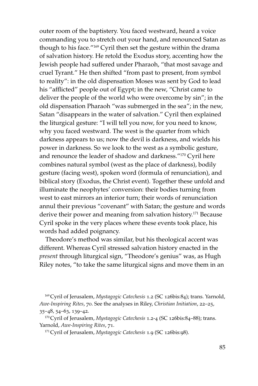outer room of the baptistery. You faced westward, heard a voice commanding you to stretch out your hand, and renounced Satan as though to his face."169 Cyril then set the gesture within the drama of salvation history. He retold the Exodus story, accenting how the Jewish people had suffered under Pharaoh, "that most savage and cruel Tyrant." He then shifted "from past to present, from symbol to reality": in the old dispensation Moses was sent by God to lead his "afflicted" people out of Egypt; in the new, "Christ came to deliver the people of the world who were overcome by sin"; in the old dispensation Pharaoh "was submerged in the sea"; in the new, Satan "disappears in the water of salvation." Cyril then explained the liturgical gesture: "I will tell you now, for you need to know, why you faced westward. The west is the quarter from which darkness appears to us; now the devil is darkness, and wields his power in darkness. So we look to the west as a symbolic gesture, and renounce the leader of shadow and darkness."170 Cyril here combines natural symbol (west as the place of darkness), bodily gesture (facing west), spoken word (formula of renunciation), and biblical story (Exodus, the Christ event). Together these unfold and illuminate the neophytes' conversion: their bodies turning from west to east mirrors an interior turn; their words of renunciation annul their previous "covenant" with Satan; the gesture and words derive their power and meaning from salvation history.<sup>171</sup> Because Cyril spoke in the very places where these events took place, his words had added poignancy.

Theodore's method was similar, but his theological accent was different. Whereas Cyril stressed salvation history enacted in the *present* through liturgical sign, "Theodore's genius" was, as Hugh Riley notes, "to take the same liturgical signs and move them in an

171 Cyril of Jerusalem, *Mystagogic Catechesis* 1.9 (SC 126bis:98).

<sup>169</sup> Cyril of Jerusalem, *Mystagogic Catechesis* 1.2 (SC 126bis:84); trans. Yarnold, *Awe-Inspiring Rites*, 70. See the analyses in Riley, *Christian Initiation*, 22–25, 35–48, 54–63, 139–42.

<sup>170</sup> Cyril of Jerusalem, *Mystagogic Catechesis* 1.2-4 (SC 126bis:84–88); trans. Yarnold, *Awe-Inspiring Rites*, 71.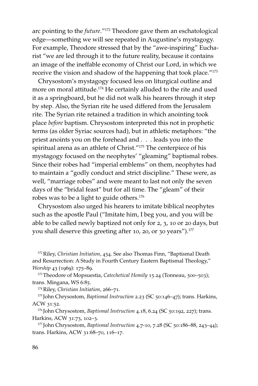arc pointing to the *future*."172 Theodore gave them an eschatological edge—something we will see repeated in Augustine's mystagogy. For example, Theodore stressed that by the "awe-inspiring" Eucharist "we are led through it to the future reality, because it contains an image of the ineffable economy of Christ our Lord, in which we receive the vision and shadow of the happening that took place."<sup>173</sup>

Chrysostom's mystagogy focused less on liturgical outline and more on moral attitude.<sup>174</sup> He certainly alluded to the rite and used it as a springboard, but he did not walk his hearers through it step by step. Also, the Syrian rite he used differed from the Jerusalem rite. The Syrian rite retained a tradition in which anointing took place *before* baptism. Chrysostom interpreted this not in prophetic terms (as older Syriac sources had), but in athletic metaphors: "the priest anoints you on the forehead and . . . leads you into the spiritual arena as an athlete of Christ."175 The centerpiece of his mystagogy focused on the neophytes' "gleaming" baptismal robes. Since their robes had "imperial emblems" on them, neophytes had to maintain a "godly conduct and strict discipline." These were, as well, "marriage robes" and were meant to last not only the seven days of the "bridal feast" but for all time. The "gleam" of their robes was to be a light to guide others.<sup>176</sup>

Chrysostom also urged his hearers to imitate biblical neophytes such as the apostle Paul ("Imitate him, I beg you, and you will be able to be called newly baptized not only for 2, 3, 10 or 20 days, but you shall deserve this greeting after 10, 20, or 30 years").<sup>177</sup>

172 Riley, *Christian Initiation*, 454. See also Thomas Finn, "Baptismal Death and Resurrection: A Study in Fourth Century Eastern Baptismal Theology," *Worship* 43 (1969): 175–89.

173 Theodore of Mopsuestia, *Catechetical Homily* 15.24 (Tonneau, 500–503); trans. Mingana, WS 6:85.

174 Riley, *Christian Initiation*, 266–71.

175 John Chrysostom, *Baptismal Instruction* 2.23 (SC 50:146–47); trans. Harkins, ACW 31:52.

176 John Chrysostom, *Baptismal Instruction* 4.18, 6.24 (SC 50:192, 227); trans. Harkins, ACW 31:73, 102–3.

177 John Chrysostom, *Baptismal Instruction* 4.7-10, 7.28 (SC 50:186–88, 243–44); trans. Harkins, ACW 31:68–70, 116–17.